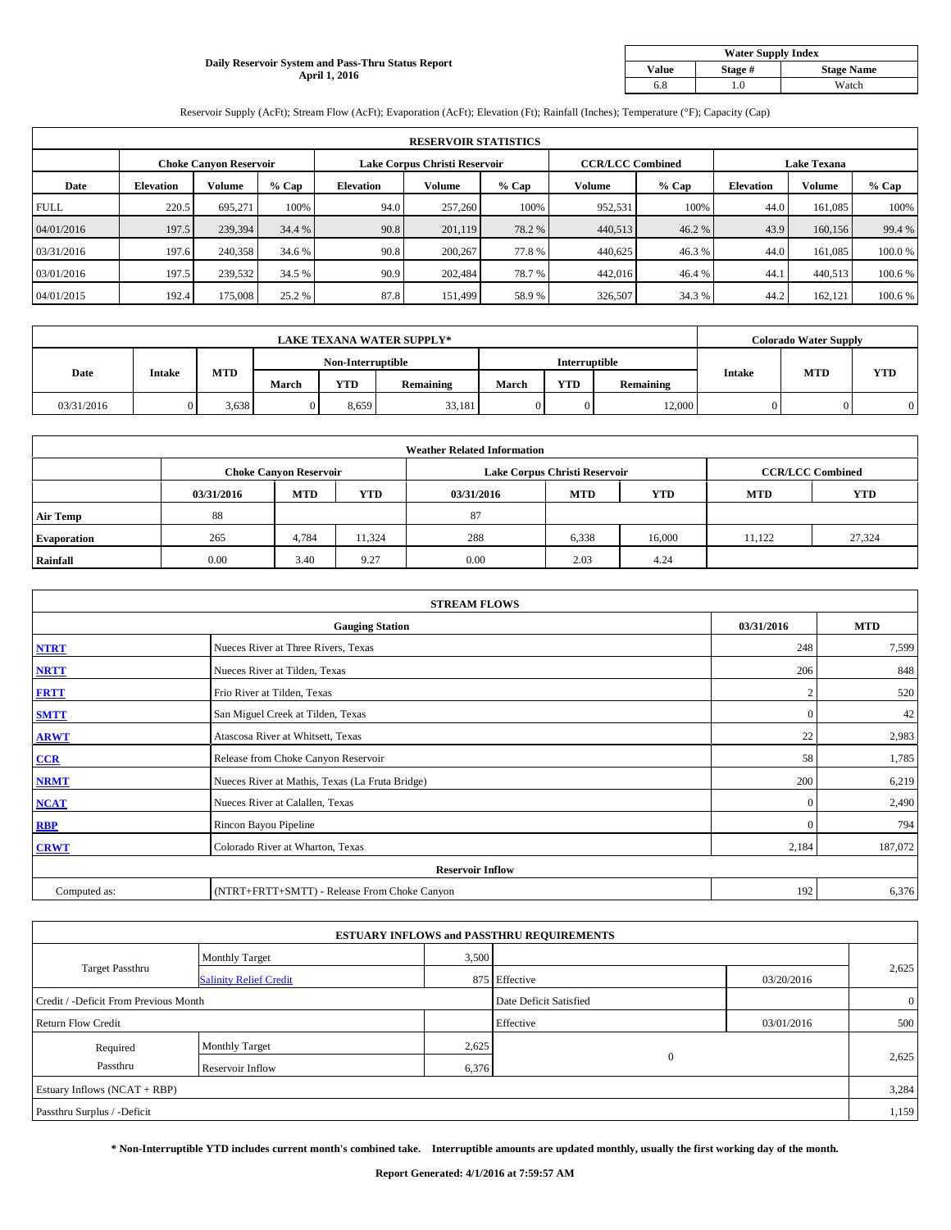### **Daily Reservoir System and Pass-Thru Status Report April 1, 2016**

| <b>Water Supply Index</b> |         |                   |  |  |  |  |  |  |
|---------------------------|---------|-------------------|--|--|--|--|--|--|
| <b>Value</b>              | Stage # | <b>Stage Name</b> |  |  |  |  |  |  |
| 6.8                       | .0      | Watch             |  |  |  |  |  |  |

Reservoir Supply (AcFt); Stream Flow (AcFt); Evaporation (AcFt); Elevation (Ft); Rainfall (Inches); Temperature (°F); Capacity (Cap)

|             | <b>RESERVOIR STATISTICS</b> |                        |         |                               |               |         |                         |         |                    |               |         |
|-------------|-----------------------------|------------------------|---------|-------------------------------|---------------|---------|-------------------------|---------|--------------------|---------------|---------|
|             |                             | Choke Canvon Reservoir |         | Lake Corpus Christi Reservoir |               |         | <b>CCR/LCC Combined</b> |         | <b>Lake Texana</b> |               |         |
| Date        | <b>Elevation</b>            | Volume                 | $%$ Cap | <b>Elevation</b>              | <b>Volume</b> | $%$ Cap | Volume                  | $%$ Cap | <b>Elevation</b>   | <b>Volume</b> | % Cap   |
| <b>FULL</b> | 220.5                       | 695.271                | 100%    | 94.0                          | 257,260       | 100%    | 952,531                 | 100%    | 44.0               | 161.085       | 100%    |
| 04/01/2016  | 197.5                       | 239,394                | 34.4 %  | 90.8                          | 201.119       | 78.2 %  | 440,513                 | 46.2 %  | 43.9               | 160,156       | 99.4 %  |
| 03/31/2016  | 197.6                       | 240,358                | 34.6 %  | 90.8                          | 200,267       | 77.8%   | 440,625                 | 46.3 %  | 44.0               | 161.085       | 100.0%  |
| 03/01/2016  | 197.5                       | 239,532                | 34.5 %  | 90.9                          | 202,484       | 78.7%   | 442,016                 | 46.4 %  | 44.                | 440,513       | 100.6 % |
| 04/01/2015  | 192.4                       | 175,008                | 25.2 %  | 87.8                          | 151,499       | 58.9%   | 326,507                 | 34.3 %  | 44.2               | 162.121       | 100.6 % |

| <b>LAKE TEXANA WATER SUPPLY*</b> |               |            |       |                   |           |       |                      | <b>Colorado Water Supply</b> |               |            |            |
|----------------------------------|---------------|------------|-------|-------------------|-----------|-------|----------------------|------------------------------|---------------|------------|------------|
|                                  |               |            |       | Non-Interruptible |           |       | <b>Interruptible</b> |                              |               |            |            |
| Date                             | <b>Intake</b> | <b>MTD</b> | March | <b>YTD</b>        | Remaining | March | <b>YTD</b>           | Remaining                    | <b>Intake</b> | <b>MTD</b> | <b>YTD</b> |
| 03/31/2016                       |               | - 638. د   |       | 8.659             | 33,181    |       |                      | 12,000                       |               |            |            |

|                 | <b>Weather Related Information</b> |                               |            |            |                               |                         |            |            |  |  |  |  |
|-----------------|------------------------------------|-------------------------------|------------|------------|-------------------------------|-------------------------|------------|------------|--|--|--|--|
|                 |                                    | <b>Choke Canvon Reservoir</b> |            |            | Lake Corpus Christi Reservoir | <b>CCR/LCC Combined</b> |            |            |  |  |  |  |
|                 | 03/31/2016                         | <b>MTD</b>                    | <b>YTD</b> | 03/31/2016 | <b>MTD</b>                    | <b>YTD</b>              | <b>MTD</b> | <b>YTD</b> |  |  |  |  |
| <b>Air Temp</b> | 88                                 |                               |            | 87         |                               |                         |            |            |  |  |  |  |
| Evaporation     | 265                                | 4,784                         | 11,324     | 288        | 6,338                         | 16,000                  | 11.122     | 27,324     |  |  |  |  |
| Rainfall        | 0.00                               | 3.40                          | 9.27       | 0.00       | 2.03                          | 4.24                    |            |            |  |  |  |  |

| <b>STREAM FLOWS</b> |                                                 |                |         |  |  |  |  |  |  |
|---------------------|-------------------------------------------------|----------------|---------|--|--|--|--|--|--|
|                     | <b>Gauging Station</b>                          |                |         |  |  |  |  |  |  |
| <b>NTRT</b>         | Nueces River at Three Rivers, Texas             | 248            | 7,599   |  |  |  |  |  |  |
| <b>NRTT</b>         | Nueces River at Tilden, Texas                   | 206            | 848     |  |  |  |  |  |  |
| <b>FRTT</b>         | Frio River at Tilden, Texas                     | $\overline{2}$ | 520     |  |  |  |  |  |  |
| <b>SMTT</b>         | San Miguel Creek at Tilden, Texas               | $\mathbf{0}$   | 42      |  |  |  |  |  |  |
| <b>ARWT</b>         | Atascosa River at Whitsett, Texas               | 22             | 2,983   |  |  |  |  |  |  |
| CCR                 | Release from Choke Canyon Reservoir             | 58             | 1,785   |  |  |  |  |  |  |
| <b>NRMT</b>         | Nueces River at Mathis, Texas (La Fruta Bridge) | 200            | 6,219   |  |  |  |  |  |  |
| <b>NCAT</b>         | Nueces River at Calallen, Texas                 | $\mathbf{0}$   | 2,490   |  |  |  |  |  |  |
| <b>RBP</b>          | Rincon Bayou Pipeline                           | $\mathbf{0}$   | 794     |  |  |  |  |  |  |
| <b>CRWT</b>         | Colorado River at Wharton, Texas                | 2,184          | 187,072 |  |  |  |  |  |  |
|                     | <b>Reservoir Inflow</b>                         |                |         |  |  |  |  |  |  |
| Computed as:        | (NTRT+FRTT+SMTT) - Release From Choke Canyon    | 192            | 6,376   |  |  |  |  |  |  |

| <b>ESTUARY INFLOWS and PASSTHRU REQUIREMENTS</b> |                               |                        |               |                |       |  |  |  |  |  |
|--------------------------------------------------|-------------------------------|------------------------|---------------|----------------|-------|--|--|--|--|--|
|                                                  | <b>Monthly Target</b>         | 3,500                  |               |                |       |  |  |  |  |  |
| <b>Target Passthru</b>                           | <b>Salinity Relief Credit</b> |                        | 875 Effective | 03/20/2016     | 2,625 |  |  |  |  |  |
| Credit / -Deficit From Previous Month            |                               | Date Deficit Satisfied |               | $\overline{0}$ |       |  |  |  |  |  |
| <b>Return Flow Credit</b>                        |                               | Effective              | 03/01/2016    | 500            |       |  |  |  |  |  |
| Required                                         | Monthly Target                | 2,625                  |               |                |       |  |  |  |  |  |
| Passthru                                         | Reservoir Inflow              | 6,376                  | $\mathbf{0}$  |                | 2,625 |  |  |  |  |  |
| Estuary Inflows (NCAT + RBP)                     |                               |                        |               |                |       |  |  |  |  |  |
| Passthru Surplus / -Deficit                      |                               |                        |               |                | 1,159 |  |  |  |  |  |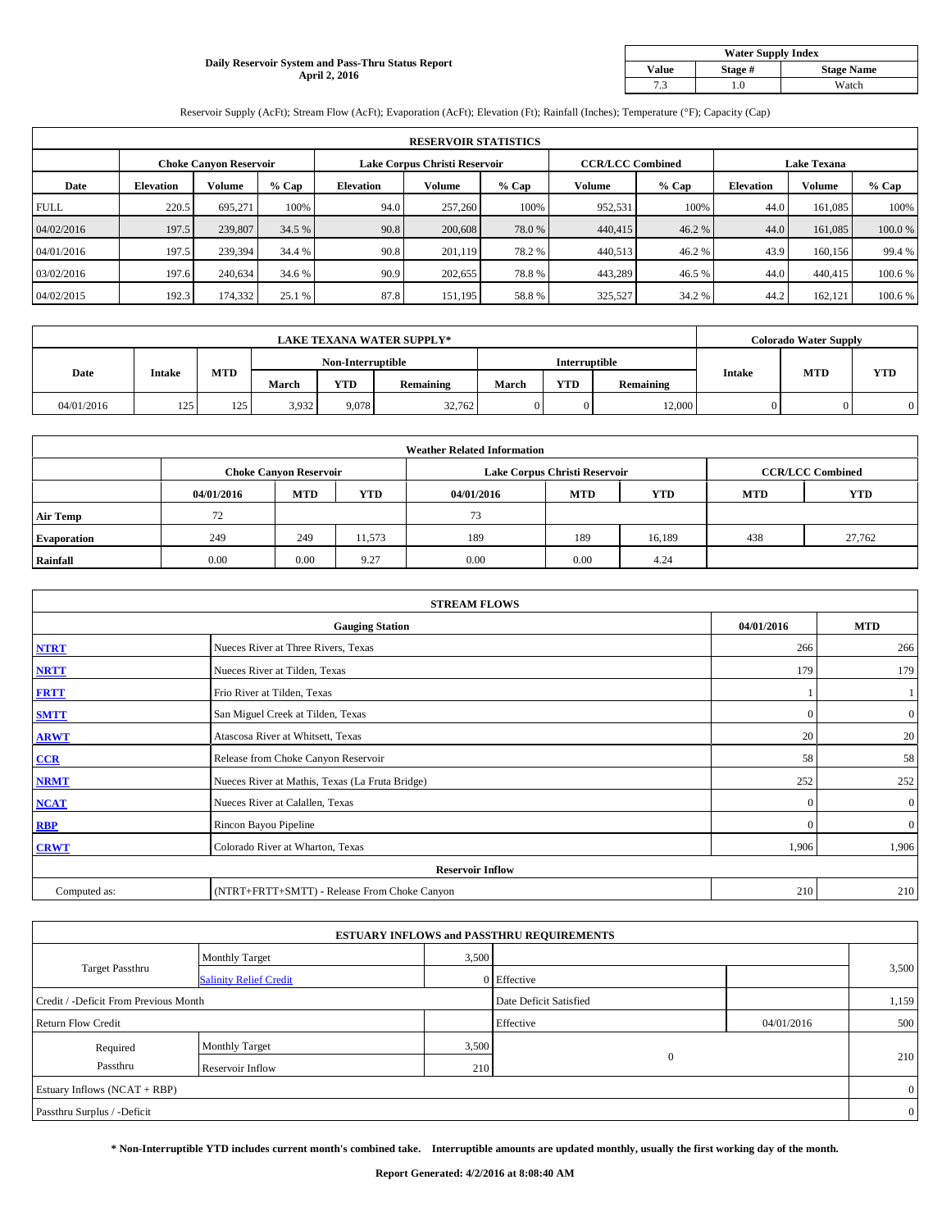## **Daily Reservoir System and Pass-Thru Status Report April 2, 2016**

| <b>Water Supply Index</b> |         |                   |  |  |  |  |  |  |
|---------------------------|---------|-------------------|--|--|--|--|--|--|
| <b>Value</b>              | Stage # | <b>Stage Name</b> |  |  |  |  |  |  |
| 7.3                       | .0      | Watch             |  |  |  |  |  |  |

Reservoir Supply (AcFt); Stream Flow (AcFt); Evaporation (AcFt); Elevation (Ft); Rainfall (Inches); Temperature (°F); Capacity (Cap)

|             | <b>RESERVOIR STATISTICS</b> |                               |         |                               |         |         |                         |         |                    |               |         |  |
|-------------|-----------------------------|-------------------------------|---------|-------------------------------|---------|---------|-------------------------|---------|--------------------|---------------|---------|--|
|             |                             | <b>Choke Canyon Reservoir</b> |         | Lake Corpus Christi Reservoir |         |         | <b>CCR/LCC Combined</b> |         | <b>Lake Texana</b> |               |         |  |
| Date        | <b>Elevation</b>            | Volume                        | $%$ Cap | <b>Elevation</b>              | Volume  | $%$ Cap | Volume                  | $%$ Cap | <b>Elevation</b>   | <b>Volume</b> | % Cap   |  |
| <b>FULL</b> | 220.5                       | 695.271                       | 100%    | 94.0                          | 257,260 | 100%    | 952,531                 | 100%    | 44.0               | 161,085       | 100%    |  |
| 04/02/2016  | 197.5                       | 239,807                       | 34.5 %  | 90.8                          | 200,608 | 78.0 %  | 440,415                 | 46.2%   | 44.0               | 161,085       | 100.0%  |  |
| 04/01/2016  | 197.5                       | 239,394                       | 34.4 %  | 90.8                          | 201.119 | 78.2 %  | 440,513                 | 46.2 %  | 43.9               | 160,156       | 99.4 %  |  |
| 03/02/2016  | 197.6                       | 240,634                       | 34.6 %  | 90.9                          | 202,655 | 78.8%   | 443,289                 | 46.5%   | 44.0               | 440,415       | 100.6 % |  |
| 04/02/2015  | 192.3                       | 174,332                       | 25.1 %  | 87.8                          | 151,195 | 58.8%   | 325,527                 | 34.2 %  | 44.2               | 162,121       | 100.6%  |  |

| <b>LAKE TEXANA WATER SUPPLY*</b> |               |     |                   |       |                  |                      | <b>Colorado Water Supply</b> |                  |               |            |            |
|----------------------------------|---------------|-----|-------------------|-------|------------------|----------------------|------------------------------|------------------|---------------|------------|------------|
|                                  |               |     | Non-Interruptible |       |                  | <b>Interruptible</b> |                              |                  |               |            |            |
| Date                             | <b>Intake</b> | MTD | March             | YTD   | <b>Remaining</b> | March                | YTD                          | <b>Remaining</b> | <b>Intake</b> | <b>MTD</b> | <b>YTD</b> |
| 04/01/2016                       | 125           | 125 | 3,932             | 9.078 | 32,762           |                      |                              | 12.000           |               |            |            |

|                    | <b>Weather Related Information</b> |                               |            |            |                               |                         |            |            |  |  |  |  |
|--------------------|------------------------------------|-------------------------------|------------|------------|-------------------------------|-------------------------|------------|------------|--|--|--|--|
|                    |                                    | <b>Choke Canyon Reservoir</b> |            |            | Lake Corpus Christi Reservoir | <b>CCR/LCC Combined</b> |            |            |  |  |  |  |
|                    | 04/01/2016                         | <b>MTD</b>                    | <b>YTD</b> | 04/01/2016 | <b>MTD</b>                    | <b>YTD</b>              | <b>MTD</b> | <b>YTD</b> |  |  |  |  |
| <b>Air Temp</b>    | 72                                 |                               |            | 73         |                               |                         |            |            |  |  |  |  |
| <b>Evaporation</b> | 249                                | 249                           | 11,573     | 189        | 189                           | 16,189                  | 438        | 27,762     |  |  |  |  |
| Rainfall           | 0.00                               | 0.00                          | 9.27       | 0.00       | 0.00                          | 4.24                    |            |            |  |  |  |  |

| <b>STREAM FLOWS</b> |                                                 |              |                  |  |  |  |  |  |  |  |
|---------------------|-------------------------------------------------|--------------|------------------|--|--|--|--|--|--|--|
|                     | <b>Gauging Station</b>                          |              |                  |  |  |  |  |  |  |  |
| <b>NTRT</b>         | Nueces River at Three Rivers, Texas             | 266          | 266              |  |  |  |  |  |  |  |
| <b>NRTT</b>         | Nueces River at Tilden, Texas                   | 179          | 179              |  |  |  |  |  |  |  |
| <b>FRTT</b>         | Frio River at Tilden, Texas                     |              |                  |  |  |  |  |  |  |  |
| <b>SMTT</b>         | San Miguel Creek at Tilden, Texas               | $\Omega$     | $\boldsymbol{0}$ |  |  |  |  |  |  |  |
| <b>ARWT</b>         | Atascosa River at Whitsett, Texas               | 20           | 20               |  |  |  |  |  |  |  |
| CCR                 | Release from Choke Canyon Reservoir             | 58           | 58               |  |  |  |  |  |  |  |
| <b>NRMT</b>         | Nueces River at Mathis, Texas (La Fruta Bridge) | 252          | 252              |  |  |  |  |  |  |  |
| <b>NCAT</b>         | Nueces River at Calallen, Texas                 | $\mathbf{0}$ | $\mathbf{0}$     |  |  |  |  |  |  |  |
| RBP                 | Rincon Bayou Pipeline                           | $\mathbf{0}$ | $\overline{0}$   |  |  |  |  |  |  |  |
| <b>CRWT</b>         | Colorado River at Wharton, Texas                | 1,906        | 1,906            |  |  |  |  |  |  |  |
|                     | <b>Reservoir Inflow</b>                         |              |                  |  |  |  |  |  |  |  |
| Computed as:        | (NTRT+FRTT+SMTT) - Release From Choke Canyon    | 210          | 210              |  |  |  |  |  |  |  |

| <b>ESTUARY INFLOWS and PASSTHRU REQUIREMENTS</b> |                               |                        |              |            |                |  |  |  |  |  |
|--------------------------------------------------|-------------------------------|------------------------|--------------|------------|----------------|--|--|--|--|--|
|                                                  | <b>Monthly Target</b>         | 3,500                  |              |            |                |  |  |  |  |  |
| <b>Target Passthru</b>                           | <b>Salinity Relief Credit</b> |                        | 0 Effective  |            | 3,500          |  |  |  |  |  |
| Credit / -Deficit From Previous Month            |                               | Date Deficit Satisfied |              | 1,159      |                |  |  |  |  |  |
| <b>Return Flow Credit</b>                        |                               |                        | Effective    | 04/01/2016 | 500            |  |  |  |  |  |
| Required                                         | Monthly Target                |                        | 3,500        |            |                |  |  |  |  |  |
| Passthru                                         | Reservoir Inflow              | 210                    | $\mathbf{0}$ |            | 210            |  |  |  |  |  |
| Estuary Inflows (NCAT + RBP)                     |                               |                        |              |            |                |  |  |  |  |  |
| Passthru Surplus / -Deficit                      |                               |                        |              |            | $\overline{0}$ |  |  |  |  |  |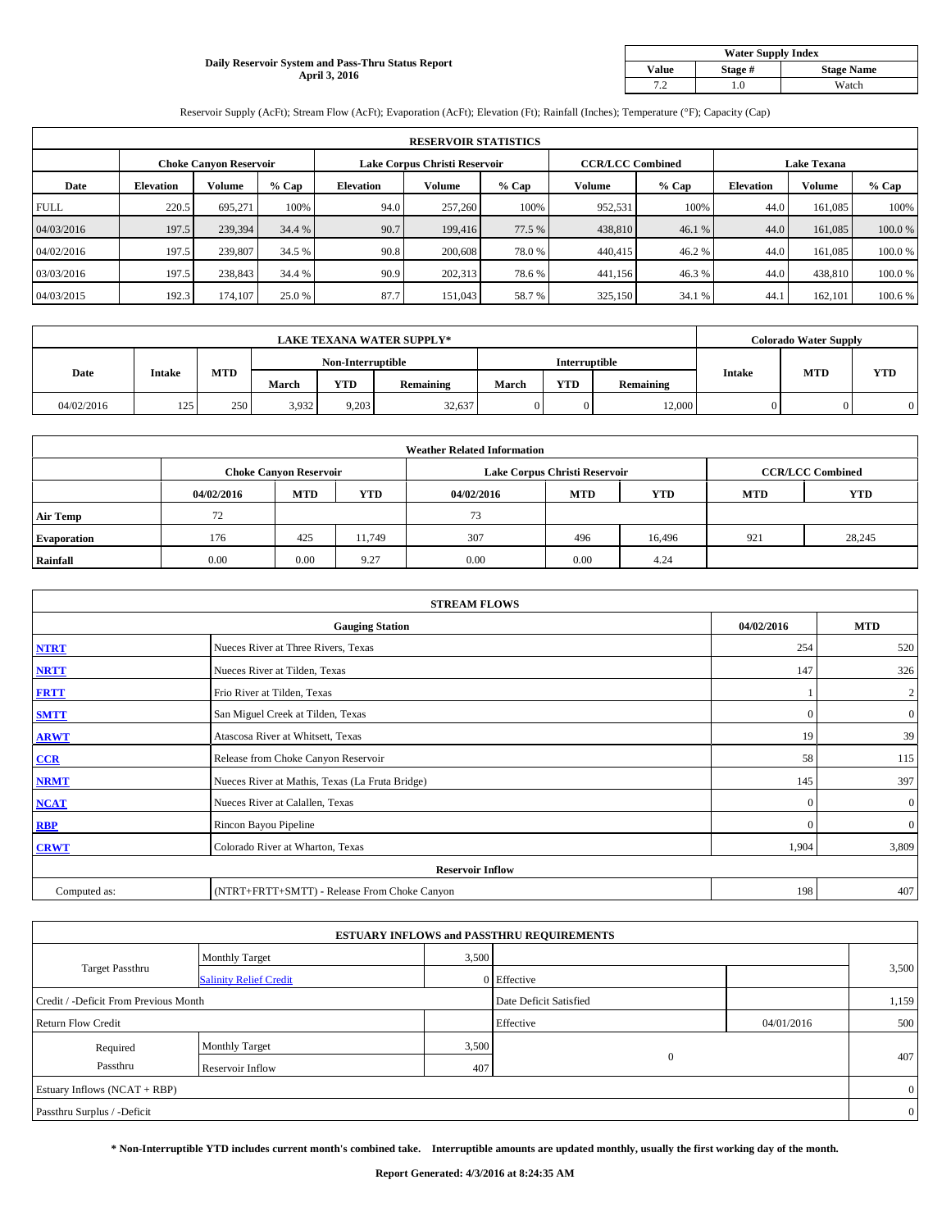### **Daily Reservoir System and Pass-Thru Status Report April 3, 2016**

| <b>Water Supply Index</b> |         |                   |  |  |  |  |  |  |
|---------------------------|---------|-------------------|--|--|--|--|--|--|
| <b>Value</b>              | Stage # | <b>Stage Name</b> |  |  |  |  |  |  |
| 7 2                       | .0      | Watch             |  |  |  |  |  |  |

Reservoir Supply (AcFt); Stream Flow (AcFt); Evaporation (AcFt); Elevation (Ft); Rainfall (Inches); Temperature (°F); Capacity (Cap)

| <b>RESERVOIR STATISTICS</b> |                  |                               |         |                               |         |         |                         |         |                    |               |        |
|-----------------------------|------------------|-------------------------------|---------|-------------------------------|---------|---------|-------------------------|---------|--------------------|---------------|--------|
|                             |                  | <b>Choke Canyon Reservoir</b> |         | Lake Corpus Christi Reservoir |         |         | <b>CCR/LCC Combined</b> |         | <b>Lake Texana</b> |               |        |
| Date                        | <b>Elevation</b> | Volume                        | $%$ Cap | <b>Elevation</b>              | Volume  | $%$ Cap | Volume                  | $%$ Cap | <b>Elevation</b>   | <b>Volume</b> | % Cap  |
| <b>FULL</b>                 | 220.5            | 695.271                       | 100%    | 94.0                          | 257,260 | 100%    | 952,531                 | 100%    | 44.0               | 161,085       | 100%   |
| 04/03/2016                  | 197.5            | 239,394                       | 34.4 %  | 90.7                          | 199,416 | 77.5 %  | 438,810                 | 46.1 %  | 44.0               | 161,085       | 100.0% |
| 04/02/2016                  | 197.5            | 239,807                       | 34.5 %  | 90.8                          | 200,608 | 78.0 %  | 440,415                 | 46.2 %  | 44.0               | 161,085       | 100.0% |
| 03/03/2016                  | 197.5            | 238,843                       | 34.4 %  | 90.9                          | 202,313 | 78.6%   | 441,156                 | 46.3%   | 44.0               | 438,810       | 100.0% |
| 04/03/2015                  | 192.3            | 174,107                       | 25.0 %  | 87.7                          | 151,043 | 58.7%   | 325,150                 | 34.1 %  | 44.1               | 162,101       | 100.6% |

| <b>LAKE TEXANA WATER SUPPLY*</b> |                   |     |       |                      |                  |       | <b>Colorado Water Supply</b> |                  |               |            |            |
|----------------------------------|-------------------|-----|-------|----------------------|------------------|-------|------------------------------|------------------|---------------|------------|------------|
|                                  | Non-Interruptible |     |       | <b>Interruptible</b> |                  |       |                              |                  |               |            |            |
| Date                             | <b>Intake</b>     | MTD | March | YTD                  | <b>Remaining</b> | March | YTD                          | <b>Remaining</b> | <b>Intake</b> | <b>MTD</b> | <b>YTD</b> |
| 04/02/2016                       | 125               | 250 | 3,932 | 9.203                | 32,637           |       |                              | 12.000           |               |            |            |

|                    | <b>Weather Related Information</b> |                               |            |            |                               |                         |            |            |  |  |  |  |
|--------------------|------------------------------------|-------------------------------|------------|------------|-------------------------------|-------------------------|------------|------------|--|--|--|--|
|                    |                                    | <b>Choke Canyon Reservoir</b> |            |            | Lake Corpus Christi Reservoir | <b>CCR/LCC Combined</b> |            |            |  |  |  |  |
|                    | 04/02/2016                         | <b>MTD</b>                    | <b>YTD</b> | 04/02/2016 | <b>MTD</b>                    | <b>YTD</b>              | <b>MTD</b> | <b>YTD</b> |  |  |  |  |
| <b>Air Temp</b>    | 72                                 |                               |            | 73         |                               |                         |            |            |  |  |  |  |
| <b>Evaporation</b> | 176                                | 425                           | 11.749     | 307        | 496                           | 16,496                  | 921        | 28,245     |  |  |  |  |
| Rainfall           | 0.00                               | 0.00                          | 9.27       | 0.00       | 0.00                          | 4.24                    |            |            |  |  |  |  |

| <b>STREAM FLOWS</b> |                                                 |              |                  |  |  |  |  |  |  |
|---------------------|-------------------------------------------------|--------------|------------------|--|--|--|--|--|--|
|                     | <b>Gauging Station</b>                          | 04/02/2016   | <b>MTD</b>       |  |  |  |  |  |  |
| <b>NTRT</b>         | Nueces River at Three Rivers, Texas             | 254          | 520              |  |  |  |  |  |  |
| <b>NRTT</b>         | Nueces River at Tilden, Texas                   | 147          | 326              |  |  |  |  |  |  |
| <b>FRTT</b>         | Frio River at Tilden, Texas                     |              | $\overline{c}$   |  |  |  |  |  |  |
| <b>SMTT</b>         | San Miguel Creek at Tilden, Texas               | $\Omega$     | $\boldsymbol{0}$ |  |  |  |  |  |  |
| <b>ARWT</b>         | Atascosa River at Whitsett, Texas               | 19           | 39               |  |  |  |  |  |  |
| CCR                 | Release from Choke Canyon Reservoir             | 58           | 115              |  |  |  |  |  |  |
| <b>NRMT</b>         | Nueces River at Mathis, Texas (La Fruta Bridge) | 145          | 397              |  |  |  |  |  |  |
| <b>NCAT</b>         | Nueces River at Calallen, Texas                 | $\mathbf{0}$ | $\overline{0}$   |  |  |  |  |  |  |
| RBP                 | Rincon Bayou Pipeline                           | $\mathbf{0}$ | $\mathbf{0}$     |  |  |  |  |  |  |
| <b>CRWT</b>         | Colorado River at Wharton, Texas                | 1,904        | 3,809            |  |  |  |  |  |  |
|                     | <b>Reservoir Inflow</b>                         |              |                  |  |  |  |  |  |  |
| Computed as:        | (NTRT+FRTT+SMTT) - Release From Choke Canyon    | 198          | 407              |  |  |  |  |  |  |

| <b>ESTUARY INFLOWS and PASSTHRU REQUIREMENTS</b> |                               |                        |              |            |                |  |  |  |  |  |  |
|--------------------------------------------------|-------------------------------|------------------------|--------------|------------|----------------|--|--|--|--|--|--|
|                                                  | <b>Monthly Target</b>         | 3,500                  |              |            |                |  |  |  |  |  |  |
| <b>Target Passthru</b>                           | <b>Salinity Relief Credit</b> |                        | 0 Effective  |            | 3,500          |  |  |  |  |  |  |
| Credit / -Deficit From Previous Month            |                               | Date Deficit Satisfied |              | 1,159      |                |  |  |  |  |  |  |
| <b>Return Flow Credit</b>                        |                               |                        | Effective    | 04/01/2016 | 500            |  |  |  |  |  |  |
| Required                                         | <b>Monthly Target</b>         | 3,500                  |              |            |                |  |  |  |  |  |  |
| Passthru                                         | Reservoir Inflow              | 407                    | $\mathbf{0}$ |            | 407            |  |  |  |  |  |  |
| Estuary Inflows (NCAT + RBP)                     |                               |                        |              |            |                |  |  |  |  |  |  |
| Passthru Surplus / -Deficit                      |                               |                        |              |            | $\overline{0}$ |  |  |  |  |  |  |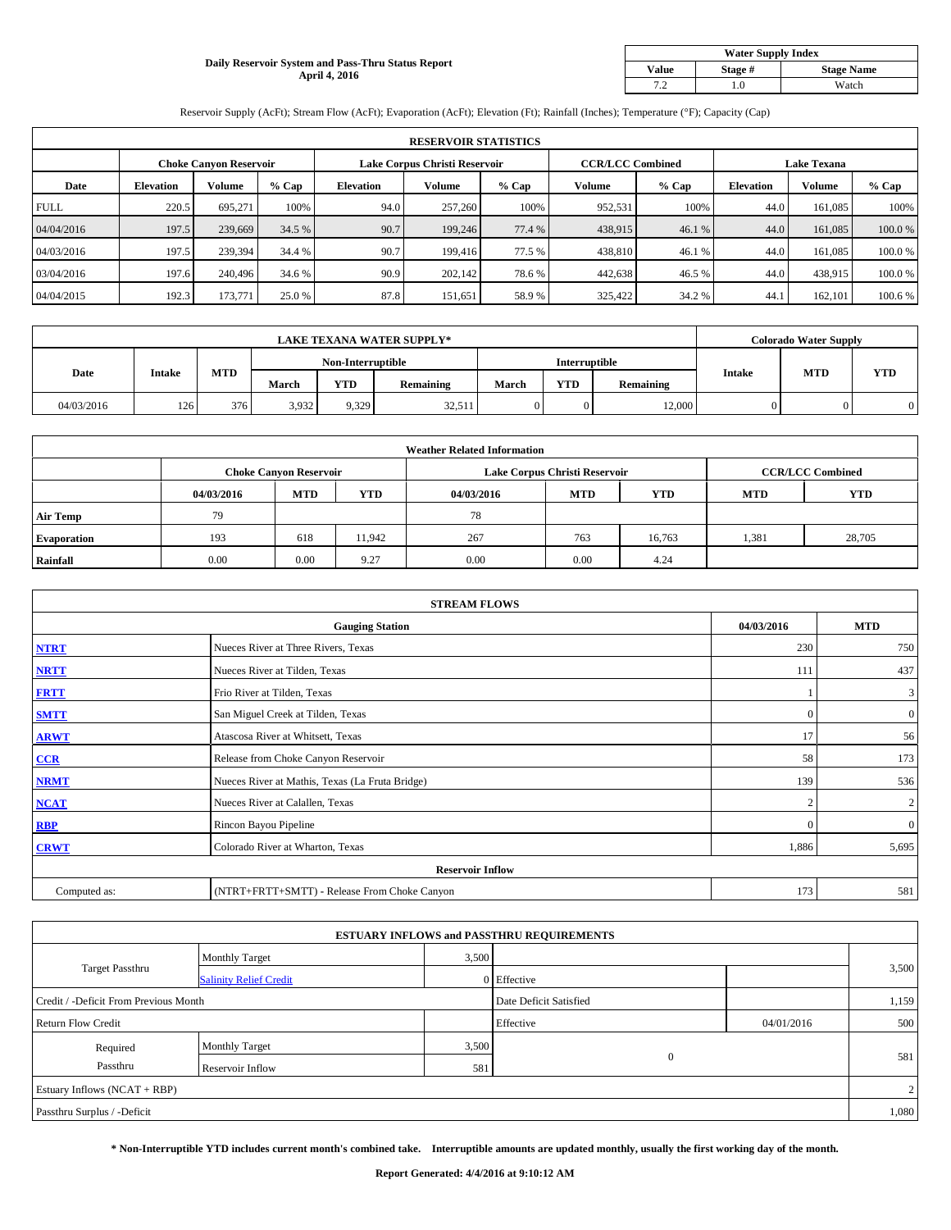## **Daily Reservoir System and Pass-Thru Status Report April 4, 2016**

| <b>Water Supply Index</b> |         |                   |  |  |  |  |  |  |
|---------------------------|---------|-------------------|--|--|--|--|--|--|
| <b>Value</b>              | Stage # | <b>Stage Name</b> |  |  |  |  |  |  |
| 7 2                       | .0      | Watch             |  |  |  |  |  |  |

Reservoir Supply (AcFt); Stream Flow (AcFt); Evaporation (AcFt); Elevation (Ft); Rainfall (Inches); Temperature (°F); Capacity (Cap)

| <b>RESERVOIR STATISTICS</b> |                  |                               |         |                               |         |         |                         |         |                    |               |        |
|-----------------------------|------------------|-------------------------------|---------|-------------------------------|---------|---------|-------------------------|---------|--------------------|---------------|--------|
|                             |                  | <b>Choke Canyon Reservoir</b> |         | Lake Corpus Christi Reservoir |         |         | <b>CCR/LCC Combined</b> |         | <b>Lake Texana</b> |               |        |
| Date                        | <b>Elevation</b> | Volume                        | $%$ Cap | <b>Elevation</b>              | Volume  | $%$ Cap | Volume                  | $%$ Cap | <b>Elevation</b>   | <b>Volume</b> | % Cap  |
| <b>FULL</b>                 | 220.5            | 695.271                       | 100%    | 94.0                          | 257,260 | 100%    | 952,531                 | 100%    | 44.0               | 161,085       | 100%   |
| 04/04/2016                  | 197.5            | 239,669                       | 34.5 %  | 90.7                          | 199,246 | 77.4 %  | 438,915                 | 46.1 %  | 44.0               | 161,085       | 100.0% |
| 04/03/2016                  | 197.5            | 239,394                       | 34.4 %  | 90.7                          | 199,416 | 77.5 %  | 438,810                 | 46.1 %  | 44.0               | 161,085       | 100.0% |
| 03/04/2016                  | 197.6            | 240,496                       | 34.6 %  | 90.9                          | 202,142 | 78.6%   | 442,638                 | 46.5%   | 44.0               | 438,915       | 100.0% |
| 04/04/2015                  | 192.3            | 173,771                       | 25.0 %  | 87.8                          | 151,651 | 58.9%   | 325,422                 | 34.2 %  | 44.1               | 162,101       | 100.6% |

| <b>LAKE TEXANA WATER SUPPLY*</b> |               |                   |       |                      |                  |       | <b>Colorado Water Supply</b> |                  |               |            |            |
|----------------------------------|---------------|-------------------|-------|----------------------|------------------|-------|------------------------------|------------------|---------------|------------|------------|
|                                  |               | Non-Interruptible |       | <b>Interruptible</b> |                  |       |                              |                  |               |            |            |
| Date                             | <b>Intake</b> | MTD               | March | YTD                  | <b>Remaining</b> | March | YTD                          | <b>Remaining</b> | <b>Intake</b> | <b>MTD</b> | <b>YTD</b> |
| 04/03/2016                       | 126           | 376               | 3,932 | 9.329                | 32,511           |       |                              | 12.000           |               |            |            |

|                    | <b>Weather Related Information</b> |                               |            |            |                               |                         |            |            |  |  |  |  |
|--------------------|------------------------------------|-------------------------------|------------|------------|-------------------------------|-------------------------|------------|------------|--|--|--|--|
|                    |                                    | <b>Choke Canyon Reservoir</b> |            |            | Lake Corpus Christi Reservoir | <b>CCR/LCC Combined</b> |            |            |  |  |  |  |
|                    | 04/03/2016                         | <b>MTD</b>                    | <b>YTD</b> | 04/03/2016 | <b>MTD</b>                    | <b>YTD</b>              | <b>MTD</b> | <b>YTD</b> |  |  |  |  |
| <b>Air Temp</b>    | 79                                 |                               |            | 78         |                               |                         |            |            |  |  |  |  |
| <b>Evaporation</b> | 193                                | 618                           | 11,942     | 267        | 763                           | 16,763                  | 1,381      | 28,705     |  |  |  |  |
| Rainfall           | 0.00                               | 0.00                          | 9.27       | 0.00       | 0.00                          | 4.24                    |            |            |  |  |  |  |

| <b>STREAM FLOWS</b> |                                                 |                |                         |  |  |  |  |  |  |
|---------------------|-------------------------------------------------|----------------|-------------------------|--|--|--|--|--|--|
|                     | <b>Gauging Station</b>                          |                |                         |  |  |  |  |  |  |
| <b>NTRT</b>         | Nueces River at Three Rivers, Texas             | 230            | 750                     |  |  |  |  |  |  |
| <b>NRTT</b>         | Nueces River at Tilden, Texas                   | 111            | 437                     |  |  |  |  |  |  |
| <b>FRTT</b>         | Frio River at Tilden, Texas                     |                | $\overline{\mathbf{3}}$ |  |  |  |  |  |  |
| <b>SMTT</b>         | San Miguel Creek at Tilden, Texas               | $\mathbf{0}$   | $\overline{0}$          |  |  |  |  |  |  |
| <b>ARWT</b>         | Atascosa River at Whitsett, Texas               | 17             | 56                      |  |  |  |  |  |  |
| CCR                 | Release from Choke Canyon Reservoir             | 58             | 173                     |  |  |  |  |  |  |
| <b>NRMT</b>         | Nueces River at Mathis, Texas (La Fruta Bridge) | 139            | 536                     |  |  |  |  |  |  |
| <b>NCAT</b>         | Nueces River at Calallen, Texas                 | $\overline{2}$ | 2                       |  |  |  |  |  |  |
| <b>RBP</b>          | Rincon Bayou Pipeline                           | $\Omega$       | $\overline{0}$          |  |  |  |  |  |  |
| <b>CRWT</b>         | Colorado River at Wharton, Texas                | 1,886          | 5,695                   |  |  |  |  |  |  |
|                     | <b>Reservoir Inflow</b>                         |                |                         |  |  |  |  |  |  |
| Computed as:        | (NTRT+FRTT+SMTT) - Release From Choke Canyon    | 173            | 581                     |  |  |  |  |  |  |

| <b>ESTUARY INFLOWS and PASSTHRU REQUIREMENTS</b> |                               |                        |              |            |       |  |  |  |  |  |  |
|--------------------------------------------------|-------------------------------|------------------------|--------------|------------|-------|--|--|--|--|--|--|
|                                                  | <b>Monthly Target</b>         | 3,500                  |              |            |       |  |  |  |  |  |  |
| <b>Target Passthru</b>                           | <b>Salinity Relief Credit</b> |                        | 0 Effective  |            | 3,500 |  |  |  |  |  |  |
| Credit / -Deficit From Previous Month            |                               | Date Deficit Satisfied |              | 1,159      |       |  |  |  |  |  |  |
| <b>Return Flow Credit</b>                        |                               |                        | Effective    | 04/01/2016 | 500   |  |  |  |  |  |  |
| Required                                         | <b>Monthly Target</b>         | 3,500                  |              |            |       |  |  |  |  |  |  |
| Passthru                                         | Reservoir Inflow              | 581                    | $\mathbf{0}$ |            | 581   |  |  |  |  |  |  |
| Estuary Inflows (NCAT + RBP)                     |                               |                        |              |            |       |  |  |  |  |  |  |
| Passthru Surplus / -Deficit                      |                               |                        |              |            | 1,080 |  |  |  |  |  |  |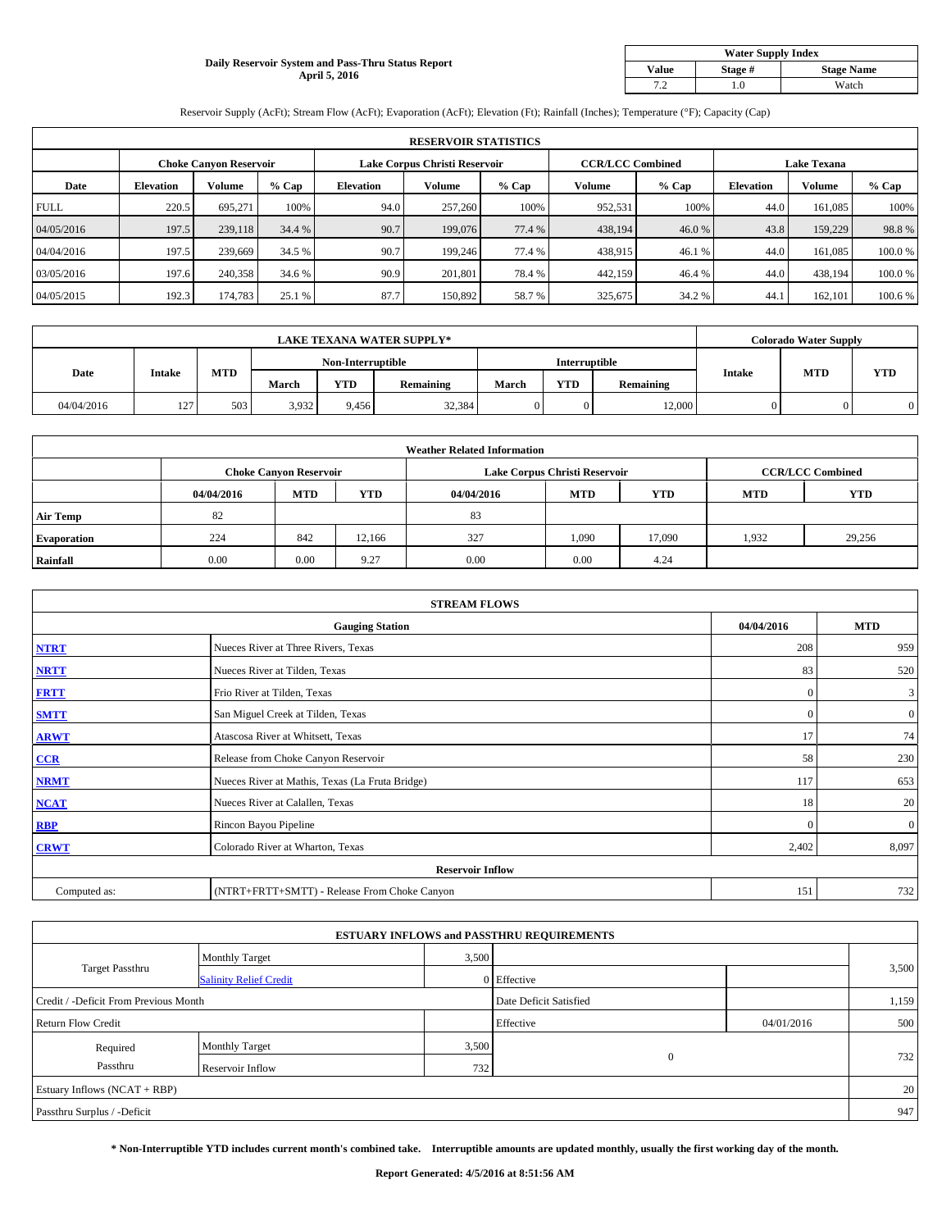### **Daily Reservoir System and Pass-Thru Status Report April 5, 2016**

| <b>Water Supply Index</b> |         |                   |  |  |  |  |  |  |
|---------------------------|---------|-------------------|--|--|--|--|--|--|
| <b>Value</b>              | Stage # | <b>Stage Name</b> |  |  |  |  |  |  |
| 7 2                       | .0      | Watch             |  |  |  |  |  |  |

Reservoir Supply (AcFt); Stream Flow (AcFt); Evaporation (AcFt); Elevation (Ft); Rainfall (Inches); Temperature (°F); Capacity (Cap)

|             | <b>RESERVOIR STATISTICS</b> |                               |         |                               |         |         |                         |         |                    |               |        |  |
|-------------|-----------------------------|-------------------------------|---------|-------------------------------|---------|---------|-------------------------|---------|--------------------|---------------|--------|--|
|             |                             | <b>Choke Canyon Reservoir</b> |         | Lake Corpus Christi Reservoir |         |         | <b>CCR/LCC Combined</b> |         | <b>Lake Texana</b> |               |        |  |
| Date        | <b>Elevation</b>            | Volume                        | $%$ Cap | <b>Elevation</b>              | Volume  | $%$ Cap | Volume                  | $%$ Cap | <b>Elevation</b>   | <b>Volume</b> | % Cap  |  |
| <b>FULL</b> | 220.5                       | 695.271                       | 100%    | 94.0                          | 257,260 | 100%    | 952,531                 | 100%    | 44.0               | 161,085       | 100%   |  |
| 04/05/2016  | 197.5                       | 239,118                       | 34.4 %  | 90.7                          | 199,076 | 77.4 %  | 438,194                 | 46.0%   | 43.8               | 159,229       | 98.8%  |  |
| 04/04/2016  | 197.5                       | 239,669                       | 34.5 %  | 90.7                          | 199,246 | 77.4 %  | 438,915                 | 46.1 %  | 44.0               | 161,085       | 100.0% |  |
| 03/05/2016  | 197.6                       | 240,358                       | 34.6 %  | 90.9                          | 201.801 | 78.4 %  | 442,159                 | 46.4%   | 44.0               | 438,194       | 100.0% |  |
| 04/05/2015  | 192.3                       | 174,783                       | 25.1 %  | 87.7                          | 150,892 | 58.7%   | 325,675                 | 34.2 %  | 44.1               | 162,101       | 100.6% |  |

| <b>LAKE TEXANA WATER SUPPLY*</b> |               |     |                   |       |                  |                      | <b>Colorado Water Supply</b> |                  |               |            |            |
|----------------------------------|---------------|-----|-------------------|-------|------------------|----------------------|------------------------------|------------------|---------------|------------|------------|
|                                  |               |     | Non-Interruptible |       |                  | <b>Interruptible</b> |                              |                  |               |            |            |
| Date                             | <b>Intake</b> | MTD | March             | YTD   | <b>Remaining</b> | March                | YTD                          | <b>Remaining</b> | <b>Intake</b> | <b>MTD</b> | <b>YTD</b> |
| 04/04/2016                       | 127<br>1/2    | 503 | 3,932             | 9.456 | 32,384           |                      |                              | 12.000           |               |            |            |

|                    | <b>Weather Related Information</b> |                               |        |            |                               |                         |            |            |  |  |  |  |
|--------------------|------------------------------------|-------------------------------|--------|------------|-------------------------------|-------------------------|------------|------------|--|--|--|--|
|                    |                                    | <b>Choke Canyon Reservoir</b> |        |            | Lake Corpus Christi Reservoir | <b>CCR/LCC Combined</b> |            |            |  |  |  |  |
|                    | 04/04/2016                         | <b>MTD</b>                    | YTD    | 04/04/2016 | <b>MTD</b>                    | <b>YTD</b>              | <b>MTD</b> | <b>YTD</b> |  |  |  |  |
| <b>Air Temp</b>    | 82                                 |                               |        | 83         |                               |                         |            |            |  |  |  |  |
| <b>Evaporation</b> | 224                                | 842                           | 12.166 | 327        | 1,090                         | 17,090                  | 1,932      | 29,256     |  |  |  |  |
| Rainfall           | 0.00                               | 0.00                          | 9.27   | 0.00       | 0.00                          | 4.24                    |            |            |  |  |  |  |

| <b>STREAM FLOWS</b> |                                                 |              |                |  |  |  |  |  |  |
|---------------------|-------------------------------------------------|--------------|----------------|--|--|--|--|--|--|
|                     | <b>Gauging Station</b>                          | 04/04/2016   | <b>MTD</b>     |  |  |  |  |  |  |
| <b>NTRT</b>         | Nueces River at Three Rivers, Texas             | 208          | 959            |  |  |  |  |  |  |
| <b>NRTT</b>         | Nueces River at Tilden, Texas                   | 83           | 520            |  |  |  |  |  |  |
| <b>FRTT</b>         | Frio River at Tilden, Texas                     | $\Omega$     | $\mathbf{3}$   |  |  |  |  |  |  |
| <b>SMTT</b>         | San Miguel Creek at Tilden, Texas               | $\mathbf{0}$ | $\overline{0}$ |  |  |  |  |  |  |
| <b>ARWT</b>         | Atascosa River at Whitsett, Texas               | 17           | 74             |  |  |  |  |  |  |
| CCR                 | Release from Choke Canyon Reservoir             | 58           | 230            |  |  |  |  |  |  |
| <b>NRMT</b>         | Nueces River at Mathis, Texas (La Fruta Bridge) | 117          | 653            |  |  |  |  |  |  |
| <b>NCAT</b>         | Nueces River at Calallen, Texas                 | 18           | 20             |  |  |  |  |  |  |
| <b>RBP</b>          | Rincon Bayou Pipeline                           | $\Omega$     | $\mathbf{0}$   |  |  |  |  |  |  |
| <b>CRWT</b>         | Colorado River at Wharton, Texas                | 2,402        | 8,097          |  |  |  |  |  |  |
|                     | <b>Reservoir Inflow</b>                         |              |                |  |  |  |  |  |  |
| Computed as:        | (NTRT+FRTT+SMTT) - Release From Choke Canyon    | 151          | 732            |  |  |  |  |  |  |

| <b>ESTUARY INFLOWS and PASSTHRU REQUIREMENTS</b> |                               |       |                        |            |           |  |  |  |  |  |
|--------------------------------------------------|-------------------------------|-------|------------------------|------------|-----------|--|--|--|--|--|
|                                                  | <b>Monthly Target</b>         | 3,500 |                        |            |           |  |  |  |  |  |
| <b>Target Passthru</b>                           | <b>Salinity Relief Credit</b> |       | 0 Effective            |            | 3,500     |  |  |  |  |  |
| Credit / -Deficit From Previous Month            |                               |       | Date Deficit Satisfied |            | 1,159     |  |  |  |  |  |
| <b>Return Flow Credit</b>                        |                               |       | Effective              | 04/01/2016 | 500       |  |  |  |  |  |
| Required                                         | <b>Monthly Target</b>         | 3,500 |                        |            |           |  |  |  |  |  |
| Passthru                                         | Reservoir Inflow              | 7321  | $\mathbf{0}$           |            | 732       |  |  |  |  |  |
| Estuary Inflows (NCAT + RBP)                     |                               |       |                        |            | <b>20</b> |  |  |  |  |  |
| Passthru Surplus / -Deficit                      |                               |       |                        |            | 947       |  |  |  |  |  |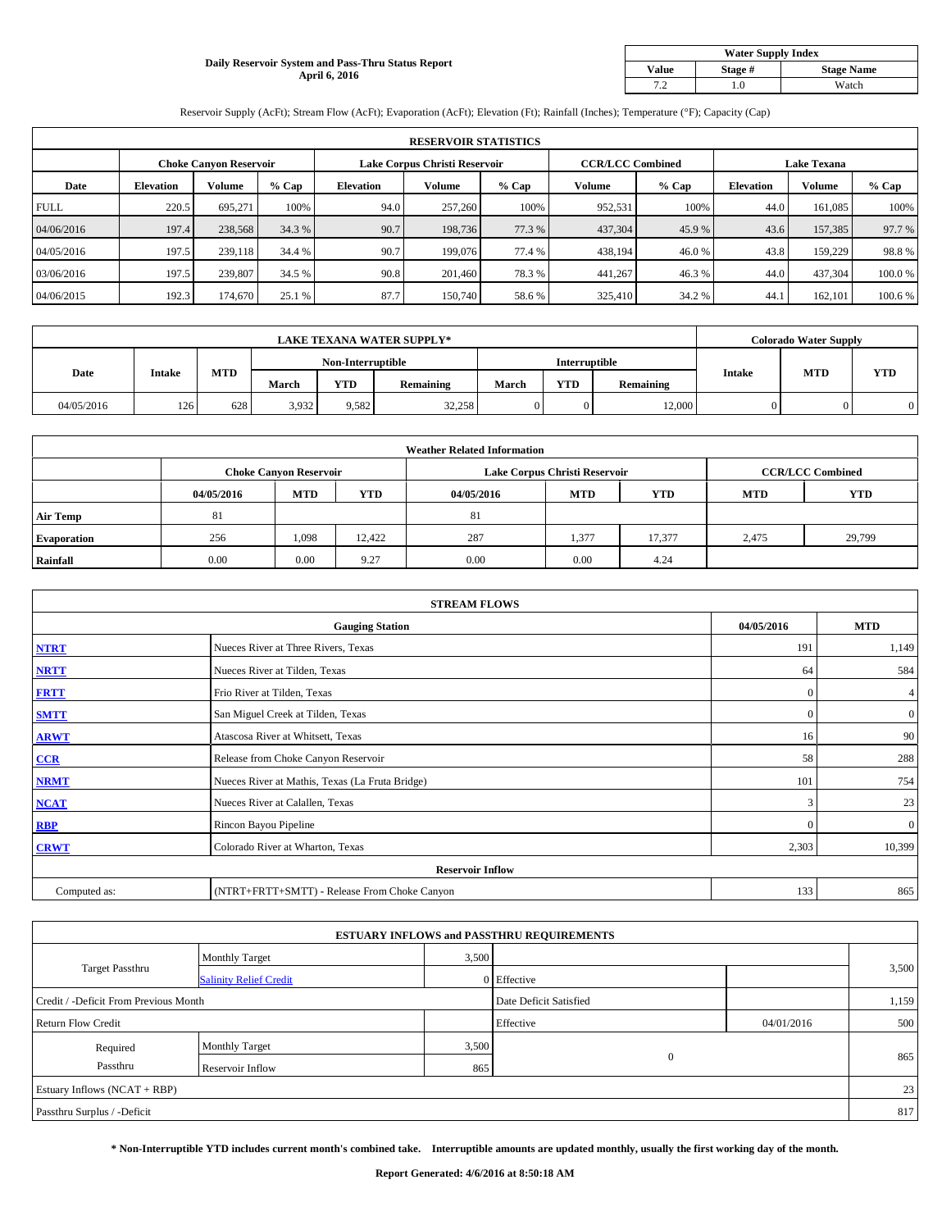## **Daily Reservoir System and Pass-Thru Status Report April 6, 2016**

| <b>Water Supply Index</b> |         |                   |  |  |  |  |  |  |
|---------------------------|---------|-------------------|--|--|--|--|--|--|
| <b>Value</b>              | Stage # | <b>Stage Name</b> |  |  |  |  |  |  |
| 7 2                       | .0      | Watch             |  |  |  |  |  |  |

Reservoir Supply (AcFt); Stream Flow (AcFt); Evaporation (AcFt); Elevation (Ft); Rainfall (Inches); Temperature (°F); Capacity (Cap)

|             | <b>RESERVOIR STATISTICS</b> |         |         |                               |               |         |                         |         |                    |               |         |  |
|-------------|-----------------------------|---------|---------|-------------------------------|---------------|---------|-------------------------|---------|--------------------|---------------|---------|--|
|             | Choke Canvon Reservoir      |         |         | Lake Corpus Christi Reservoir |               |         | <b>CCR/LCC Combined</b> |         | <b>Lake Texana</b> |               |         |  |
| Date        | <b>Elevation</b>            | Volume  | $%$ Cap | <b>Elevation</b>              | <b>Volume</b> | $%$ Cap | Volume                  | $%$ Cap | <b>Elevation</b>   | <b>Volume</b> | % Cap   |  |
| <b>FULL</b> | 220.5                       | 695.271 | 100%    | 94.0                          | 257,260       | 100%    | 952,531                 | 100%    | 44.0               | 161.085       | 100%    |  |
| 04/06/2016  | 197.4                       | 238,568 | 34.3 %  | 90.7                          | 198,736       | 77.3 %  | 437,304                 | 45.9%   | 43.6               | 157,385       | 97.7 %  |  |
| 04/05/2016  | 197.5                       | 239,118 | 34.4 %  | 90.7                          | 199,076       | 77.4 %  | 438,194                 | 46.0 %  | 43.8               | 159,229       | 98.8%   |  |
| 03/06/2016  | 197.5                       | 239,807 | 34.5 %  | 90.8                          | 201.460       | 78.3%   | 441,267                 | 46.3 %  | 44.0               | 437,304       | 100.0%  |  |
| 04/06/2015  | 192.3                       | 174,670 | 25.1 %  | 87.7                          | 150,740       | 58.6%   | 325,410                 | 34.2 %  | 44.                | 162,101       | 100.6 % |  |

| <b>LAKE TEXANA WATER SUPPLY*</b> |               |     |                   |       |                  |                      | <b>Colorado Water Supply</b> |                  |               |            |            |
|----------------------------------|---------------|-----|-------------------|-------|------------------|----------------------|------------------------------|------------------|---------------|------------|------------|
|                                  |               |     | Non-Interruptible |       |                  | <b>Interruptible</b> |                              |                  |               |            |            |
| Date                             | <b>Intake</b> | MTD | March             | YTD   | <b>Remaining</b> | March                | YTD                          | <b>Remaining</b> | <b>Intake</b> | <b>MTD</b> | <b>YTD</b> |
| 04/05/2016                       | 126           | 628 | 3,932             | 9.582 | 32,258           |                      |                              | 12.000           |               |            |            |

|                    | <b>Weather Related Information</b> |                               |        |            |                               |                         |            |            |  |  |  |  |
|--------------------|------------------------------------|-------------------------------|--------|------------|-------------------------------|-------------------------|------------|------------|--|--|--|--|
|                    |                                    | <b>Choke Canyon Reservoir</b> |        |            | Lake Corpus Christi Reservoir | <b>CCR/LCC Combined</b> |            |            |  |  |  |  |
|                    | 04/05/2016                         | <b>MTD</b>                    | YTD    | 04/05/2016 | <b>MTD</b>                    | <b>YTD</b>              | <b>MTD</b> | <b>YTD</b> |  |  |  |  |
| <b>Air Temp</b>    | 81                                 |                               |        | 81         |                               |                         |            |            |  |  |  |  |
| <b>Evaporation</b> | 256                                | 1,098                         | 12.422 | 287        | 1,377                         | 17,377                  | 2,475      | 29,799     |  |  |  |  |
| Rainfall           | 0.00                               | 0.00                          | 9.27   | 0.00       | 0.00                          | 4.24                    |            |            |  |  |  |  |

| <b>STREAM FLOWS</b> |                                                 |              |                |  |  |  |  |  |  |
|---------------------|-------------------------------------------------|--------------|----------------|--|--|--|--|--|--|
|                     | <b>Gauging Station</b>                          |              |                |  |  |  |  |  |  |
| <b>NTRT</b>         | Nueces River at Three Rivers, Texas             | 191          | 1,149          |  |  |  |  |  |  |
| <b>NRTT</b>         | Nueces River at Tilden, Texas                   | 64           | 584            |  |  |  |  |  |  |
| <b>FRTT</b>         | Frio River at Tilden, Texas                     | $\mathbf{0}$ | 4 <sup>1</sup> |  |  |  |  |  |  |
| <b>SMTT</b>         | San Miguel Creek at Tilden, Texas               | $\mathbf{0}$ | $\overline{0}$ |  |  |  |  |  |  |
| <b>ARWT</b>         | Atascosa River at Whitsett, Texas               | 16           | 90             |  |  |  |  |  |  |
| CCR                 | Release from Choke Canyon Reservoir             | 58           | 288            |  |  |  |  |  |  |
| <b>NRMT</b>         | Nueces River at Mathis, Texas (La Fruta Bridge) | 101          | 754            |  |  |  |  |  |  |
| <b>NCAT</b>         | Nueces River at Calallen, Texas                 | 3            | 23             |  |  |  |  |  |  |
| <b>RBP</b>          | Rincon Bayou Pipeline                           | $\Omega$     | $\overline{0}$ |  |  |  |  |  |  |
| <b>CRWT</b>         | Colorado River at Wharton, Texas                | 2,303        | 10,399         |  |  |  |  |  |  |
|                     | <b>Reservoir Inflow</b>                         |              |                |  |  |  |  |  |  |
| Computed as:        | (NTRT+FRTT+SMTT) - Release From Choke Canyon    | 133          | 865            |  |  |  |  |  |  |

| <b>ESTUARY INFLOWS and PASSTHRU REQUIREMENTS</b> |                               |       |                        |            |       |  |  |  |  |  |
|--------------------------------------------------|-------------------------------|-------|------------------------|------------|-------|--|--|--|--|--|
|                                                  | <b>Monthly Target</b>         | 3,500 |                        |            |       |  |  |  |  |  |
| <b>Target Passthru</b>                           | <b>Salinity Relief Credit</b> |       | 0 Effective            |            | 3,500 |  |  |  |  |  |
| Credit / -Deficit From Previous Month            |                               |       | Date Deficit Satisfied |            | 1,159 |  |  |  |  |  |
| <b>Return Flow Credit</b>                        |                               |       | Effective              | 04/01/2016 | 500   |  |  |  |  |  |
| Required                                         | <b>Monthly Target</b>         | 3,500 |                        |            |       |  |  |  |  |  |
| Passthru                                         | Reservoir Inflow              | 865   | $\mathbf{0}$           |            | 865   |  |  |  |  |  |
| Estuary Inflows (NCAT + RBP)                     |                               |       |                        |            |       |  |  |  |  |  |
| Passthru Surplus / -Deficit                      |                               |       |                        |            | 817   |  |  |  |  |  |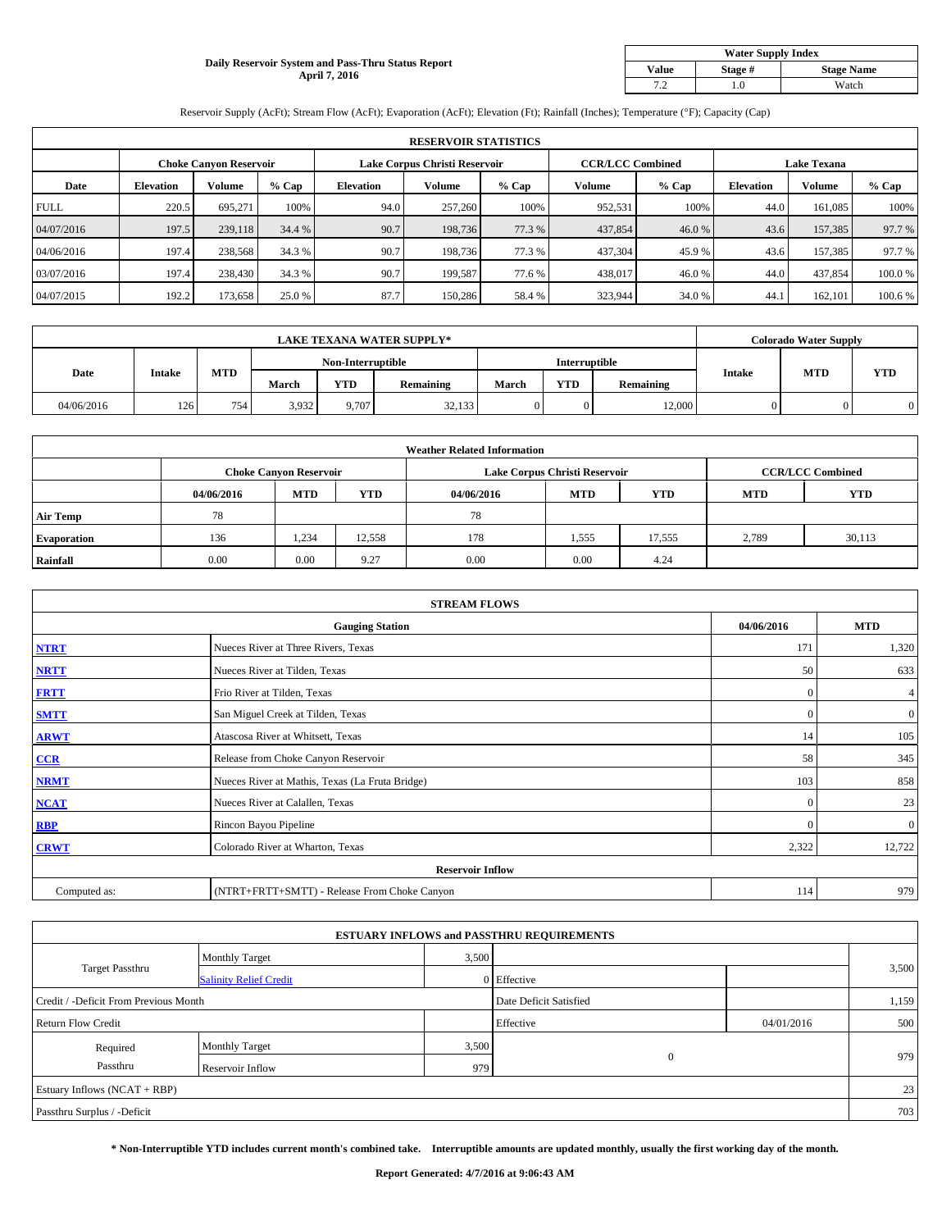### **Daily Reservoir System and Pass-Thru Status Report April 7, 2016**

| <b>Water Supply Index</b> |         |                   |  |  |  |  |  |  |
|---------------------------|---------|-------------------|--|--|--|--|--|--|
| <b>Value</b>              | Stage # | <b>Stage Name</b> |  |  |  |  |  |  |
|                           | .0      | Watch             |  |  |  |  |  |  |

Reservoir Supply (AcFt); Stream Flow (AcFt); Evaporation (AcFt); Elevation (Ft); Rainfall (Inches); Temperature (°F); Capacity (Cap)

|             | <b>RESERVOIR STATISTICS</b> |                               |         |                               |         |         |                         |         |                    |               |        |  |
|-------------|-----------------------------|-------------------------------|---------|-------------------------------|---------|---------|-------------------------|---------|--------------------|---------------|--------|--|
|             |                             | <b>Choke Canyon Reservoir</b> |         | Lake Corpus Christi Reservoir |         |         | <b>CCR/LCC Combined</b> |         | <b>Lake Texana</b> |               |        |  |
| Date        | <b>Elevation</b>            | Volume                        | $%$ Cap | <b>Elevation</b>              | Volume  | $%$ Cap | Volume                  | $%$ Cap | <b>Elevation</b>   | <b>Volume</b> | % Cap  |  |
| <b>FULL</b> | 220.5                       | 695.271                       | 100%    | 94.0                          | 257,260 | 100%    | 952,531                 | 100%    | 44.0               | 161,085       | 100%   |  |
| 04/07/2016  | 197.5                       | 239,118                       | 34.4 %  | 90.7                          | 198,736 | 77.3 %  | 437,854                 | 46.0%   | 43.6               | 157,385       | 97.7 % |  |
| 04/06/2016  | 197.4                       | 238,568                       | 34.3 %  | 90.7                          | 198.736 | 77.3 %  | 437,304                 | 45.9 %  | 43.6               | 157,385       | 97.7 % |  |
| 03/07/2016  | 197.4                       | 238,430                       | 34.3 %  | 90.7                          | 199.587 | 77.6 %  | 438,017                 | 46.0%   | 44.0               | 437,854       | 100.0% |  |
| 04/07/2015  | 192.2                       | 173,658                       | 25.0 %  | 87.7                          | 150.286 | 58.4%   | 323,944                 | 34.0%   | 44.1               | 162,101       | 100.6% |  |

| <b>LAKE TEXANA WATER SUPPLY*</b> |                   |     |       |                      |                  |       | <b>Colorado Water Supply</b> |                  |               |            |            |
|----------------------------------|-------------------|-----|-------|----------------------|------------------|-------|------------------------------|------------------|---------------|------------|------------|
|                                  | Non-Interruptible |     |       | <b>Interruptible</b> |                  |       |                              |                  |               |            |            |
| Date                             | <b>Intake</b>     | MTD | March | YTD                  | <b>Remaining</b> | March | YTD                          | <b>Remaining</b> | <b>Intake</b> | <b>MTD</b> | <b>YTD</b> |
| 04/06/2016                       | 126               | 754 | 3,932 | 9.707                | 32,133           |       |                              | 12.000           |               |            |            |

|                    |            |                               |        | <b>Weather Related Information</b> |                               |                         |            |            |
|--------------------|------------|-------------------------------|--------|------------------------------------|-------------------------------|-------------------------|------------|------------|
|                    |            | <b>Choke Canyon Reservoir</b> |        |                                    | Lake Corpus Christi Reservoir | <b>CCR/LCC Combined</b> |            |            |
|                    | 04/06/2016 | <b>MTD</b>                    | YTD    | 04/06/2016                         | <b>MTD</b>                    | <b>YTD</b>              | <b>MTD</b> | <b>YTD</b> |
| <b>Air Temp</b>    | 78         |                               |        | 78                                 |                               |                         |            |            |
| <b>Evaporation</b> | 136        | 1,234                         | 12,558 | 178                                | 1,555                         | 17,555                  | 2,789      | 30,113     |
| Rainfall           | 0.00       | 0.00                          | 9.27   | 0.00                               | 0.00                          | 4.24                    |            |            |

| <b>STREAM FLOWS</b> |                                                 |              |                |  |  |  |  |  |  |
|---------------------|-------------------------------------------------|--------------|----------------|--|--|--|--|--|--|
|                     | <b>Gauging Station</b>                          |              |                |  |  |  |  |  |  |
| <b>NTRT</b>         | Nueces River at Three Rivers, Texas             | 171          | 1,320          |  |  |  |  |  |  |
| <b>NRTT</b>         | Nueces River at Tilden, Texas                   | 50           | 633            |  |  |  |  |  |  |
| <b>FRTT</b>         | Frio River at Tilden, Texas                     | $\mathbf{0}$ | 4 <sup>1</sup> |  |  |  |  |  |  |
| <b>SMTT</b>         | San Miguel Creek at Tilden, Texas               | $\mathbf{0}$ | $\overline{0}$ |  |  |  |  |  |  |
| <b>ARWT</b>         | Atascosa River at Whitsett, Texas               | 14           | 105            |  |  |  |  |  |  |
| CCR                 | Release from Choke Canyon Reservoir             | 58           | 345            |  |  |  |  |  |  |
| <b>NRMT</b>         | Nueces River at Mathis, Texas (La Fruta Bridge) | 103          | 858            |  |  |  |  |  |  |
| <b>NCAT</b>         | Nueces River at Calallen, Texas                 | $\mathbf{0}$ | 23             |  |  |  |  |  |  |
| <b>RBP</b>          | Rincon Bayou Pipeline                           | $\mathbf{0}$ | $\overline{0}$ |  |  |  |  |  |  |
| <b>CRWT</b>         | Colorado River at Wharton, Texas                | 2,322        | 12,722         |  |  |  |  |  |  |
|                     | <b>Reservoir Inflow</b>                         |              |                |  |  |  |  |  |  |
| Computed as:        | (NTRT+FRTT+SMTT) - Release From Choke Canyon    | 114          | 979            |  |  |  |  |  |  |

| <b>ESTUARY INFLOWS and PASSTHRU REQUIREMENTS</b> |                               |       |                        |            |       |  |  |  |  |  |
|--------------------------------------------------|-------------------------------|-------|------------------------|------------|-------|--|--|--|--|--|
|                                                  | <b>Monthly Target</b>         | 3,500 |                        |            |       |  |  |  |  |  |
| <b>Target Passthru</b>                           | <b>Salinity Relief Credit</b> |       | 0 Effective            |            | 3,500 |  |  |  |  |  |
| Credit / -Deficit From Previous Month            |                               |       | Date Deficit Satisfied |            | 1,159 |  |  |  |  |  |
| <b>Return Flow Credit</b>                        |                               |       | Effective              | 04/01/2016 | 500   |  |  |  |  |  |
| Required                                         | <b>Monthly Target</b>         | 3,500 |                        |            |       |  |  |  |  |  |
| Passthru                                         | Reservoir Inflow              | 979   | $\mathbf{0}$           |            | 979   |  |  |  |  |  |
| Estuary Inflows (NCAT + RBP)                     |                               |       |                        |            |       |  |  |  |  |  |
| Passthru Surplus / -Deficit                      |                               |       |                        |            |       |  |  |  |  |  |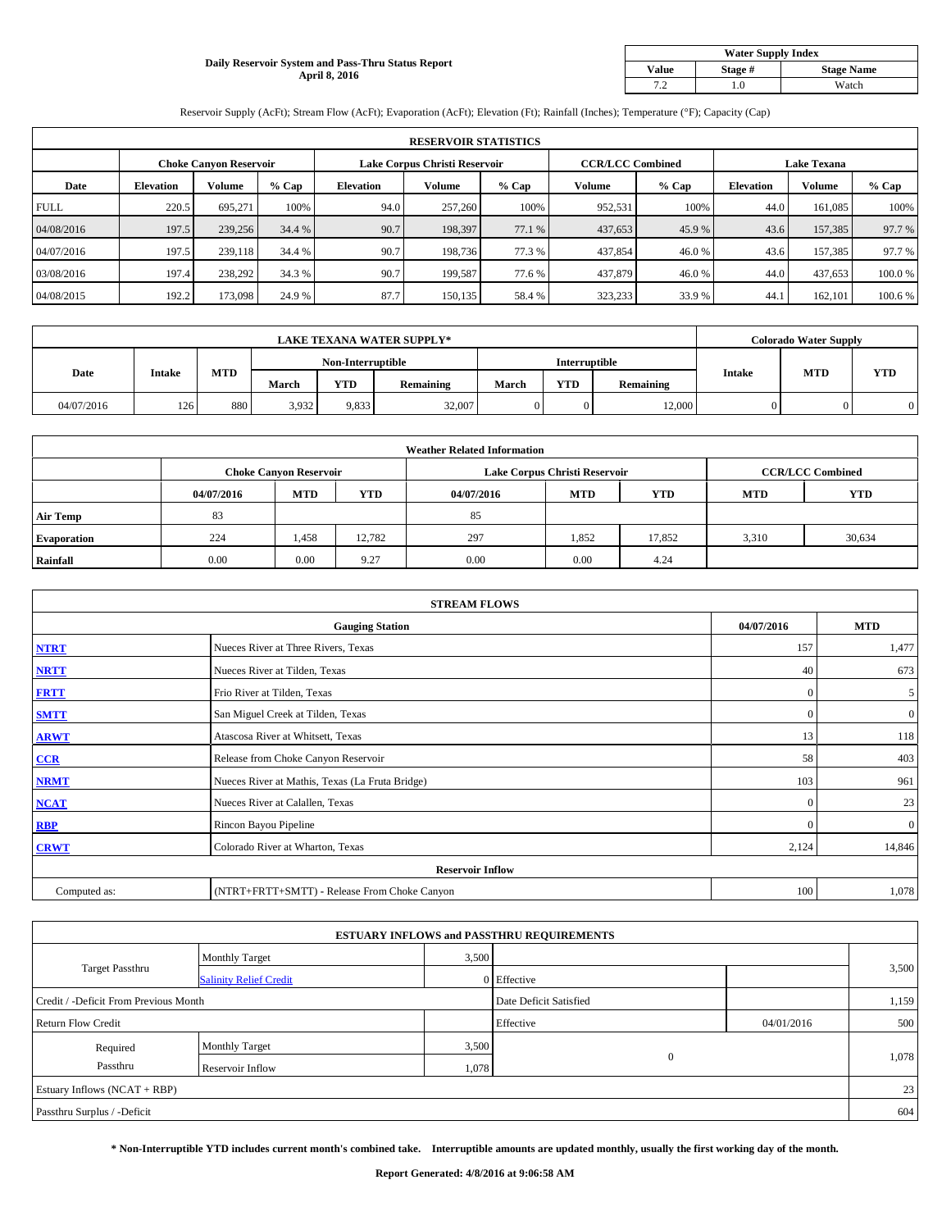## **Daily Reservoir System and Pass-Thru Status Report April 8, 2016**

| <b>Water Supply Index</b> |         |                   |  |  |  |  |  |  |
|---------------------------|---------|-------------------|--|--|--|--|--|--|
| <b>Value</b>              | Stage # | <b>Stage Name</b> |  |  |  |  |  |  |
|                           | .0      | Watch             |  |  |  |  |  |  |

Reservoir Supply (AcFt); Stream Flow (AcFt); Evaporation (AcFt); Elevation (Ft); Rainfall (Inches); Temperature (°F); Capacity (Cap)

|             | <b>RESERVOIR STATISTICS</b> |                               |         |                               |         |         |                         |         |                    |         |         |  |
|-------------|-----------------------------|-------------------------------|---------|-------------------------------|---------|---------|-------------------------|---------|--------------------|---------|---------|--|
|             |                             | <b>Choke Canyon Reservoir</b> |         | Lake Corpus Christi Reservoir |         |         | <b>CCR/LCC Combined</b> |         | <b>Lake Texana</b> |         |         |  |
| Date        | <b>Elevation</b>            | Volume                        | $%$ Cap | <b>Elevation</b>              | Volume  | $%$ Cap | Volume                  | $%$ Cap | <b>Elevation</b>   | Volume  | % Cap   |  |
| <b>FULL</b> | 220.5                       | 695.271                       | 100%    | 94.0                          | 257,260 | 100%    | 952,531                 | 100%    | 44.0               | 161,085 | 100%    |  |
| 04/08/2016  | 197.5                       | 239,256                       | 34.4 %  | 90.7                          | 198,397 | 77.1 %  | 437,653                 | 45.9%   | 43.6               | 157,385 | 97.7 %  |  |
| 04/07/2016  | 197.5                       | 239,118                       | 34.4 %  | 90.7                          | 198.736 | 77.3 %  | 437,854                 | 46.0 %  | 43.6               | 157,385 | 97.7 %  |  |
| 03/08/2016  | 197.4                       | 238,292                       | 34.3 %  | 90.7                          | 199.587 | 77.6 %  | 437,879                 | 46.0%   | 44.0               | 437,653 | 100.0 % |  |
| 04/08/2015  | 192.2                       | 173,098                       | 24.9 %  | 87.7                          | 150,135 | 58.4%   | 323,233                 | 33.9%   | 44.1               | 162,101 | 100.6 % |  |

| <b>LAKE TEXANA WATER SUPPLY*</b> |               |     |       |                   |                  |                      | <b>Colorado Water Supply</b> |                  |               |            |            |
|----------------------------------|---------------|-----|-------|-------------------|------------------|----------------------|------------------------------|------------------|---------------|------------|------------|
|                                  |               |     |       | Non-Interruptible |                  | <b>Interruptible</b> |                              |                  |               |            |            |
| Date                             | <b>Intake</b> | MTD | March | YTD               | <b>Remaining</b> | March                | YTD                          | <b>Remaining</b> | <b>Intake</b> | <b>MTD</b> | <b>YTD</b> |
| 04/07/2016                       | 126           | 880 | 3,932 | 9,833             | 32,007           |                      |                              | 12.000           |               |            |            |

|                    |            |                               |        | <b>Weather Related Information</b> |                               |                         |            |            |
|--------------------|------------|-------------------------------|--------|------------------------------------|-------------------------------|-------------------------|------------|------------|
|                    |            | <b>Choke Canyon Reservoir</b> |        |                                    | Lake Corpus Christi Reservoir | <b>CCR/LCC Combined</b> |            |            |
|                    | 04/07/2016 | <b>MTD</b>                    | YTD    | 04/07/2016                         | <b>MTD</b>                    | <b>YTD</b>              | <b>MTD</b> | <b>YTD</b> |
| <b>Air Temp</b>    | 83         |                               |        | 85                                 |                               |                         |            |            |
| <b>Evaporation</b> | 224        | 1,458                         | 12.782 | 297                                | 1,852                         | 17,852                  | 3,310      | 30,634     |
| Rainfall           | 0.00       | 0.00                          | 9.27   | 0.00                               | 0.00                          | 4.24                    |            |            |

| <b>STREAM FLOWS</b> |                                                 |              |                |  |  |  |  |  |  |
|---------------------|-------------------------------------------------|--------------|----------------|--|--|--|--|--|--|
|                     | <b>Gauging Station</b>                          | 04/07/2016   | <b>MTD</b>     |  |  |  |  |  |  |
| <b>NTRT</b>         | Nueces River at Three Rivers, Texas             | 157          | 1,477          |  |  |  |  |  |  |
| <b>NRTT</b>         | Nueces River at Tilden, Texas                   | 40           | 673            |  |  |  |  |  |  |
| <b>FRTT</b>         | Frio River at Tilden, Texas                     | $\mathbf{0}$ | 5 <sup>1</sup> |  |  |  |  |  |  |
| <b>SMTT</b>         | San Miguel Creek at Tilden, Texas               | $\mathbf{0}$ | $\overline{0}$ |  |  |  |  |  |  |
| <b>ARWT</b>         | Atascosa River at Whitsett, Texas               | 13           | 118            |  |  |  |  |  |  |
| CCR                 | Release from Choke Canyon Reservoir             | 58           | 403            |  |  |  |  |  |  |
| <b>NRMT</b>         | Nueces River at Mathis, Texas (La Fruta Bridge) | 103          | 961            |  |  |  |  |  |  |
| <b>NCAT</b>         | Nueces River at Calallen, Texas                 | $\mathbf{0}$ | 23             |  |  |  |  |  |  |
| <b>RBP</b>          | Rincon Bayou Pipeline                           | $\Omega$     | $\mathbf{0}$   |  |  |  |  |  |  |
| <b>CRWT</b>         | Colorado River at Wharton, Texas                | 2,124        | 14,846         |  |  |  |  |  |  |
|                     | <b>Reservoir Inflow</b>                         |              |                |  |  |  |  |  |  |
| Computed as:        | (NTRT+FRTT+SMTT) - Release From Choke Canyon    | 100          | 1,078          |  |  |  |  |  |  |

|                                       |                               |                        | <b>ESTUARY INFLOWS and PASSTHRU REQUIREMENTS</b> |            |       |  |  |  |
|---------------------------------------|-------------------------------|------------------------|--------------------------------------------------|------------|-------|--|--|--|
|                                       | <b>Monthly Target</b>         | 3,500                  |                                                  |            |       |  |  |  |
| <b>Target Passthru</b>                | <b>Salinity Relief Credit</b> |                        | 0 Effective                                      |            | 3,500 |  |  |  |
| Credit / -Deficit From Previous Month |                               | Date Deficit Satisfied |                                                  | 1,159      |       |  |  |  |
| <b>Return Flow Credit</b>             |                               |                        | Effective                                        | 04/01/2016 | 500   |  |  |  |
| Required                              | <b>Monthly Target</b>         | 3,500                  |                                                  |            |       |  |  |  |
| Passthru                              | Reservoir Inflow              | 1,078                  | $\mathbf{0}$                                     |            | 1,078 |  |  |  |
| Estuary Inflows (NCAT + RBP)          |                               |                        |                                                  |            |       |  |  |  |
| Passthru Surplus / -Deficit           |                               |                        |                                                  |            | 604   |  |  |  |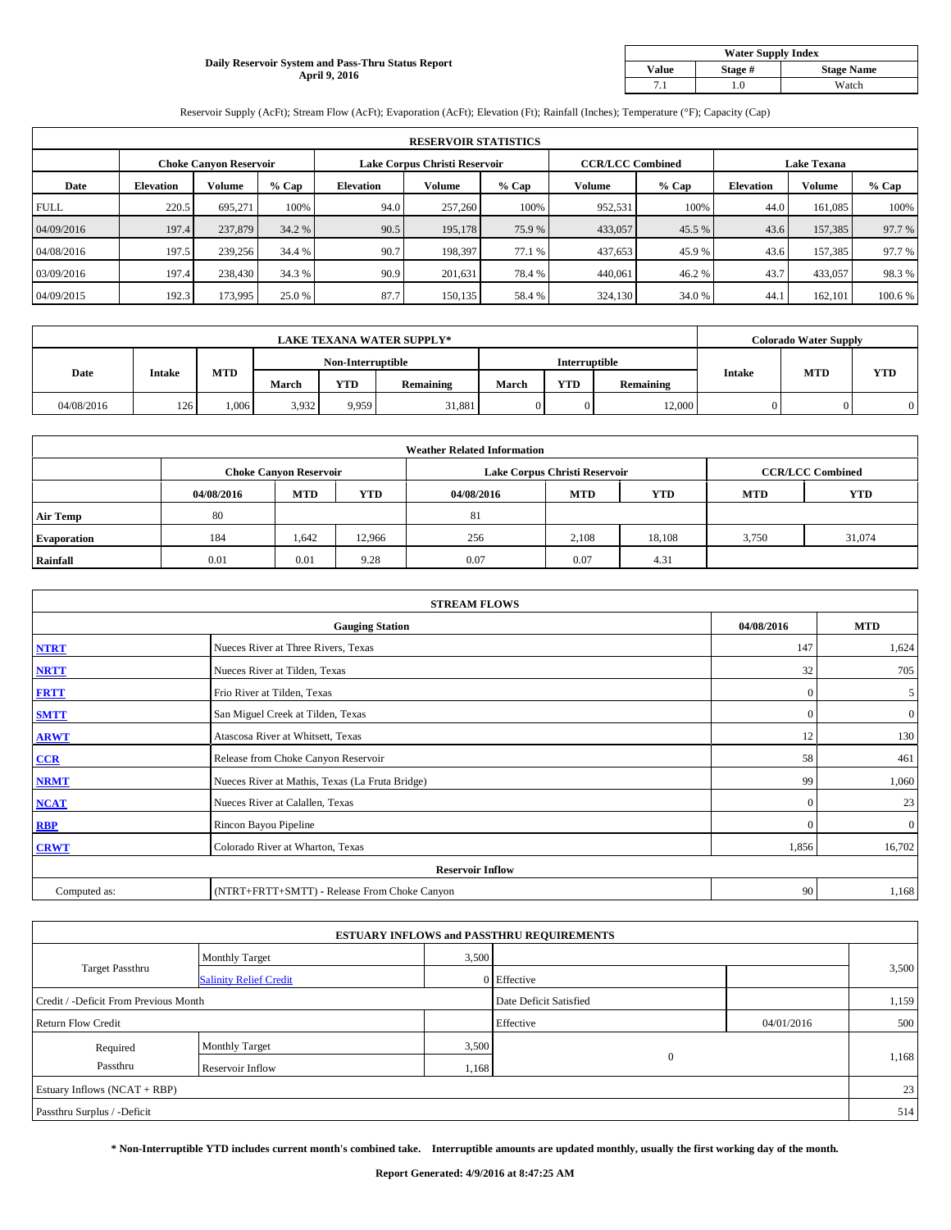### **Daily Reservoir System and Pass-Thru Status Report April 9, 2016**

| <b>Water Supply Index</b> |         |                   |  |  |  |  |  |  |
|---------------------------|---------|-------------------|--|--|--|--|--|--|
| <b>Value</b>              | Stage # | <b>Stage Name</b> |  |  |  |  |  |  |
|                           | .0      | Watch             |  |  |  |  |  |  |

Reservoir Supply (AcFt); Stream Flow (AcFt); Evaporation (AcFt); Elevation (Ft); Rainfall (Inches); Temperature (°F); Capacity (Cap)

|             | <b>RESERVOIR STATISTICS</b> |                        |         |                               |               |         |                         |         |                    |               |         |  |
|-------------|-----------------------------|------------------------|---------|-------------------------------|---------------|---------|-------------------------|---------|--------------------|---------------|---------|--|
|             |                             | Choke Canvon Reservoir |         | Lake Corpus Christi Reservoir |               |         | <b>CCR/LCC Combined</b> |         | <b>Lake Texana</b> |               |         |  |
| Date        | <b>Elevation</b>            | Volume                 | $%$ Cap | <b>Elevation</b>              | <b>Volume</b> | $%$ Cap | Volume                  | $%$ Cap | <b>Elevation</b>   | <b>Volume</b> | % Cap   |  |
| <b>FULL</b> | 220.5                       | 695.271                | 100%    | 94.0                          | 257,260       | 100%    | 952,531                 | 100%    | 44.0               | 161.085       | 100%    |  |
| 04/09/2016  | 197.4                       | 237,879                | 34.2 %  | 90.5                          | 195,178       | 75.9%   | 433,057                 | 45.5 %  | 43.6               | 157,385       | 97.7 %  |  |
| 04/08/2016  | 197.5                       | 239,256                | 34.4 %  | 90.7                          | 198.397       | 77.1 %  | 437,653                 | 45.9 %  | 43.6               | 157.385       | 97.7 %  |  |
| 03/09/2016  | 197.4                       | 238,430                | 34.3 %  | 90.9                          | 201.631       | 78.4 %  | 440,061                 | 46.2%   | 43.7               | 433,057       | 98.3%   |  |
| 04/09/2015  | 192.3                       | 173,995                | 25.0 %  | 87.7                          | 150,135       | 58.4 %  | 324,130                 | 34.0 %  | 44.                | 162,101       | 100.6 % |  |

| <b>LAKE TEXANA WATER SUPPLY*</b> |               |       |                   |            |           |                      |            | <b>Colorado Water Supply</b> |        |            |            |
|----------------------------------|---------------|-------|-------------------|------------|-----------|----------------------|------------|------------------------------|--------|------------|------------|
|                                  |               |       | Non-Interruptible |            |           | <b>Interruptible</b> |            |                              |        |            |            |
| Date                             | <b>Intake</b> | MTD   | March             | <b>YTD</b> | Remaining | March                | <b>YTD</b> | Remaining                    | Intake | <b>MTD</b> | <b>YTD</b> |
| 04/08/2016                       | 126           | 1.006 | 3,932             | 9,959      | 31,881    |                      |            | 12,000                       |        |            |            |

|                    | <b>Weather Related Information</b> |                               |            |            |                               |                         |            |            |  |  |  |  |
|--------------------|------------------------------------|-------------------------------|------------|------------|-------------------------------|-------------------------|------------|------------|--|--|--|--|
|                    |                                    | <b>Choke Canyon Reservoir</b> |            |            | Lake Corpus Christi Reservoir | <b>CCR/LCC Combined</b> |            |            |  |  |  |  |
|                    | 04/08/2016                         | <b>MTD</b>                    | <b>YTD</b> | 04/08/2016 | <b>MTD</b>                    | <b>YTD</b>              | <b>MTD</b> | <b>YTD</b> |  |  |  |  |
| <b>Air Temp</b>    | 80                                 |                               |            | 81         |                               |                         |            |            |  |  |  |  |
| <b>Evaporation</b> | 184                                | 1,642                         | 12,966     | 256        | 2,108                         | 18,108                  | 3,750      | 31,074     |  |  |  |  |
| Rainfall           | 0.01                               | 0.01                          | 9.28       | 0.07       | 0.07                          | 4.31                    |            |            |  |  |  |  |

| <b>STREAM FLOWS</b> |                                                 |              |                |  |  |  |  |  |  |
|---------------------|-------------------------------------------------|--------------|----------------|--|--|--|--|--|--|
|                     | <b>Gauging Station</b>                          | 04/08/2016   | <b>MTD</b>     |  |  |  |  |  |  |
| <b>NTRT</b>         | Nueces River at Three Rivers, Texas             | 147          | 1,624          |  |  |  |  |  |  |
| <b>NRTT</b>         | Nueces River at Tilden, Texas                   | 32           | 705            |  |  |  |  |  |  |
| <b>FRTT</b>         | Frio River at Tilden, Texas                     | $\mathbf{0}$ | 5              |  |  |  |  |  |  |
| <b>SMTT</b>         | San Miguel Creek at Tilden, Texas               | $\mathbf{0}$ | $\overline{0}$ |  |  |  |  |  |  |
| <b>ARWT</b>         | Atascosa River at Whitsett, Texas               | 12           | 130            |  |  |  |  |  |  |
| CCR                 | Release from Choke Canyon Reservoir             | 58           | 461            |  |  |  |  |  |  |
| <b>NRMT</b>         | Nueces River at Mathis, Texas (La Fruta Bridge) | 99           | 1,060          |  |  |  |  |  |  |
| <b>NCAT</b>         | Nueces River at Calallen, Texas                 | $\mathbf{0}$ | 23             |  |  |  |  |  |  |
| <b>RBP</b>          | Rincon Bayou Pipeline                           | $\Omega$     | $\overline{0}$ |  |  |  |  |  |  |
| <b>CRWT</b>         | Colorado River at Wharton, Texas                | 1,856        | 16,702         |  |  |  |  |  |  |
|                     | <b>Reservoir Inflow</b>                         |              |                |  |  |  |  |  |  |
| Computed as:        | (NTRT+FRTT+SMTT) - Release From Choke Canyon    | 90           | 1,168          |  |  |  |  |  |  |

| <b>ESTUARY INFLOWS and PASSTHRU REQUIREMENTS</b> |                               |                        |              |            |       |  |  |  |  |  |
|--------------------------------------------------|-------------------------------|------------------------|--------------|------------|-------|--|--|--|--|--|
|                                                  | <b>Monthly Target</b>         | 3,500                  |              |            |       |  |  |  |  |  |
| <b>Target Passthru</b>                           | <b>Salinity Relief Credit</b> |                        | 0 Effective  |            | 3,500 |  |  |  |  |  |
| Credit / -Deficit From Previous Month            |                               | Date Deficit Satisfied |              | 1,159      |       |  |  |  |  |  |
| <b>Return Flow Credit</b>                        |                               |                        | Effective    | 04/01/2016 | 500   |  |  |  |  |  |
| Required                                         | <b>Monthly Target</b>         | 3,500                  |              |            |       |  |  |  |  |  |
| Passthru                                         | Reservoir Inflow              | 1,168                  | $\mathbf{0}$ |            | 1,168 |  |  |  |  |  |
| Estuary Inflows (NCAT + RBP)                     |                               |                        |              |            |       |  |  |  |  |  |
| Passthru Surplus / -Deficit                      |                               |                        |              |            | 514   |  |  |  |  |  |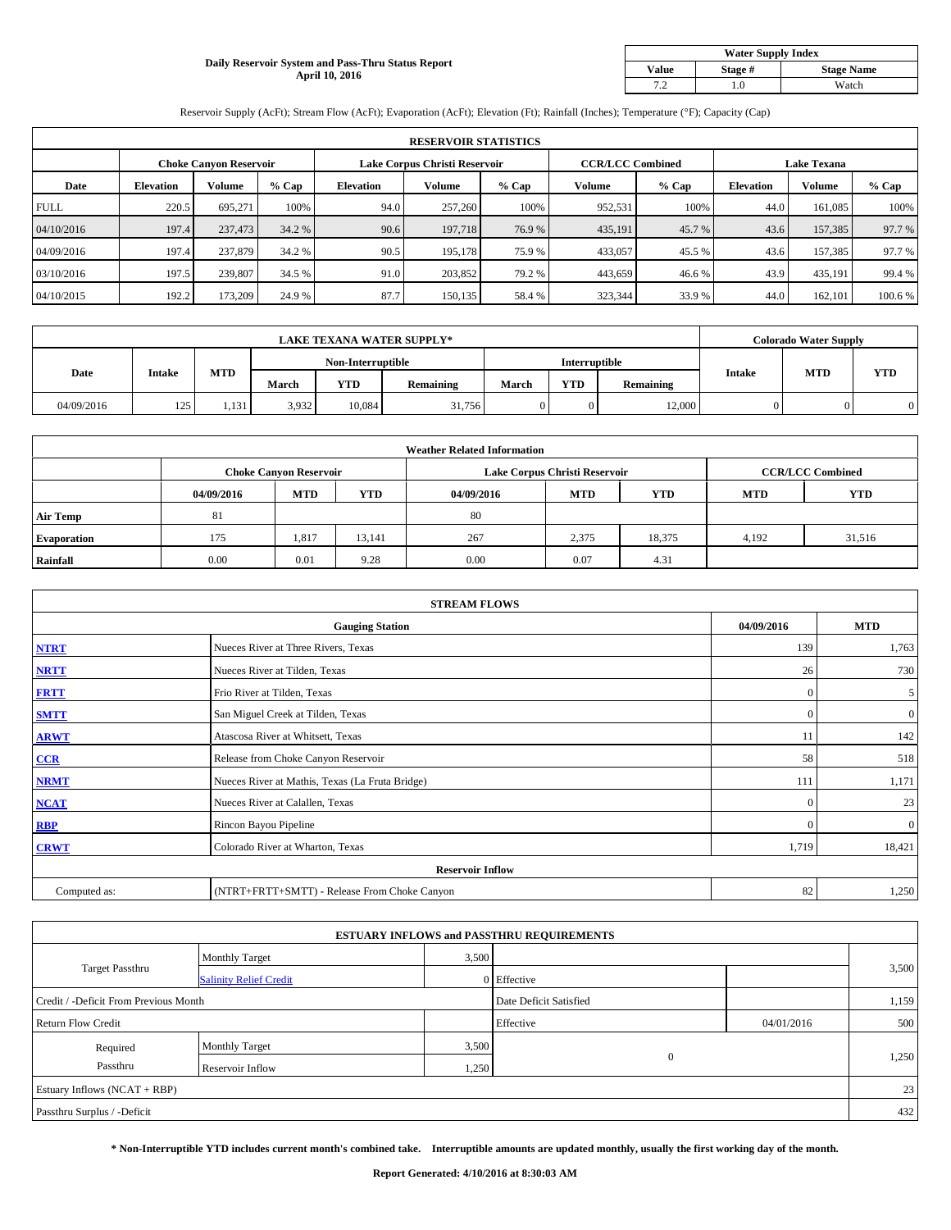## **Daily Reservoir System and Pass-Thru Status Report April 10, 2016**

| <b>Water Supply Index</b> |         |                   |  |  |  |  |  |  |
|---------------------------|---------|-------------------|--|--|--|--|--|--|
| <b>Value</b>              | Stage # | <b>Stage Name</b> |  |  |  |  |  |  |
| 7 2                       | .0      | Watch             |  |  |  |  |  |  |

Reservoir Supply (AcFt); Stream Flow (AcFt); Evaporation (AcFt); Elevation (Ft); Rainfall (Inches); Temperature (°F); Capacity (Cap)

|             | <b>RESERVOIR STATISTICS</b> |                               |         |                               |         |         |                         |         |                    |               |         |  |
|-------------|-----------------------------|-------------------------------|---------|-------------------------------|---------|---------|-------------------------|---------|--------------------|---------------|---------|--|
|             |                             | <b>Choke Canvon Reservoir</b> |         | Lake Corpus Christi Reservoir |         |         | <b>CCR/LCC Combined</b> |         | <b>Lake Texana</b> |               |         |  |
| Date        | <b>Elevation</b>            | Volume                        | $%$ Cap | <b>Elevation</b>              | Volume  | $%$ Cap | Volume                  | $%$ Cap | <b>Elevation</b>   | <b>Volume</b> | % Cap   |  |
| <b>FULL</b> | 220.5                       | 695.271                       | 100%    | 94.0                          | 257,260 | 100%    | 952,531                 | 100%    | 44.0               | 161.085       | 100%    |  |
| 04/10/2016  | 197.4                       | 237,473                       | 34.2 %  | 90.6                          | 197,718 | 76.9 %  | 435,191                 | 45.7%   | 43.6               | 157,385       | 97.7 %  |  |
| 04/09/2016  | 197.4                       | 237,879                       | 34.2 %  | 90.5                          | 195.178 | 75.9 %  | 433,057                 | 45.5 %  | 43.6               | 157.385       | 97.7 %  |  |
| 03/10/2016  | 197.5                       | 239,807                       | 34.5 %  | 91.0                          | 203,852 | 79.2 %  | 443,659                 | 46.6%   | 43.9               | 435,191       | 99.4 %  |  |
| 04/10/2015  | 192.2                       | 173,209                       | 24.9 %  | 87.7                          | 150,135 | 58.4%   | 323,344                 | 33.9%   | 44.0               | 162,101       | 100.6 % |  |

| <b>LAKE TEXANA WATER SUPPLY*</b> |               |            |                   |            |                  |               |            | <b>Colorado Water Supply</b> |               |            |            |
|----------------------------------|---------------|------------|-------------------|------------|------------------|---------------|------------|------------------------------|---------------|------------|------------|
|                                  |               |            | Non-Interruptible |            |                  | Interruptible |            |                              |               |            |            |
| Date                             | <b>Intake</b> | <b>MTD</b> | March             | <b>YTD</b> | <b>Remaining</b> | March         | <b>YTD</b> | Remaining                    | <b>Intake</b> | <b>MTD</b> | <b>YTD</b> |
| 04/09/2016                       | 125           | 1.131      | 3,932             | 10.084     | 31,756           |               |            | 12,000                       |               |            |            |

|                    |            |                               |        | <b>Weather Related Information</b> |                               |                         |            |            |
|--------------------|------------|-------------------------------|--------|------------------------------------|-------------------------------|-------------------------|------------|------------|
|                    |            | <b>Choke Canyon Reservoir</b> |        |                                    | Lake Corpus Christi Reservoir | <b>CCR/LCC Combined</b> |            |            |
|                    | 04/09/2016 | <b>MTD</b>                    | YTD    | 04/09/2016                         | <b>MTD</b>                    | <b>YTD</b>              | <b>MTD</b> | <b>YTD</b> |
| <b>Air Temp</b>    | 81         |                               |        | 80                                 |                               |                         |            |            |
| <b>Evaporation</b> | 175        | 1,817                         | 13.141 | 267                                | 2,375                         | 18,375                  | 4.192      | 31,516     |
| Rainfall           | 0.00       | 0.01                          | 9.28   | 0.00                               | 0.07                          | 4.31                    |            |            |

| <b>STREAM FLOWS</b> |                                                 |              |                |  |  |  |  |  |  |
|---------------------|-------------------------------------------------|--------------|----------------|--|--|--|--|--|--|
|                     | <b>Gauging Station</b>                          | 04/09/2016   | <b>MTD</b>     |  |  |  |  |  |  |
| <b>NTRT</b>         | Nueces River at Three Rivers, Texas             | 139          | 1,763          |  |  |  |  |  |  |
| <b>NRTT</b>         | Nueces River at Tilden, Texas                   | 26           | 730            |  |  |  |  |  |  |
| <b>FRTT</b>         | Frio River at Tilden, Texas                     | $\mathbf{0}$ | 5 <sup>1</sup> |  |  |  |  |  |  |
| <b>SMTT</b>         | San Miguel Creek at Tilden, Texas               | $\mathbf{0}$ | $\overline{0}$ |  |  |  |  |  |  |
| <b>ARWT</b>         | Atascosa River at Whitsett, Texas               | 11           | 142            |  |  |  |  |  |  |
| CCR                 | Release from Choke Canyon Reservoir             | 58           | 518            |  |  |  |  |  |  |
| <b>NRMT</b>         | Nueces River at Mathis, Texas (La Fruta Bridge) | 111          | 1,171          |  |  |  |  |  |  |
| <b>NCAT</b>         | Nueces River at Calallen, Texas                 | $\mathbf{0}$ | 23             |  |  |  |  |  |  |
| <b>RBP</b>          | Rincon Bayou Pipeline                           | $\Omega$     | $\overline{0}$ |  |  |  |  |  |  |
| <b>CRWT</b>         | Colorado River at Wharton, Texas                | 1,719        | 18,421         |  |  |  |  |  |  |
|                     | <b>Reservoir Inflow</b>                         |              |                |  |  |  |  |  |  |
| Computed as:        | (NTRT+FRTT+SMTT) - Release From Choke Canyon    | 82           | 1,250          |  |  |  |  |  |  |

| <b>ESTUARY INFLOWS and PASSTHRU REQUIREMENTS</b> |                               |                        |              |            |       |  |  |  |  |  |
|--------------------------------------------------|-------------------------------|------------------------|--------------|------------|-------|--|--|--|--|--|
|                                                  | <b>Monthly Target</b>         | 3,500                  |              |            |       |  |  |  |  |  |
| <b>Target Passthru</b>                           | <b>Salinity Relief Credit</b> |                        | 0 Effective  |            | 3,500 |  |  |  |  |  |
| Credit / -Deficit From Previous Month            |                               | Date Deficit Satisfied |              | 1,159      |       |  |  |  |  |  |
| <b>Return Flow Credit</b>                        |                               |                        | Effective    | 04/01/2016 | 500   |  |  |  |  |  |
| Required                                         | <b>Monthly Target</b>         | 3,500                  |              |            |       |  |  |  |  |  |
| Passthru                                         | Reservoir Inflow              | 1,250                  | $\mathbf{0}$ |            | 1,250 |  |  |  |  |  |
| Estuary Inflows (NCAT + RBP)                     |                               |                        |              |            |       |  |  |  |  |  |
| Passthru Surplus / -Deficit                      |                               |                        |              |            | 432   |  |  |  |  |  |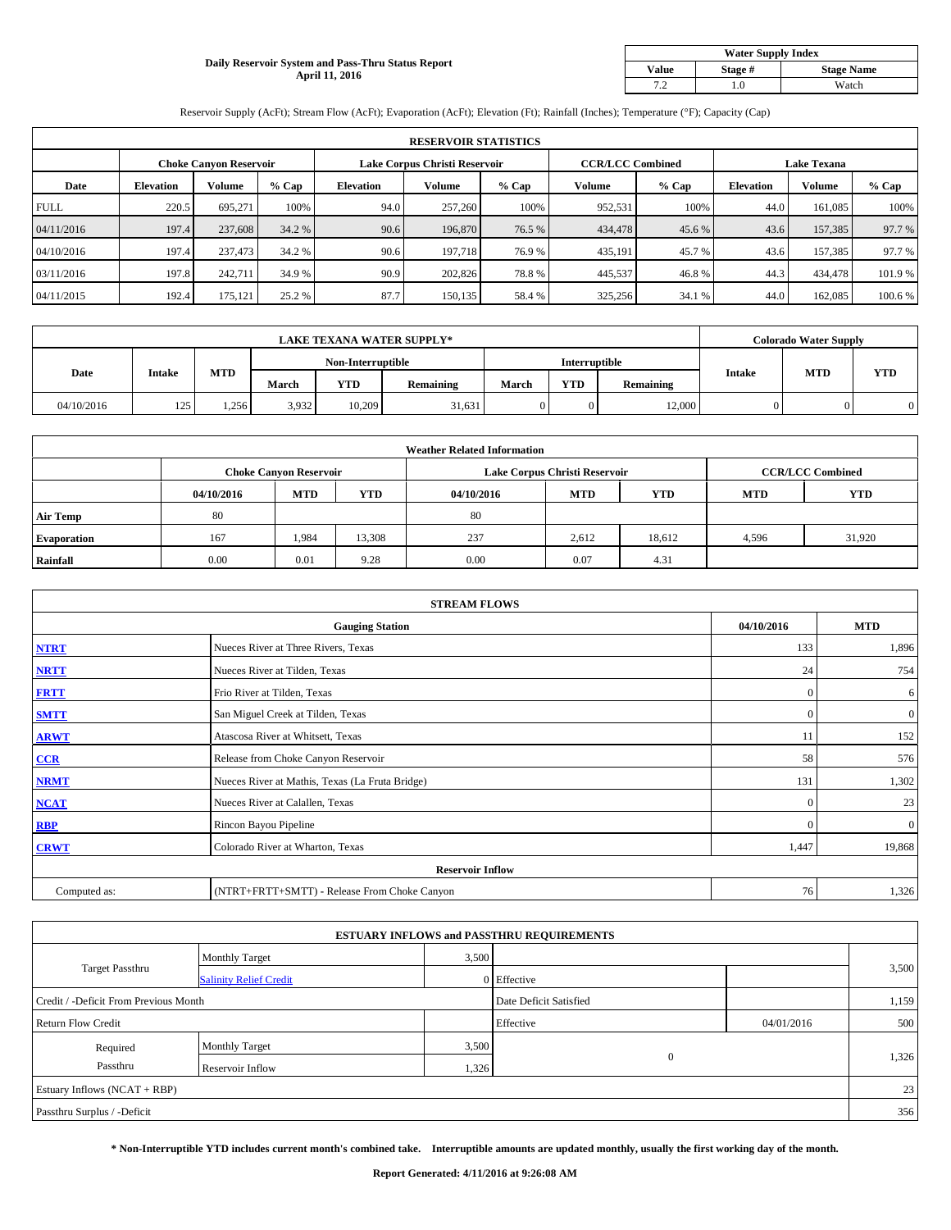### **Daily Reservoir System and Pass-Thru Status Report April 11, 2016**

| <b>Water Supply Index</b> |         |                   |  |  |  |  |  |  |
|---------------------------|---------|-------------------|--|--|--|--|--|--|
| <b>Value</b>              | Stage # | <b>Stage Name</b> |  |  |  |  |  |  |
| 7 2                       | .0      | Watch             |  |  |  |  |  |  |

Reservoir Supply (AcFt); Stream Flow (AcFt); Evaporation (AcFt); Elevation (Ft); Rainfall (Inches); Temperature (°F); Capacity (Cap)

|             | <b>RESERVOIR STATISTICS</b> |                               |         |                               |         |         |                         |         |                    |               |         |  |
|-------------|-----------------------------|-------------------------------|---------|-------------------------------|---------|---------|-------------------------|---------|--------------------|---------------|---------|--|
|             |                             | <b>Choke Canvon Reservoir</b> |         | Lake Corpus Christi Reservoir |         |         | <b>CCR/LCC Combined</b> |         | <b>Lake Texana</b> |               |         |  |
| Date        | <b>Elevation</b>            | Volume                        | $%$ Cap | <b>Elevation</b>              | Volume  | $%$ Cap | Volume                  | $%$ Cap | <b>Elevation</b>   | <b>Volume</b> | % Cap   |  |
| <b>FULL</b> | 220.5                       | 695.271                       | 100%    | 94.0                          | 257,260 | 100%    | 952,531                 | 100%    | 44.0               | 161.085       | 100%    |  |
| 04/11/2016  | 197.4                       | 237,608                       | 34.2 %  | 90.6                          | 196,870 | 76.5 %  | 434,478                 | 45.6 %  | 43.6               | 157,385       | 97.7 %  |  |
| 04/10/2016  | 197.4                       | 237,473                       | 34.2 %  | 90.6                          | 197.718 | 76.9 %  | 435,191                 | 45.7 %  | 43.6               | 157.385       | 97.7 %  |  |
| 03/11/2016  | 197.8                       | 242,711                       | 34.9 %  | 90.9                          | 202,826 | 78.8%   | 445,537                 | 46.8%   | 44.3               | 434,478       | 101.9%  |  |
| 04/11/2015  | 192.4                       | 175,121                       | 25.2 %  | 87.7                          | 150,135 | 58.4%   | 325,256                 | 34.1 %  | 44.0               | 162,085       | 100.6 % |  |

| <b>LAKE TEXANA WATER SUPPLY*</b> |               |            |       |                   |                  |                      |            | <b>Colorado Water Supply</b> |        |            |            |
|----------------------------------|---------------|------------|-------|-------------------|------------------|----------------------|------------|------------------------------|--------|------------|------------|
|                                  |               |            |       | Non-Interruptible |                  | <b>Interruptible</b> |            |                              |        |            |            |
| Date                             | <b>Intake</b> | <b>MTD</b> | March | <b>YTD</b>        | <b>Remaining</b> | March                | <b>YTD</b> | <b>Remaining</b>             | Intake | <b>MTD</b> | <b>YTD</b> |
| 04/10/2016                       | 125           | 1.256      | 3,932 | 10.209            | 31,631           |                      |            | 12,000                       |        |            |            |

|                    |            |                               |        | <b>Weather Related Information</b> |                               |                         |            |            |
|--------------------|------------|-------------------------------|--------|------------------------------------|-------------------------------|-------------------------|------------|------------|
|                    |            | <b>Choke Canyon Reservoir</b> |        |                                    | Lake Corpus Christi Reservoir | <b>CCR/LCC Combined</b> |            |            |
|                    | 04/10/2016 | <b>MTD</b>                    | YTD    | 04/10/2016                         | <b>MTD</b>                    | <b>YTD</b>              | <b>MTD</b> | <b>YTD</b> |
| <b>Air Temp</b>    | 80         |                               |        | 80                                 |                               |                         |            |            |
| <b>Evaporation</b> | 167        | 1,984                         | 13,308 | 237                                | 2,612                         | 18,612                  | 4,596      | 31,920     |
| Rainfall           | 0.00       | 0.01                          | 9.28   | 0.00                               | 0.07                          | 4.31                    |            |            |

| <b>STREAM FLOWS</b> |                                                 |              |                |  |  |  |  |  |  |
|---------------------|-------------------------------------------------|--------------|----------------|--|--|--|--|--|--|
|                     | <b>Gauging Station</b>                          |              |                |  |  |  |  |  |  |
| <b>NTRT</b>         | Nueces River at Three Rivers, Texas             | 133          | 1,896          |  |  |  |  |  |  |
| <b>NRTT</b>         | Nueces River at Tilden, Texas                   | 24           | 754            |  |  |  |  |  |  |
| <b>FRTT</b>         | Frio River at Tilden, Texas                     | $\mathbf{0}$ | 6              |  |  |  |  |  |  |
| <b>SMTT</b>         | San Miguel Creek at Tilden, Texas               | $\mathbf{0}$ | $\overline{0}$ |  |  |  |  |  |  |
| <b>ARWT</b>         | Atascosa River at Whitsett, Texas               | 11           | 152            |  |  |  |  |  |  |
| CCR                 | Release from Choke Canyon Reservoir             | 58           | 576            |  |  |  |  |  |  |
| <b>NRMT</b>         | Nueces River at Mathis, Texas (La Fruta Bridge) | 131          | 1,302          |  |  |  |  |  |  |
| <b>NCAT</b>         | Nueces River at Calallen, Texas                 | $\mathbf{0}$ | 23             |  |  |  |  |  |  |
| <b>RBP</b>          | Rincon Bayou Pipeline                           | $\mathbf{0}$ | $\mathbf{0}$   |  |  |  |  |  |  |
| <b>CRWT</b>         | Colorado River at Wharton, Texas                | 1,447        | 19,868         |  |  |  |  |  |  |
|                     | <b>Reservoir Inflow</b>                         |              |                |  |  |  |  |  |  |
| Computed as:        | (NTRT+FRTT+SMTT) - Release From Choke Canyon    | 76           | 1,326          |  |  |  |  |  |  |

| <b>ESTUARY INFLOWS and PASSTHRU REQUIREMENTS</b> |                               |       |                        |            |       |  |  |  |  |  |
|--------------------------------------------------|-------------------------------|-------|------------------------|------------|-------|--|--|--|--|--|
|                                                  | <b>Monthly Target</b>         | 3,500 |                        |            |       |  |  |  |  |  |
| <b>Target Passthru</b>                           | <b>Salinity Relief Credit</b> |       | 0 Effective            |            | 3,500 |  |  |  |  |  |
| Credit / -Deficit From Previous Month            |                               |       | Date Deficit Satisfied |            | 1,159 |  |  |  |  |  |
| <b>Return Flow Credit</b>                        |                               |       | Effective              | 04/01/2016 | 500   |  |  |  |  |  |
| Required                                         | <b>Monthly Target</b>         | 3,500 |                        |            |       |  |  |  |  |  |
| Passthru                                         | Reservoir Inflow              | 1,326 | $\mathbf{0}$           |            | 1,326 |  |  |  |  |  |
| Estuary Inflows (NCAT + RBP)                     |                               |       |                        |            |       |  |  |  |  |  |
| Passthru Surplus / -Deficit                      |                               |       |                        |            | 356   |  |  |  |  |  |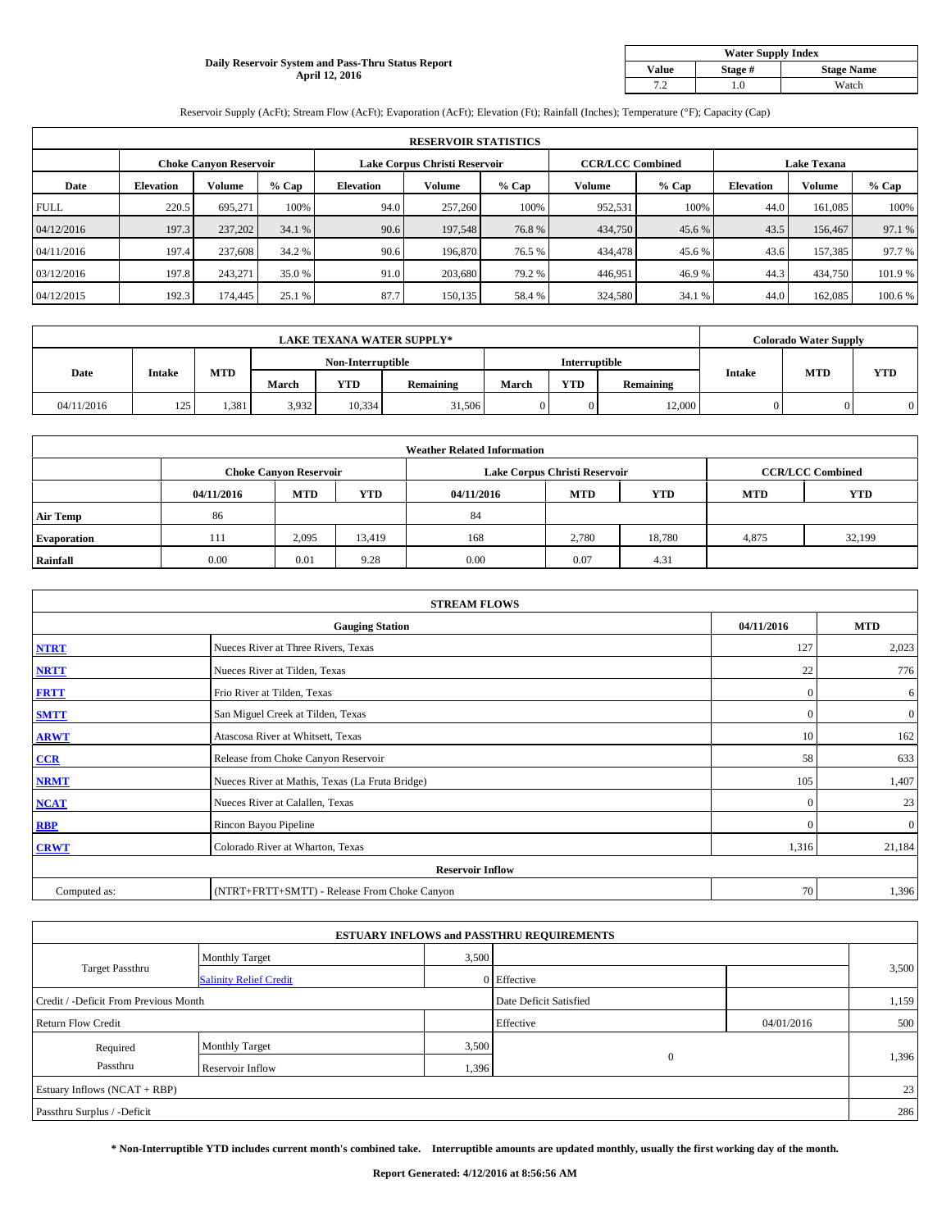### **Daily Reservoir System and Pass-Thru Status Report April 12, 2016**

| <b>Water Supply Index</b> |         |                   |  |  |  |  |  |  |
|---------------------------|---------|-------------------|--|--|--|--|--|--|
| <b>Value</b>              | Stage # | <b>Stage Name</b> |  |  |  |  |  |  |
| 7 2                       | .0      | Watch             |  |  |  |  |  |  |

Reservoir Supply (AcFt); Stream Flow (AcFt); Evaporation (AcFt); Elevation (Ft); Rainfall (Inches); Temperature (°F); Capacity (Cap)

|             | <b>RESERVOIR STATISTICS</b> |                               |         |                               |         |         |                         |         |                    |               |         |  |
|-------------|-----------------------------|-------------------------------|---------|-------------------------------|---------|---------|-------------------------|---------|--------------------|---------------|---------|--|
|             |                             | <b>Choke Canyon Reservoir</b> |         | Lake Corpus Christi Reservoir |         |         | <b>CCR/LCC Combined</b> |         | <b>Lake Texana</b> |               |         |  |
| Date        | <b>Elevation</b>            | Volume                        | $%$ Cap | <b>Elevation</b>              | Volume  | $%$ Cap | Volume                  | $%$ Cap | <b>Elevation</b>   | <b>Volume</b> | % Cap   |  |
| <b>FULL</b> | 220.5                       | 695.271                       | 100%    | 94.0                          | 257,260 | 100%    | 952,531                 | 100%    | 44.0               | 161.085       | 100%    |  |
| 04/12/2016  | 197.3                       | 237,202                       | 34.1 %  | 90.6                          | 197,548 | 76.8%   | 434,750                 | 45.6 %  | 43.5               | 156,467       | 97.1 %  |  |
| 04/11/2016  | 197.4                       | 237,608                       | 34.2 %  | 90.6                          | 196,870 | 76.5 %  | 434,478                 | 45.6 %  | 43.6               | 157.385       | 97.7 %  |  |
| 03/12/2016  | 197.8                       | 243.271                       | 35.0 %  | 91.0                          | 203,680 | 79.2 %  | 446,951                 | 46.9%   | 44.3               | 434,750       | 101.9%  |  |
| 04/12/2015  | 192.3                       | 174,445                       | 25.1 %  | 87.7                          | 150,135 | 58.4%   | 324,580                 | 34.1 %  | 44.0               | 162,085       | 100.6 % |  |

| <b>LAKE TEXANA WATER SUPPLY*</b> |               |            |       |                   |                  |                      |            | <b>Colorado Water Supply</b> |        |            |            |
|----------------------------------|---------------|------------|-------|-------------------|------------------|----------------------|------------|------------------------------|--------|------------|------------|
|                                  |               |            |       | Non-Interruptible |                  | <b>Interruptible</b> |            |                              |        |            |            |
| Date                             | <b>Intake</b> | <b>MTD</b> | March | <b>YTD</b>        | <b>Remaining</b> | March                | <b>YTD</b> | <b>Remaining</b>             | Intake | <b>MTD</b> | <b>YTD</b> |
| 04/11/2016                       | 125           | 1.381      | 3,932 | 10,334            | 31,506           |                      |            | 12,000                       |        |            |            |

|                    | <b>Weather Related Information</b> |                               |        |            |                               |                         |            |            |  |  |  |  |
|--------------------|------------------------------------|-------------------------------|--------|------------|-------------------------------|-------------------------|------------|------------|--|--|--|--|
|                    |                                    | <b>Choke Canyon Reservoir</b> |        |            | Lake Corpus Christi Reservoir | <b>CCR/LCC Combined</b> |            |            |  |  |  |  |
|                    | 04/11/2016                         | <b>MTD</b>                    | YTD    | 04/11/2016 | <b>MTD</b>                    | <b>YTD</b>              | <b>MTD</b> | <b>YTD</b> |  |  |  |  |
| <b>Air Temp</b>    | 86                                 |                               |        | 84         |                               |                         |            |            |  |  |  |  |
| <b>Evaporation</b> | 111                                | 2,095                         | 13,419 | 168        | 2,780                         | 18,780                  | 4,875      | 32,199     |  |  |  |  |
| Rainfall           | 0.00                               | 0.01                          | 9.28   | 0.00       | 0.07                          | 4.31                    |            |            |  |  |  |  |

| <b>STREAM FLOWS</b> |                                                 |              |                |  |  |  |  |  |  |
|---------------------|-------------------------------------------------|--------------|----------------|--|--|--|--|--|--|
|                     | <b>Gauging Station</b>                          |              |                |  |  |  |  |  |  |
| <b>NTRT</b>         | Nueces River at Three Rivers, Texas             | 127          | 2,023          |  |  |  |  |  |  |
| <b>NRTT</b>         | Nueces River at Tilden, Texas                   | 22           | 776            |  |  |  |  |  |  |
| <b>FRTT</b>         | Frio River at Tilden, Texas                     | $\mathbf{0}$ | 6              |  |  |  |  |  |  |
| <b>SMTT</b>         | San Miguel Creek at Tilden, Texas               | $\mathbf{0}$ | $\overline{0}$ |  |  |  |  |  |  |
| <b>ARWT</b>         | Atascosa River at Whitsett, Texas               | 10           | 162            |  |  |  |  |  |  |
| CCR                 | Release from Choke Canyon Reservoir             | 58           | 633            |  |  |  |  |  |  |
| <b>NRMT</b>         | Nueces River at Mathis, Texas (La Fruta Bridge) | 105          | 1,407          |  |  |  |  |  |  |
| <b>NCAT</b>         | Nueces River at Calallen, Texas                 | $\mathbf{0}$ | 23             |  |  |  |  |  |  |
| <b>RBP</b>          | Rincon Bayou Pipeline                           | $\mathbf{0}$ | $\overline{0}$ |  |  |  |  |  |  |
| <b>CRWT</b>         | Colorado River at Wharton, Texas                | 1,316        | 21,184         |  |  |  |  |  |  |
|                     | <b>Reservoir Inflow</b>                         |              |                |  |  |  |  |  |  |
| Computed as:        | (NTRT+FRTT+SMTT) - Release From Choke Canyon    | 70           | 1,396          |  |  |  |  |  |  |

| <b>ESTUARY INFLOWS and PASSTHRU REQUIREMENTS</b> |                               |                        |              |       |       |  |  |  |  |  |
|--------------------------------------------------|-------------------------------|------------------------|--------------|-------|-------|--|--|--|--|--|
|                                                  | <b>Monthly Target</b>         | 3,500                  |              |       |       |  |  |  |  |  |
| <b>Target Passthru</b>                           | <b>Salinity Relief Credit</b> |                        | 0 Effective  |       | 3,500 |  |  |  |  |  |
| Credit / -Deficit From Previous Month            |                               | Date Deficit Satisfied |              | 1,159 |       |  |  |  |  |  |
| <b>Return Flow Credit</b>                        |                               | Effective              | 04/01/2016   | 500   |       |  |  |  |  |  |
| Required                                         | <b>Monthly Target</b>         | 3,500                  |              |       |       |  |  |  |  |  |
| Passthru                                         | Reservoir Inflow              | 1,396                  | $\mathbf{0}$ |       | 1,396 |  |  |  |  |  |
| Estuary Inflows (NCAT + RBP)                     |                               |                        |              |       |       |  |  |  |  |  |
| Passthru Surplus / -Deficit                      |                               |                        |              |       |       |  |  |  |  |  |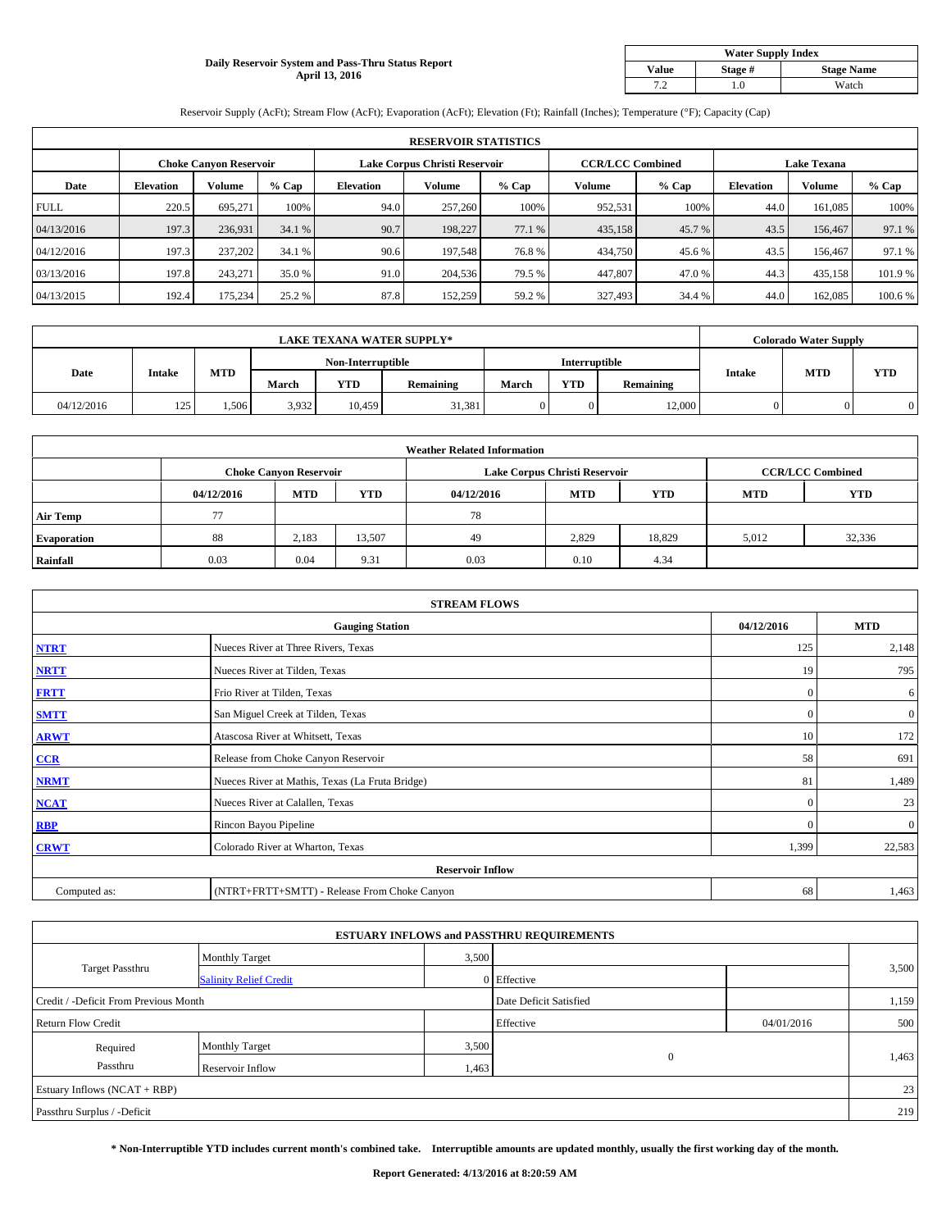### **Daily Reservoir System and Pass-Thru Status Report April 13, 2016**

| <b>Water Supply Index</b> |         |                   |  |  |  |  |  |  |
|---------------------------|---------|-------------------|--|--|--|--|--|--|
| <b>Value</b>              | Stage # | <b>Stage Name</b> |  |  |  |  |  |  |
| 7 2                       | .0      | Watch             |  |  |  |  |  |  |

Reservoir Supply (AcFt); Stream Flow (AcFt); Evaporation (AcFt); Elevation (Ft); Rainfall (Inches); Temperature (°F); Capacity (Cap)

|             | <b>RESERVOIR STATISTICS</b> |                        |         |                               |               |         |                         |         |                    |               |         |  |
|-------------|-----------------------------|------------------------|---------|-------------------------------|---------------|---------|-------------------------|---------|--------------------|---------------|---------|--|
|             |                             | Choke Canvon Reservoir |         | Lake Corpus Christi Reservoir |               |         | <b>CCR/LCC Combined</b> |         | <b>Lake Texana</b> |               |         |  |
| Date        | <b>Elevation</b>            | Volume                 | $%$ Cap | <b>Elevation</b>              | <b>Volume</b> | $%$ Cap | Volume                  | $%$ Cap | <b>Elevation</b>   | <b>Volume</b> | % Cap   |  |
| <b>FULL</b> | 220.5                       | 695.271                | 100%    | 94.0                          | 257,260       | 100%    | 952,531                 | 100%    | 44.0               | 161.085       | 100%    |  |
| 04/13/2016  | 197.3                       | 236,931                | 34.1 %  | 90.7                          | 198,227       | 77.1 %  | 435,158                 | 45.7 %  | 43.5               | 156,467       | 97.1 %  |  |
| 04/12/2016  | 197.3                       | 237,202                | 34.1 %  | 90.6                          | 197.548       | 76.8%   | 434,750                 | 45.6 %  | 43.5               | 156,467       | 97.1 %  |  |
| 03/13/2016  | 197.8                       | 243,271                | 35.0 %  | 91.0                          | 204.536       | 79.5 %  | 447,807                 | 47.0 %  | 44.3               | 435,158       | 101.9%  |  |
| 04/13/2015  | 192.4                       | 175,234                | 25.2 %  | 87.8                          | 152,259       | 59.2 %  | 327,493                 | 34.4 %  | 44.0               | 162,085       | 100.6 % |  |

| <b>LAKE TEXANA WATER SUPPLY*</b> |               |            |                   |            |                  |               |            | <b>Colorado Water Supply</b> |               |            |            |
|----------------------------------|---------------|------------|-------------------|------------|------------------|---------------|------------|------------------------------|---------------|------------|------------|
|                                  |               |            | Non-Interruptible |            |                  | Interruptible |            |                              |               |            |            |
| Date                             | <b>Intake</b> | <b>MTD</b> | March             | <b>YTD</b> | <b>Remaining</b> | March         | <b>YTD</b> | <b>Remaining</b>             | <b>Intake</b> | <b>MTD</b> | <b>YTD</b> |
| 04/12/2016                       | 125           | 1.506      | 3,932             | 10.459     | 31,381           |               |            | 12,000                       |               |            |            |

|                    | <b>Weather Related Information</b> |                               |            |            |                               |                         |            |            |  |  |  |  |
|--------------------|------------------------------------|-------------------------------|------------|------------|-------------------------------|-------------------------|------------|------------|--|--|--|--|
|                    |                                    | <b>Choke Canyon Reservoir</b> |            |            | Lake Corpus Christi Reservoir | <b>CCR/LCC Combined</b> |            |            |  |  |  |  |
|                    | 04/12/2016                         | <b>MTD</b>                    | <b>YTD</b> | 04/12/2016 | <b>MTD</b>                    | <b>YTD</b>              | <b>MTD</b> | <b>YTD</b> |  |  |  |  |
| <b>Air Temp</b>    | 77                                 |                               |            | 78         |                               |                         |            |            |  |  |  |  |
| <b>Evaporation</b> | 88                                 | 2,183                         | 13,507     | 49         | 2,829                         | 18,829                  | 5,012      | 32,336     |  |  |  |  |
| Rainfall           | 0.03                               | 0.04                          | 9.31       | 0.03       | 0.10                          | 4.34                    |            |            |  |  |  |  |

| <b>STREAM FLOWS</b> |                                                 |              |                |  |  |  |  |  |  |
|---------------------|-------------------------------------------------|--------------|----------------|--|--|--|--|--|--|
|                     | <b>Gauging Station</b>                          |              |                |  |  |  |  |  |  |
| <b>NTRT</b>         | Nueces River at Three Rivers, Texas             | 125          | 2,148          |  |  |  |  |  |  |
| <b>NRTT</b>         | Nueces River at Tilden, Texas                   | 19           | 795            |  |  |  |  |  |  |
| <b>FRTT</b>         | Frio River at Tilden, Texas                     | $\mathbf{0}$ | 6              |  |  |  |  |  |  |
| <b>SMTT</b>         | San Miguel Creek at Tilden, Texas               | $\mathbf{0}$ | $\overline{0}$ |  |  |  |  |  |  |
| <b>ARWT</b>         | Atascosa River at Whitsett, Texas               | 10           | 172            |  |  |  |  |  |  |
| CCR                 | Release from Choke Canyon Reservoir             | 58           | 691            |  |  |  |  |  |  |
| <b>NRMT</b>         | Nueces River at Mathis, Texas (La Fruta Bridge) | 81           | 1,489          |  |  |  |  |  |  |
| <b>NCAT</b>         | Nueces River at Calallen, Texas                 | $\mathbf{0}$ | 23             |  |  |  |  |  |  |
| <b>RBP</b>          | Rincon Bayou Pipeline                           | $\mathbf{0}$ | $\mathbf{0}$   |  |  |  |  |  |  |
| <b>CRWT</b>         | Colorado River at Wharton, Texas                | 1,399        | 22,583         |  |  |  |  |  |  |
|                     | <b>Reservoir Inflow</b>                         |              |                |  |  |  |  |  |  |
| Computed as:        | (NTRT+FRTT+SMTT) - Release From Choke Canyon    | 68           | 1,463          |  |  |  |  |  |  |

| <b>ESTUARY INFLOWS and PASSTHRU REQUIREMENTS</b> |                               |       |                        |            |       |  |  |  |  |  |
|--------------------------------------------------|-------------------------------|-------|------------------------|------------|-------|--|--|--|--|--|
|                                                  | <b>Monthly Target</b>         | 3,500 |                        |            |       |  |  |  |  |  |
| <b>Target Passthru</b>                           | <b>Salinity Relief Credit</b> |       | 0 Effective            |            | 3,500 |  |  |  |  |  |
| Credit / -Deficit From Previous Month            |                               |       | Date Deficit Satisfied |            | 1,159 |  |  |  |  |  |
| <b>Return Flow Credit</b>                        |                               |       | Effective              | 04/01/2016 | 500   |  |  |  |  |  |
| Required                                         | <b>Monthly Target</b>         | 3,500 |                        |            |       |  |  |  |  |  |
| Passthru                                         | Reservoir Inflow              | 1,463 | $\mathbf{0}$           |            | 1,463 |  |  |  |  |  |
| Estuary Inflows (NCAT + RBP)                     |                               |       |                        |            |       |  |  |  |  |  |
| Passthru Surplus / -Deficit                      |                               |       |                        |            | 219   |  |  |  |  |  |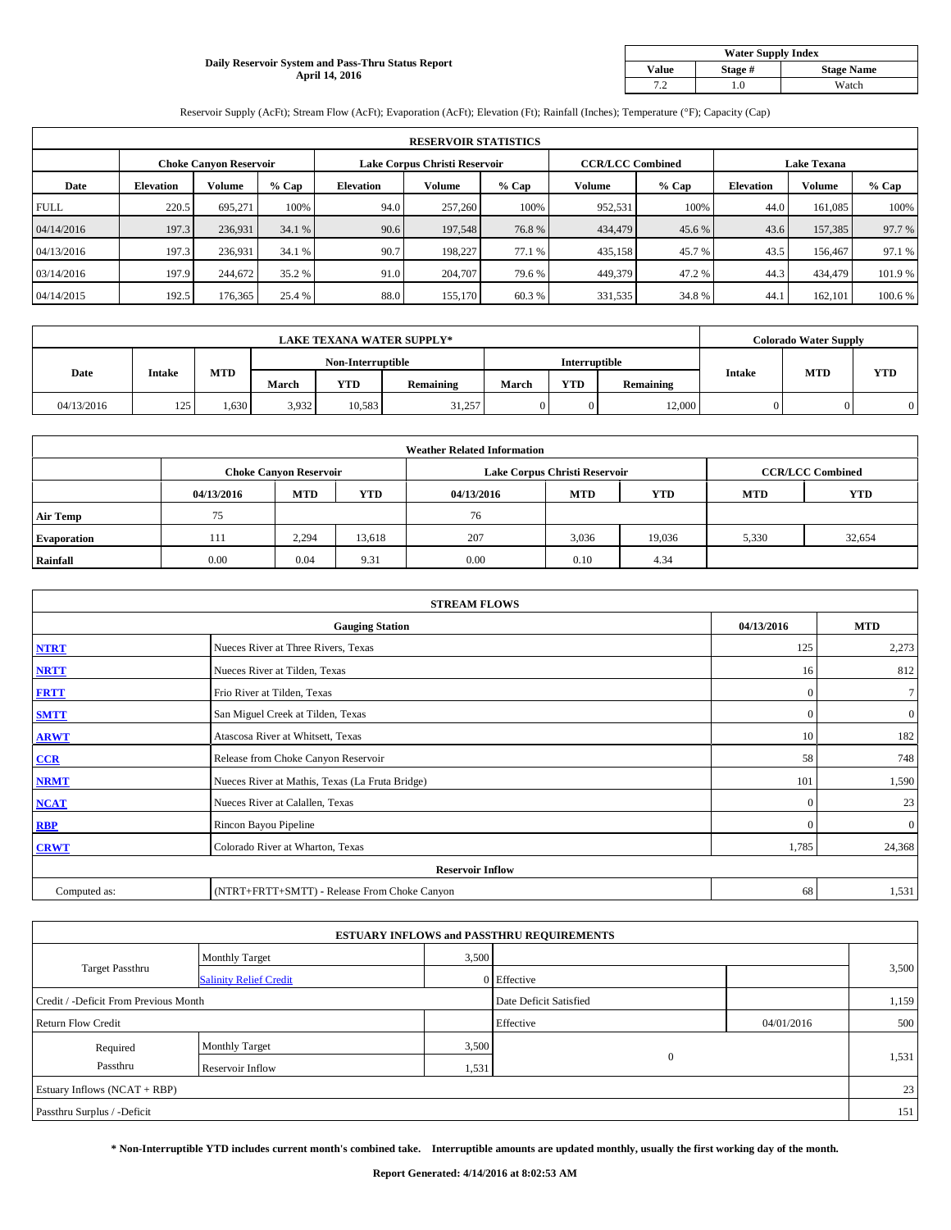## **Daily Reservoir System and Pass-Thru Status Report April 14, 2016**

| <b>Water Supply Index</b> |         |                   |  |  |  |  |  |  |
|---------------------------|---------|-------------------|--|--|--|--|--|--|
| <b>Value</b>              | Stage # | <b>Stage Name</b> |  |  |  |  |  |  |
| 7 2                       | .0      | Watch             |  |  |  |  |  |  |

Reservoir Supply (AcFt); Stream Flow (AcFt); Evaporation (AcFt); Elevation (Ft); Rainfall (Inches); Temperature (°F); Capacity (Cap)

|             | <b>RESERVOIR STATISTICS</b> |                               |         |                               |         |         |                         |         |                    |               |         |  |
|-------------|-----------------------------|-------------------------------|---------|-------------------------------|---------|---------|-------------------------|---------|--------------------|---------------|---------|--|
|             |                             | <b>Choke Canvon Reservoir</b> |         | Lake Corpus Christi Reservoir |         |         | <b>CCR/LCC Combined</b> |         | <b>Lake Texana</b> |               |         |  |
| Date        | <b>Elevation</b>            | Volume                        | $%$ Cap | <b>Elevation</b>              | Volume  | $%$ Cap | Volume                  | $%$ Cap | <b>Elevation</b>   | <b>Volume</b> | % Cap   |  |
| <b>FULL</b> | 220.5                       | 695.271                       | 100%    | 94.0                          | 257,260 | 100%    | 952,531                 | 100%    | 44.0               | 161.085       | 100%    |  |
| 04/14/2016  | 197.3                       | 236.931                       | 34.1 %  | 90.6                          | 197,548 | 76.8%   | 434,479                 | 45.6 %  | 43.6               | 157,385       | 97.7 %  |  |
| 04/13/2016  | 197.3                       | 236.931                       | 34.1 %  | 90.7                          | 198.227 | 77.1 %  | 435,158                 | 45.7%   | 43.5               | 156,467       | 97.1 %  |  |
| 03/14/2016  | 197.9                       | 244,672                       | 35.2 %  | 91.0                          | 204,707 | 79.6 %  | 449,379                 | 47.2 %  | 44.3               | 434,479       | 101.9%  |  |
| 04/14/2015  | 192.5                       | 176,365                       | 25.4 %  | 88.0                          | 155,170 | 60.3%   | 331,535                 | 34.8%   | 44.                | 162,101       | 100.6 % |  |

| <b>LAKE TEXANA WATER SUPPLY*</b> |               |            |       |                   |                  |       | <b>Colorado Water Supply</b> |                  |        |            |            |
|----------------------------------|---------------|------------|-------|-------------------|------------------|-------|------------------------------|------------------|--------|------------|------------|
|                                  |               |            |       | Non-Interruptible |                  |       | <b>Interruptible</b>         |                  |        |            |            |
| Date                             | <b>Intake</b> | <b>MTD</b> | March | <b>YTD</b>        | <b>Remaining</b> | March | <b>YTD</b>                   | <b>Remaining</b> | Intake | <b>MTD</b> | <b>YTD</b> |
| 04/13/2016                       | 125           | 1,630      | 3,932 | 10.583            | 31,257           |       |                              | 12,000           |        |            |            |

|                    | <b>Weather Related Information</b> |                               |        |            |                               |                         |            |            |  |  |  |  |
|--------------------|------------------------------------|-------------------------------|--------|------------|-------------------------------|-------------------------|------------|------------|--|--|--|--|
|                    |                                    | <b>Choke Canyon Reservoir</b> |        |            | Lake Corpus Christi Reservoir | <b>CCR/LCC Combined</b> |            |            |  |  |  |  |
|                    | 04/13/2016                         | <b>MTD</b>                    | YTD    | 04/13/2016 | <b>MTD</b>                    | <b>YTD</b>              | <b>MTD</b> | <b>YTD</b> |  |  |  |  |
| <b>Air Temp</b>    | 75                                 |                               |        | 76         |                               |                         |            |            |  |  |  |  |
| <b>Evaporation</b> | 111                                | 2,294                         | 13,618 | 207        | 3,036                         | 19,036                  | 5,330      | 32,654     |  |  |  |  |
| Rainfall           | 0.00                               | 0.04                          | 9.31   | 0.00       | 0.10                          | 4.34                    |            |            |  |  |  |  |

| <b>STREAM FLOWS</b> |                                                 |              |                  |  |  |  |  |  |  |
|---------------------|-------------------------------------------------|--------------|------------------|--|--|--|--|--|--|
|                     | <b>Gauging Station</b>                          | 04/13/2016   | <b>MTD</b>       |  |  |  |  |  |  |
| <b>NTRT</b>         | Nueces River at Three Rivers, Texas             | 125          | 2,273            |  |  |  |  |  |  |
| <b>NRTT</b>         | Nueces River at Tilden, Texas                   | 16           | 812              |  |  |  |  |  |  |
| <b>FRTT</b>         | Frio River at Tilden, Texas                     | $\mathbf{0}$ | $\tau$           |  |  |  |  |  |  |
| <b>SMTT</b>         | San Miguel Creek at Tilden, Texas               | $\mathbf{0}$ | $\boldsymbol{0}$ |  |  |  |  |  |  |
| <b>ARWT</b>         | Atascosa River at Whitsett, Texas               | 10           | 182              |  |  |  |  |  |  |
| CCR                 | Release from Choke Canyon Reservoir             | 58           | 748              |  |  |  |  |  |  |
| <b>NRMT</b>         | Nueces River at Mathis, Texas (La Fruta Bridge) | 101          | 1,590            |  |  |  |  |  |  |
| <b>NCAT</b>         | Nueces River at Calallen, Texas                 | $\mathbf{0}$ | 23               |  |  |  |  |  |  |
| RBP                 | Rincon Bayou Pipeline                           | $\Omega$     | $\mathbf{0}$     |  |  |  |  |  |  |
| <b>CRWT</b>         | Colorado River at Wharton, Texas                | 1,785        | 24,368           |  |  |  |  |  |  |
|                     | <b>Reservoir Inflow</b>                         |              |                  |  |  |  |  |  |  |
| Computed as:        | (NTRT+FRTT+SMTT) - Release From Choke Canyon    | 68           | 1,531            |  |  |  |  |  |  |

| <b>ESTUARY INFLOWS and PASSTHRU REQUIREMENTS</b> |                               |                        |              |       |       |  |  |  |  |  |
|--------------------------------------------------|-------------------------------|------------------------|--------------|-------|-------|--|--|--|--|--|
|                                                  | <b>Monthly Target</b>         | 3,500                  |              |       |       |  |  |  |  |  |
| <b>Target Passthru</b>                           | <b>Salinity Relief Credit</b> |                        | 0 Effective  |       | 3,500 |  |  |  |  |  |
| Credit / -Deficit From Previous Month            |                               | Date Deficit Satisfied |              | 1,159 |       |  |  |  |  |  |
| <b>Return Flow Credit</b>                        |                               | Effective              | 04/01/2016   | 500   |       |  |  |  |  |  |
| Required                                         | <b>Monthly Target</b>         | 3,500                  |              |       |       |  |  |  |  |  |
| Passthru                                         | Reservoir Inflow              | 1,531                  | $\mathbf{0}$ |       | 1,531 |  |  |  |  |  |
| Estuary Inflows (NCAT + RBP)                     |                               |                        |              |       |       |  |  |  |  |  |
| Passthru Surplus / -Deficit                      |                               |                        |              |       |       |  |  |  |  |  |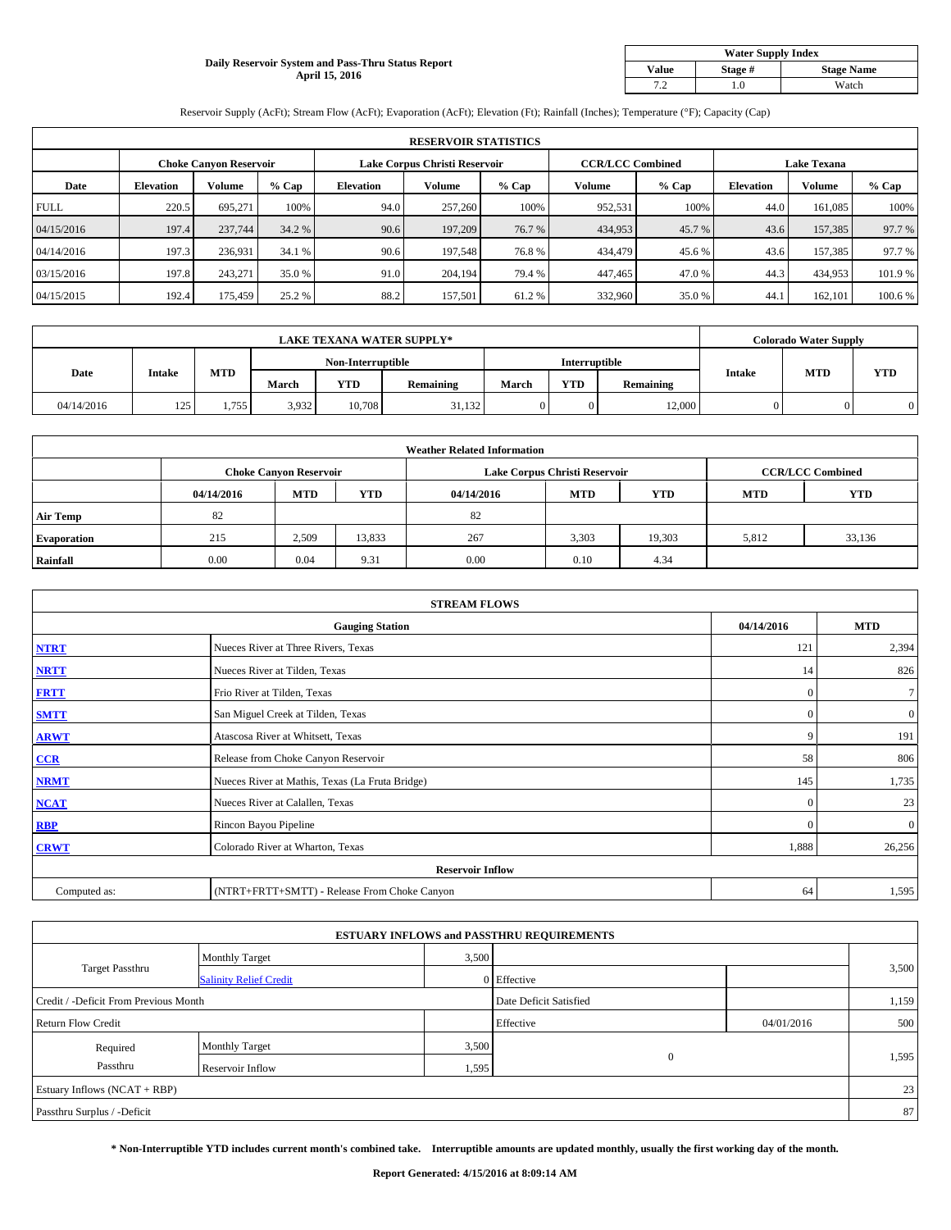## **Daily Reservoir System and Pass-Thru Status Report April 15, 2016**

| <b>Water Supply Index</b> |         |                   |  |  |  |  |  |  |
|---------------------------|---------|-------------------|--|--|--|--|--|--|
| <b>Value</b>              | Stage # | <b>Stage Name</b> |  |  |  |  |  |  |
| 7 2                       | .0      | Watch             |  |  |  |  |  |  |

Reservoir Supply (AcFt); Stream Flow (AcFt); Evaporation (AcFt); Elevation (Ft); Rainfall (Inches); Temperature (°F); Capacity (Cap)

|             | <b>RESERVOIR STATISTICS</b> |                               |         |                               |         |         |                         |         |                    |               |        |  |
|-------------|-----------------------------|-------------------------------|---------|-------------------------------|---------|---------|-------------------------|---------|--------------------|---------------|--------|--|
|             |                             | <b>Choke Canyon Reservoir</b> |         | Lake Corpus Christi Reservoir |         |         | <b>CCR/LCC Combined</b> |         | <b>Lake Texana</b> |               |        |  |
| Date        | <b>Elevation</b>            | Volume                        | $%$ Cap | <b>Elevation</b>              | Volume  | $%$ Cap | Volume                  | $%$ Cap | <b>Elevation</b>   | <b>Volume</b> | % Cap  |  |
| <b>FULL</b> | 220.5                       | 695.271                       | 100%    | 94.0                          | 257,260 | 100%    | 952,531                 | 100%    | 44.0               | 161,085       | 100%   |  |
| 04/15/2016  | 197.4                       | 237,744                       | 34.2 %  | 90.6                          | 197,209 | 76.7 %  | 434,953                 | 45.7 %  | 43.6               | 157,385       | 97.7 % |  |
| 04/14/2016  | 197.3                       | 236,931                       | 34.1 %  | 90.6                          | 197,548 | 76.8%   | 434,479                 | 45.6 %  | 43.6               | 157,385       | 97.7 % |  |
| 03/15/2016  | 197.8                       | 243,271                       | 35.0 %  | 91.0                          | 204.194 | 79.4 %  | 447,465                 | 47.0%   | 44.3               | 434,953       | 101.9% |  |
| 04/15/2015  | 192.4                       | 175,459                       | 25.2 %  | 88.2                          | 157,501 | 61.2%   | 332,960                 | 35.0 %  | 44.1               | 162,101       | 100.6% |  |

| <b>LAKE TEXANA WATER SUPPLY*</b> |               |            |                   |            |                  |               |            | <b>Colorado Water Supply</b> |               |            |            |
|----------------------------------|---------------|------------|-------------------|------------|------------------|---------------|------------|------------------------------|---------------|------------|------------|
|                                  |               |            | Non-Interruptible |            |                  | Interruptible |            |                              |               |            |            |
| Date                             | <b>Intake</b> | <b>MTD</b> | March             | <b>YTD</b> | <b>Remaining</b> | March         | <b>YTD</b> | Remaining                    | <b>Intake</b> | <b>MTD</b> | <b>YTD</b> |
| 04/14/2016                       | 125           | 1.755      | 3,932             | 10.708     | 31,132           |               |            | 12,000                       |               |            |            |

|                    |            |                               |            | <b>Weather Related Information</b> |                               |                         |            |            |
|--------------------|------------|-------------------------------|------------|------------------------------------|-------------------------------|-------------------------|------------|------------|
|                    |            | <b>Choke Canyon Reservoir</b> |            |                                    | Lake Corpus Christi Reservoir | <b>CCR/LCC Combined</b> |            |            |
|                    | 04/14/2016 | <b>MTD</b>                    | <b>YTD</b> | 04/14/2016                         | <b>MTD</b>                    | <b>YTD</b>              | <b>MTD</b> | <b>YTD</b> |
| <b>Air Temp</b>    | 82         |                               |            | 82                                 |                               |                         |            |            |
| <b>Evaporation</b> | 215        | 2,509                         | 13,833     | 267                                | 3,303                         | 19,303                  | 5,812      | 33,136     |
| Rainfall           | 0.00       | 0.04                          | 9.31       | 0.00                               | 0.10                          | 4.34                    |            |            |

| <b>STREAM FLOWS</b> |                                                 |              |                |  |  |  |  |  |  |
|---------------------|-------------------------------------------------|--------------|----------------|--|--|--|--|--|--|
|                     | <b>Gauging Station</b>                          |              |                |  |  |  |  |  |  |
| <b>NTRT</b>         | Nueces River at Three Rivers, Texas             | 121          | 2,394          |  |  |  |  |  |  |
| <b>NRTT</b>         | Nueces River at Tilden, Texas                   | 14           | 826            |  |  |  |  |  |  |
| <b>FRTT</b>         | Frio River at Tilden, Texas                     | $\mathbf{0}$ | 71             |  |  |  |  |  |  |
| <b>SMTT</b>         | San Miguel Creek at Tilden, Texas               | $\mathbf{0}$ | $\overline{0}$ |  |  |  |  |  |  |
| <b>ARWT</b>         | Atascosa River at Whitsett, Texas               | 9            | 191            |  |  |  |  |  |  |
| CCR                 | Release from Choke Canyon Reservoir             | 58           | 806            |  |  |  |  |  |  |
| <b>NRMT</b>         | Nueces River at Mathis, Texas (La Fruta Bridge) | 145          | 1,735          |  |  |  |  |  |  |
| <b>NCAT</b>         | Nueces River at Calallen, Texas                 | $\mathbf{0}$ | 23             |  |  |  |  |  |  |
| <b>RBP</b>          | Rincon Bayou Pipeline                           | $\mathbf{0}$ | $\mathbf{0}$   |  |  |  |  |  |  |
| <b>CRWT</b>         | Colorado River at Wharton, Texas                | 1,888        | 26,256         |  |  |  |  |  |  |
|                     | <b>Reservoir Inflow</b>                         |              |                |  |  |  |  |  |  |
| Computed as:        | (NTRT+FRTT+SMTT) - Release From Choke Canyon    | 64           | 1,595          |  |  |  |  |  |  |

| <b>ESTUARY INFLOWS and PASSTHRU REQUIREMENTS</b> |                               |       |                        |            |       |  |  |  |  |  |
|--------------------------------------------------|-------------------------------|-------|------------------------|------------|-------|--|--|--|--|--|
|                                                  | <b>Monthly Target</b>         | 3,500 |                        |            |       |  |  |  |  |  |
| <b>Target Passthru</b>                           | <b>Salinity Relief Credit</b> |       | 0 Effective            |            | 3,500 |  |  |  |  |  |
| Credit / -Deficit From Previous Month            |                               |       | Date Deficit Satisfied |            | 1,159 |  |  |  |  |  |
| <b>Return Flow Credit</b>                        |                               |       | Effective              | 04/01/2016 | 500   |  |  |  |  |  |
| Required                                         | <b>Monthly Target</b>         | 3,500 |                        |            |       |  |  |  |  |  |
| Passthru                                         | Reservoir Inflow              | 1,595 | $\mathbf{0}$           |            | 1,595 |  |  |  |  |  |
| Estuary Inflows (NCAT + RBP)                     |                               |       |                        |            |       |  |  |  |  |  |
| Passthru Surplus / -Deficit                      |                               |       |                        |            |       |  |  |  |  |  |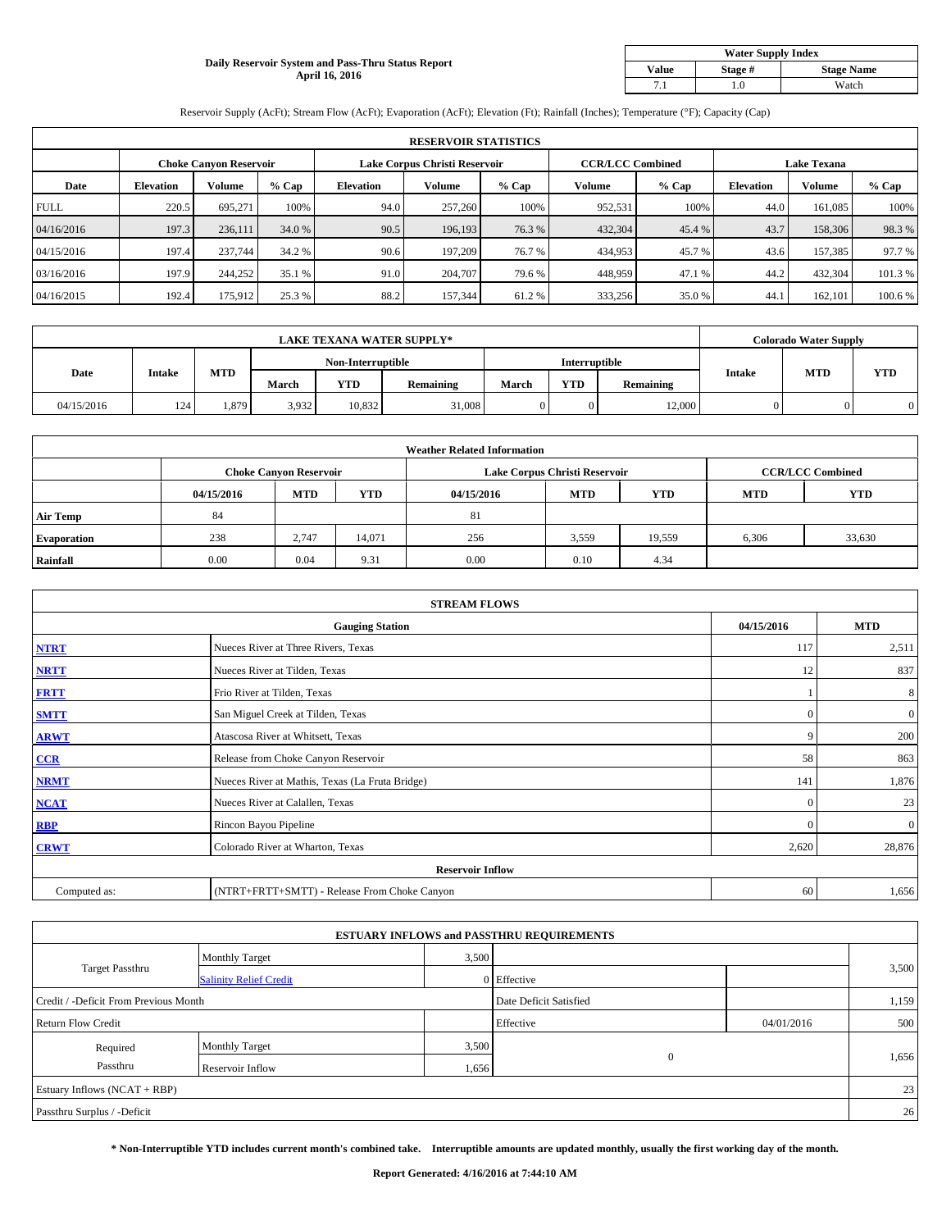## **Daily Reservoir System and Pass-Thru Status Report April 16, 2016**

| <b>Water Supply Index</b>             |       |       |  |  |  |  |  |  |
|---------------------------------------|-------|-------|--|--|--|--|--|--|
| <b>Stage Name</b><br>Value<br>Stage # |       |       |  |  |  |  |  |  |
|                                       | . . 0 | Watch |  |  |  |  |  |  |

Reservoir Supply (AcFt); Stream Flow (AcFt); Evaporation (AcFt); Elevation (Ft); Rainfall (Inches); Temperature (°F); Capacity (Cap)

|             | <b>RESERVOIR STATISTICS</b> |                        |         |                  |                               |         |                         |         |                    |               |         |  |
|-------------|-----------------------------|------------------------|---------|------------------|-------------------------------|---------|-------------------------|---------|--------------------|---------------|---------|--|
|             |                             | Choke Canvon Reservoir |         |                  | Lake Corpus Christi Reservoir |         | <b>CCR/LCC Combined</b> |         | <b>Lake Texana</b> |               |         |  |
| Date        | <b>Elevation</b>            | Volume                 | $%$ Cap | <b>Elevation</b> | <b>Volume</b>                 | $%$ Cap | Volume                  | $%$ Cap | <b>Elevation</b>   | <b>Volume</b> | % Cap   |  |
| <b>FULL</b> | 220.5                       | 695.271                | 100%    | 94.0             | 257,260                       | 100%    | 952,531                 | 100%    | 44.0               | 161.085       | 100%    |  |
| 04/16/2016  | 197.3                       | 236,111                | 34.0 %  | 90.5             | 196.193                       | 76.3%   | 432,304                 | 45.4 %  | 43.7               | 158,306       | 98.3%   |  |
| 04/15/2016  | 197.4                       | 237,744                | 34.2 %  | 90.6             | 197.209                       | 76.7 %  | 434,953                 | 45.7 %  | 43.6               | 157.385       | 97.7 %  |  |
| 03/16/2016  | 197.9                       | 244,252                | 35.1 %  | 91.0             | 204,707                       | 79.6%   | 448,959                 | 47.1 %  | 44.2               | 432,304       | 101.3%  |  |
| 04/16/2015  | 192.4                       | 175,912                | 25.3 %  | 88.2             | 157,344                       | 61.2%   | 333,256                 | 35.0%   | 44.                | 162,101       | 100.6 % |  |

| <b>LAKE TEXANA WATER SUPPLY*</b> |               |            |                   |            |           |       |                      | <b>Colorado Water Supply</b> |        |            |            |
|----------------------------------|---------------|------------|-------------------|------------|-----------|-------|----------------------|------------------------------|--------|------------|------------|
| Date                             | <b>Intake</b> |            | Non-Interruptible |            |           |       | <b>Interruptible</b> |                              |        |            |            |
|                                  |               | <b>MTD</b> | March             | <b>YTD</b> | Remaining | March | <b>YTD</b>           | Remaining                    | Intake | <b>MTD</b> | <b>YTD</b> |
| 04/15/2016                       | 124           | 1,879      | 3,932             | 10.832     | 31,008    |       |                      | 12,000                       |        |            |            |

|                    | <b>Weather Related Information</b> |                               |        |            |                               |                         |            |            |  |  |  |  |
|--------------------|------------------------------------|-------------------------------|--------|------------|-------------------------------|-------------------------|------------|------------|--|--|--|--|
|                    |                                    | <b>Choke Canyon Reservoir</b> |        |            | Lake Corpus Christi Reservoir | <b>CCR/LCC Combined</b> |            |            |  |  |  |  |
|                    | 04/15/2016                         | <b>MTD</b>                    | YTD    | 04/15/2016 | <b>MTD</b>                    | <b>YTD</b>              | <b>MTD</b> | <b>YTD</b> |  |  |  |  |
| <b>Air Temp</b>    | 84                                 |                               |        | 81         |                               |                         |            |            |  |  |  |  |
| <b>Evaporation</b> | 238                                | 2,747                         | 14,071 | 256        | 3,559                         | 19,559                  | 6,306      | 33,630     |  |  |  |  |
| Rainfall           | 0.00                               | 0.04                          | 9.31   | 0.00       | 0.10                          | 4.34                    |            |            |  |  |  |  |

| <b>STREAM FLOWS</b> |                                                 |              |                |  |  |  |  |  |  |
|---------------------|-------------------------------------------------|--------------|----------------|--|--|--|--|--|--|
|                     | <b>Gauging Station</b>                          |              |                |  |  |  |  |  |  |
| <b>NTRT</b>         | Nueces River at Three Rivers, Texas             | 117          | 2,511          |  |  |  |  |  |  |
| <b>NRTT</b>         | Nueces River at Tilden, Texas                   | 12           | 837            |  |  |  |  |  |  |
| <b>FRTT</b>         | Frio River at Tilden, Texas                     |              | 8              |  |  |  |  |  |  |
| <b>SMTT</b>         | San Miguel Creek at Tilden, Texas               | $\Omega$     | $\overline{0}$ |  |  |  |  |  |  |
| <b>ARWT</b>         | Atascosa River at Whitsett, Texas               | 9            | 200            |  |  |  |  |  |  |
| CCR                 | Release from Choke Canyon Reservoir             | 58           | 863            |  |  |  |  |  |  |
| <b>NRMT</b>         | Nueces River at Mathis, Texas (La Fruta Bridge) | 141          | 1,876          |  |  |  |  |  |  |
| <b>NCAT</b>         | Nueces River at Calallen, Texas                 | $\mathbf{0}$ | 23             |  |  |  |  |  |  |
| RBP                 | Rincon Bayou Pipeline                           | $\Omega$     | $\overline{0}$ |  |  |  |  |  |  |
| <b>CRWT</b>         | Colorado River at Wharton, Texas                | 2,620        | 28,876         |  |  |  |  |  |  |
|                     | <b>Reservoir Inflow</b>                         |              |                |  |  |  |  |  |  |
| Computed as:        | (NTRT+FRTT+SMTT) - Release From Choke Canyon    | 60           | 1,656          |  |  |  |  |  |  |

| <b>ESTUARY INFLOWS and PASSTHRU REQUIREMENTS</b> |                               |                        |              |            |       |  |  |  |  |  |
|--------------------------------------------------|-------------------------------|------------------------|--------------|------------|-------|--|--|--|--|--|
|                                                  | <b>Monthly Target</b>         | 3,500                  |              |            |       |  |  |  |  |  |
| <b>Target Passthru</b>                           | <b>Salinity Relief Credit</b> |                        | 0 Effective  |            | 3,500 |  |  |  |  |  |
| Credit / -Deficit From Previous Month            |                               | Date Deficit Satisfied |              | 1,159      |       |  |  |  |  |  |
| <b>Return Flow Credit</b>                        |                               |                        | Effective    | 04/01/2016 | 500   |  |  |  |  |  |
| Required                                         | <b>Monthly Target</b>         | 3,500                  |              |            |       |  |  |  |  |  |
| Passthru                                         | Reservoir Inflow              | 1,656                  | $\mathbf{0}$ |            | 1,656 |  |  |  |  |  |
| Estuary Inflows (NCAT + RBP)                     |                               |                        |              |            |       |  |  |  |  |  |
| Passthru Surplus / -Deficit                      |                               |                        |              |            | 26    |  |  |  |  |  |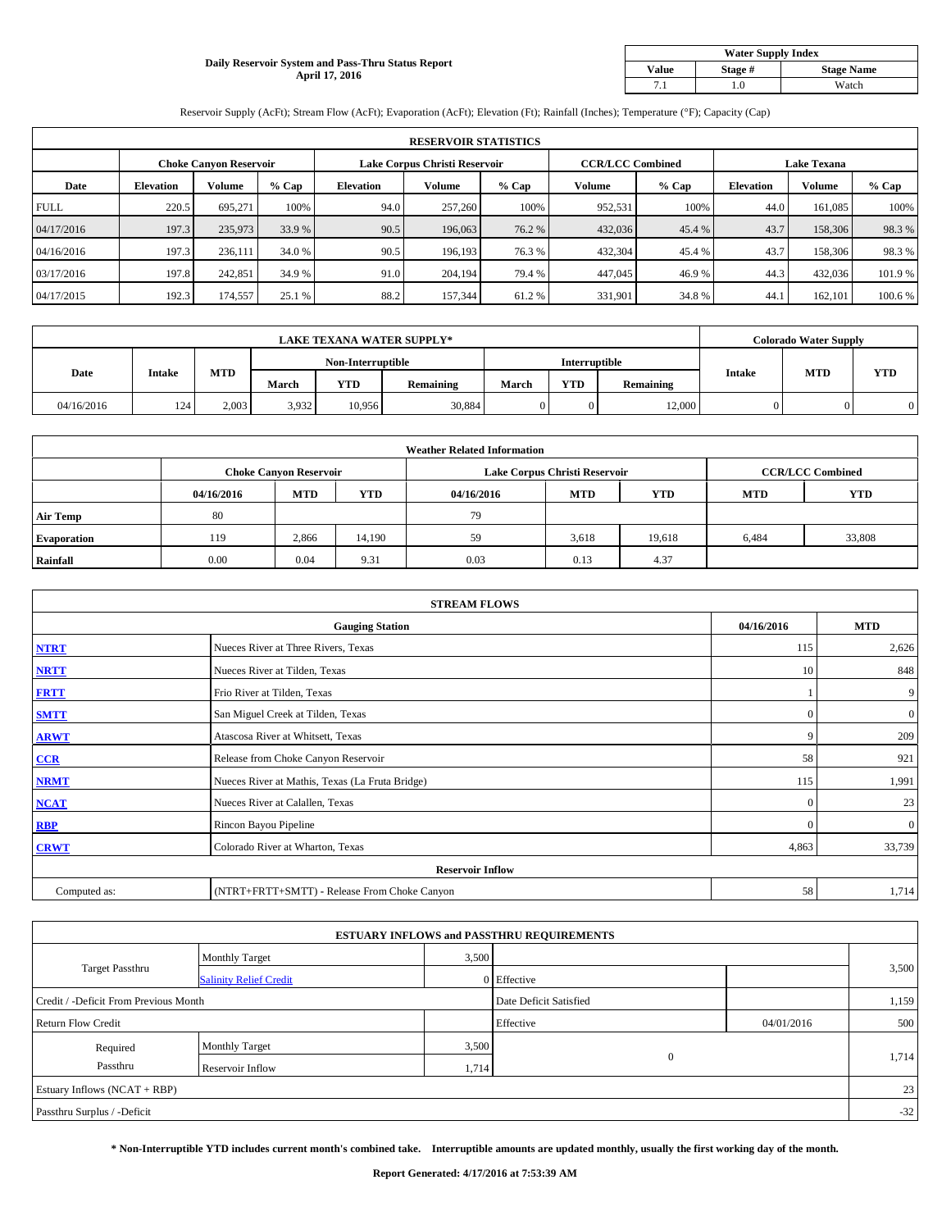### **Daily Reservoir System and Pass-Thru Status Report April 17, 2016**

| <b>Water Supply Index</b>             |       |       |  |  |  |  |  |  |
|---------------------------------------|-------|-------|--|--|--|--|--|--|
| <b>Stage Name</b><br>Value<br>Stage # |       |       |  |  |  |  |  |  |
|                                       | . . 0 | Watch |  |  |  |  |  |  |

Reservoir Supply (AcFt); Stream Flow (AcFt); Evaporation (AcFt); Elevation (Ft); Rainfall (Inches); Temperature (°F); Capacity (Cap)

|             | <b>RESERVOIR STATISTICS</b> |                        |         |                               |               |         |                         |         |                    |               |         |  |
|-------------|-----------------------------|------------------------|---------|-------------------------------|---------------|---------|-------------------------|---------|--------------------|---------------|---------|--|
|             |                             | Choke Canvon Reservoir |         | Lake Corpus Christi Reservoir |               |         | <b>CCR/LCC Combined</b> |         | <b>Lake Texana</b> |               |         |  |
| Date        | <b>Elevation</b>            | Volume                 | $%$ Cap | <b>Elevation</b>              | <b>Volume</b> | $%$ Cap | Volume                  | $%$ Cap | <b>Elevation</b>   | <b>Volume</b> | % Cap   |  |
| <b>FULL</b> | 220.5                       | 695.271                | 100%    | 94.0                          | 257,260       | 100%    | 952,531                 | 100%    | 44.0               | 161.085       | 100%    |  |
| 04/17/2016  | 197.3                       | 235,973                | 33.9 %  | 90.5                          | 196,063       | 76.2 %  | 432,036                 | 45.4 %  | 43.7               | 158,306       | 98.3%   |  |
| 04/16/2016  | 197.3                       | 236,111                | 34.0 %  | 90.5                          | 196.193       | 76.3%   | 432,304                 | 45.4 %  | 43.7               | 158,306       | 98.3%   |  |
| 03/17/2016  | 197.8                       | 242,851                | 34.9 %  | 91.0                          | 204,194       | 79.4 %  | 447,045                 | 46.9%   | 44.3               | 432,036       | 101.9%  |  |
| 04/17/2015  | 192.3                       | 174,557                | 25.1 %  | 88.2                          | 157,344       | 61.2%   | 331,901                 | 34.8%   | 44.                | 162,101       | 100.6 % |  |

| <b>LAKE TEXANA WATER SUPPLY*</b> |               |            |                   |            |                  |               |            | <b>Colorado Water Supply</b> |               |            |            |
|----------------------------------|---------------|------------|-------------------|------------|------------------|---------------|------------|------------------------------|---------------|------------|------------|
|                                  |               |            | Non-Interruptible |            |                  | Interruptible |            |                              |               |            |            |
| Date                             | <b>Intake</b> | <b>MTD</b> | March             | <b>YTD</b> | <b>Remaining</b> | <b>March</b>  | <b>YTD</b> | Remaining                    | <b>Intake</b> | <b>MTD</b> | <b>YTD</b> |
| 04/16/2016                       | 124           | 2.003      | 3,932             | 10.956     | 30,884           |               |            | 12,000                       |               |            |            |

|                    |            |                               |        | <b>Weather Related Information</b> |                               |                         |            |            |
|--------------------|------------|-------------------------------|--------|------------------------------------|-------------------------------|-------------------------|------------|------------|
|                    |            | <b>Choke Canyon Reservoir</b> |        |                                    | Lake Corpus Christi Reservoir | <b>CCR/LCC Combined</b> |            |            |
|                    | 04/16/2016 | <b>MTD</b>                    | YTD    | 04/16/2016                         | <b>MTD</b>                    | <b>YTD</b>              | <b>MTD</b> | <b>YTD</b> |
| <b>Air Temp</b>    | 80         |                               |        | 79                                 |                               |                         |            |            |
| <b>Evaporation</b> | 119        | 2,866                         | 14,190 | 59                                 | 3,618                         | 19,618                  | 6,484      | 33,808     |
| Rainfall           | 0.00       | 0.04                          | 9.31   | 0.03                               | 0.13                          | 4.37                    |            |            |

| <b>STREAM FLOWS</b> |                                                 |              |                |  |  |  |  |  |  |
|---------------------|-------------------------------------------------|--------------|----------------|--|--|--|--|--|--|
|                     | <b>Gauging Station</b>                          |              |                |  |  |  |  |  |  |
| <b>NTRT</b>         | Nueces River at Three Rivers, Texas             | 115          | 2,626          |  |  |  |  |  |  |
| <b>NRTT</b>         | Nueces River at Tilden, Texas                   | 10           | 848            |  |  |  |  |  |  |
| <b>FRTT</b>         | Frio River at Tilden, Texas                     |              | 9              |  |  |  |  |  |  |
| <b>SMTT</b>         | San Miguel Creek at Tilden, Texas               | $\mathbf{0}$ | $\overline{0}$ |  |  |  |  |  |  |
| <b>ARWT</b>         | Atascosa River at Whitsett, Texas               | 9            | 209            |  |  |  |  |  |  |
| CCR                 | Release from Choke Canyon Reservoir             | 58           | 921            |  |  |  |  |  |  |
| <b>NRMT</b>         | Nueces River at Mathis, Texas (La Fruta Bridge) | 115          | 1,991          |  |  |  |  |  |  |
| <b>NCAT</b>         | Nueces River at Calallen, Texas                 | $\mathbf{0}$ | 23             |  |  |  |  |  |  |
| <b>RBP</b>          | Rincon Bayou Pipeline                           | $\Omega$     | $\mathbf{0}$   |  |  |  |  |  |  |
| <b>CRWT</b>         | Colorado River at Wharton, Texas                | 4,863        | 33,739         |  |  |  |  |  |  |
|                     | <b>Reservoir Inflow</b>                         |              |                |  |  |  |  |  |  |
| Computed as:        | (NTRT+FRTT+SMTT) - Release From Choke Canyon    | 58           | 1,714          |  |  |  |  |  |  |

| <b>ESTUARY INFLOWS and PASSTHRU REQUIREMENTS</b> |                               |                        |              |            |       |  |  |  |  |  |
|--------------------------------------------------|-------------------------------|------------------------|--------------|------------|-------|--|--|--|--|--|
|                                                  | <b>Monthly Target</b>         | 3,500                  |              |            |       |  |  |  |  |  |
| <b>Target Passthru</b>                           | <b>Salinity Relief Credit</b> |                        | 0 Effective  |            | 3,500 |  |  |  |  |  |
| Credit / -Deficit From Previous Month            |                               | Date Deficit Satisfied |              | 1,159      |       |  |  |  |  |  |
| <b>Return Flow Credit</b>                        |                               |                        | Effective    | 04/01/2016 | 500   |  |  |  |  |  |
| Required                                         | <b>Monthly Target</b>         | 3,500                  |              |            |       |  |  |  |  |  |
| Passthru                                         | Reservoir Inflow              | 1,714                  | $\mathbf{0}$ |            | 1,714 |  |  |  |  |  |
| Estuary Inflows (NCAT + RBP)                     |                               |                        |              |            |       |  |  |  |  |  |
| Passthru Surplus / -Deficit                      |                               |                        |              |            | $-32$ |  |  |  |  |  |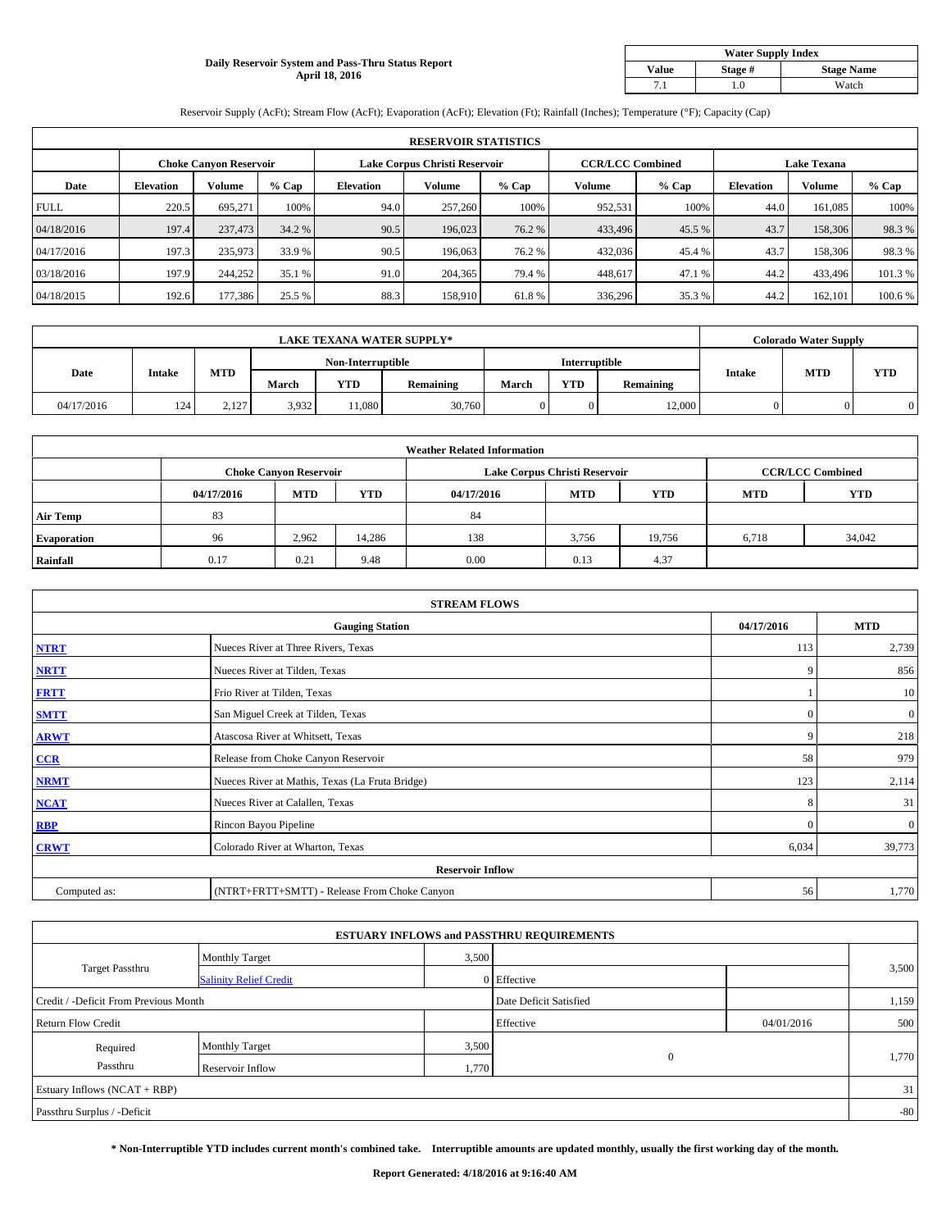## **Daily Reservoir System and Pass-Thru Status Report April 18, 2016**

| <b>Water Supply Index</b> |         |                   |  |  |  |  |  |  |
|---------------------------|---------|-------------------|--|--|--|--|--|--|
| Value                     | Stage # | <b>Stage Name</b> |  |  |  |  |  |  |
|                           | .0      | Watch             |  |  |  |  |  |  |

Reservoir Supply (AcFt); Stream Flow (AcFt); Evaporation (AcFt); Elevation (Ft); Rainfall (Inches); Temperature (°F); Capacity (Cap)

|             | <b>RESERVOIR STATISTICS</b> |                               |         |                               |         |         |                         |         |                    |               |         |  |
|-------------|-----------------------------|-------------------------------|---------|-------------------------------|---------|---------|-------------------------|---------|--------------------|---------------|---------|--|
|             |                             | <b>Choke Canyon Reservoir</b> |         | Lake Corpus Christi Reservoir |         |         | <b>CCR/LCC Combined</b> |         | <b>Lake Texana</b> |               |         |  |
| Date        | <b>Elevation</b>            | Volume                        | $%$ Cap | <b>Elevation</b>              | Volume  | $%$ Cap | Volume                  | $%$ Cap | <b>Elevation</b>   | <b>Volume</b> | % Cap   |  |
| <b>FULL</b> | 220.5                       | 695.271                       | 100%    | 94.0                          | 257,260 | 100%    | 952,531                 | 100%    | 44.0               | 161,085       | 100%    |  |
| 04/18/2016  | 197.4                       | 237,473                       | 34.2 %  | 90.5                          | 196,023 | 76.2 %  | 433,496                 | 45.5 %  | 43.7               | 158,306       | 98.3%   |  |
| 04/17/2016  | 197.3                       | 235,973                       | 33.9 %  | 90.5                          | 196,063 | 76.2 %  | 432,036                 | 45.4 %  | 43.7               | 158,306       | 98.3%   |  |
| 03/18/2016  | 197.9                       | 244,252                       | 35.1 %  | 91.0                          | 204,365 | 79.4 %  | 448,617                 | 47.1 %  | 44.2               | 433,496       | 101.3 % |  |
| 04/18/2015  | 192.6                       | 177,386                       | 25.5 %  | 88.3                          | 158,910 | 61.8%   | 336,296                 | 35.3 %  | 44.2               | 162,101       | 100.6%  |  |

| <b>LAKE TEXANA WATER SUPPLY*</b> |               |            |       |            |                   |       |               | <b>Colorado Water Supply</b> |               |            |            |
|----------------------------------|---------------|------------|-------|------------|-------------------|-------|---------------|------------------------------|---------------|------------|------------|
|                                  |               |            |       |            | Non-Interruptible |       | Interruptible |                              |               |            |            |
| Date                             | <b>Intake</b> | <b>MTD</b> | March | <b>YTD</b> | Remaining         | March | <b>YTD</b>    | Remaining                    | <b>Intake</b> | <b>MTD</b> | <b>YTD</b> |
| 04/17/2016                       | 124           | 2.127      | 3,932 | 11.080     | 30,760            |       |               | 12,000                       |               |            |            |

|                    | <b>Weather Related Information</b> |                               |        |            |                               |                         |            |            |  |  |  |  |
|--------------------|------------------------------------|-------------------------------|--------|------------|-------------------------------|-------------------------|------------|------------|--|--|--|--|
|                    |                                    | <b>Choke Canyon Reservoir</b> |        |            | Lake Corpus Christi Reservoir | <b>CCR/LCC Combined</b> |            |            |  |  |  |  |
|                    | 04/17/2016                         | <b>MTD</b>                    | YTD    | 04/17/2016 | <b>MTD</b>                    | <b>YTD</b>              | <b>MTD</b> | <b>YTD</b> |  |  |  |  |
| <b>Air Temp</b>    | 83                                 |                               |        | 84         |                               |                         |            |            |  |  |  |  |
| <b>Evaporation</b> | 96                                 | 2.962                         | 14,286 | 138        | 3,756                         | 19,756                  | 6,718      | 34,042     |  |  |  |  |
| Rainfall           | 0.17                               | 0.21                          | 9.48   | 0.00       | 0.13                          | 4.37                    |            |            |  |  |  |  |

| <b>STREAM FLOWS</b> |                                                 |              |                 |  |  |  |  |  |  |
|---------------------|-------------------------------------------------|--------------|-----------------|--|--|--|--|--|--|
|                     | <b>Gauging Station</b>                          |              |                 |  |  |  |  |  |  |
| <b>NTRT</b>         | Nueces River at Three Rivers, Texas             | 113          | 2,739           |  |  |  |  |  |  |
| <b>NRTT</b>         | Nueces River at Tilden, Texas                   | 9            | 856             |  |  |  |  |  |  |
| <b>FRTT</b>         | Frio River at Tilden, Texas                     |              | 10 <sup>1</sup> |  |  |  |  |  |  |
| <b>SMTT</b>         | San Miguel Creek at Tilden, Texas               | $\mathbf{0}$ | $\overline{0}$  |  |  |  |  |  |  |
| <b>ARWT</b>         | Atascosa River at Whitsett, Texas               | 9            | 218             |  |  |  |  |  |  |
| CCR                 | Release from Choke Canyon Reservoir             | 58           | 979             |  |  |  |  |  |  |
| <b>NRMT</b>         | Nueces River at Mathis, Texas (La Fruta Bridge) | 123          | 2,114           |  |  |  |  |  |  |
| <b>NCAT</b>         | Nueces River at Calallen, Texas                 | 8            | 31              |  |  |  |  |  |  |
| <b>RBP</b>          | Rincon Bayou Pipeline                           | $\Omega$     | $\overline{0}$  |  |  |  |  |  |  |
| <b>CRWT</b>         | Colorado River at Wharton, Texas                | 6,034        | 39,773          |  |  |  |  |  |  |
|                     | <b>Reservoir Inflow</b>                         |              |                 |  |  |  |  |  |  |
| Computed as:        | (NTRT+FRTT+SMTT) - Release From Choke Canyon    | 56           | 1,770           |  |  |  |  |  |  |

| <b>ESTUARY INFLOWS and PASSTHRU REQUIREMENTS</b> |                               |                        |              |            |       |  |  |  |  |  |
|--------------------------------------------------|-------------------------------|------------------------|--------------|------------|-------|--|--|--|--|--|
|                                                  | <b>Monthly Target</b>         | 3,500                  |              |            |       |  |  |  |  |  |
| <b>Target Passthru</b>                           | <b>Salinity Relief Credit</b> |                        | 0 Effective  |            | 3,500 |  |  |  |  |  |
| Credit / -Deficit From Previous Month            |                               | Date Deficit Satisfied |              | 1,159      |       |  |  |  |  |  |
| <b>Return Flow Credit</b>                        |                               |                        | Effective    | 04/01/2016 | 500   |  |  |  |  |  |
| Required                                         | <b>Monthly Target</b>         | 3,500                  |              |            |       |  |  |  |  |  |
| Passthru                                         | Reservoir Inflow              | 1,770                  | $\mathbf{0}$ |            | 1,770 |  |  |  |  |  |
| Estuary Inflows (NCAT + RBP)                     |                               |                        |              |            |       |  |  |  |  |  |
| Passthru Surplus / -Deficit                      |                               |                        |              |            | $-80$ |  |  |  |  |  |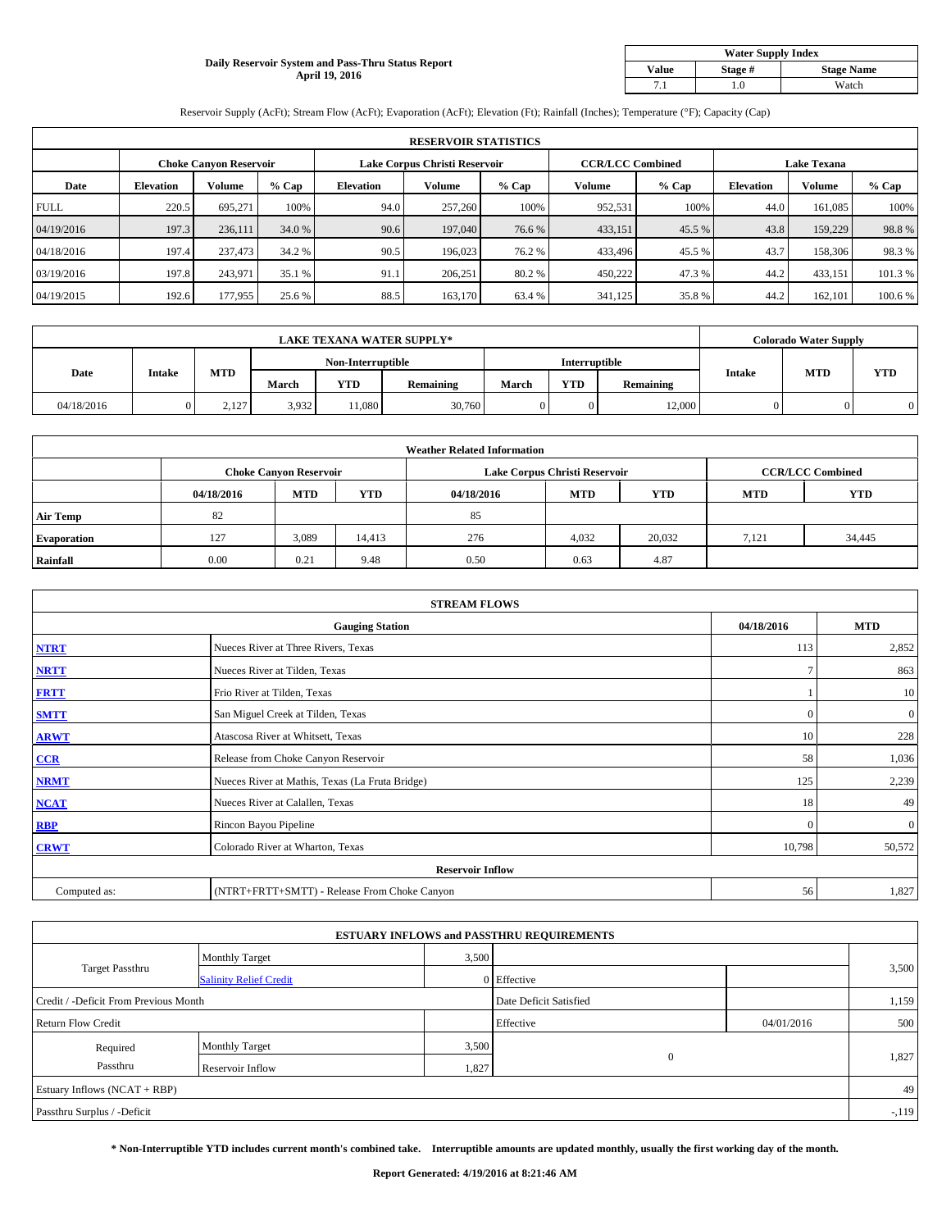## **Daily Reservoir System and Pass-Thru Status Report April 19, 2016**

| <b>Water Supply Index</b> |         |                   |  |  |  |  |  |  |
|---------------------------|---------|-------------------|--|--|--|--|--|--|
| Value                     | Stage # | <b>Stage Name</b> |  |  |  |  |  |  |
|                           | .0      | Watch             |  |  |  |  |  |  |

Reservoir Supply (AcFt); Stream Flow (AcFt); Evaporation (AcFt); Elevation (Ft); Rainfall (Inches); Temperature (°F); Capacity (Cap)

|             | <b>RESERVOIR STATISTICS</b> |                        |         |                  |                               |         |                         |         |                    |               |         |  |
|-------------|-----------------------------|------------------------|---------|------------------|-------------------------------|---------|-------------------------|---------|--------------------|---------------|---------|--|
|             |                             | Choke Canvon Reservoir |         |                  | Lake Corpus Christi Reservoir |         | <b>CCR/LCC Combined</b> |         | <b>Lake Texana</b> |               |         |  |
| Date        | <b>Elevation</b>            | Volume                 | $%$ Cap | <b>Elevation</b> | <b>Volume</b>                 | $%$ Cap | Volume                  | $%$ Cap | <b>Elevation</b>   | <b>Volume</b> | % Cap   |  |
| <b>FULL</b> | 220.5                       | 695.271                | 100%    | 94.0             | 257,260                       | 100%    | 952,531                 | 100%    | 44.0               | 161.085       | 100%    |  |
| 04/19/2016  | 197.3                       | 236,111                | 34.0 %  | 90.6             | 197,040                       | 76.6 %  | 433,151                 | 45.5 %  | 43.8               | 159,229       | 98.8%   |  |
| 04/18/2016  | 197.4                       | 237,473                | 34.2 %  | 90.5             | 196,023                       | 76.2 %  | 433,496                 | 45.5 %  | 43.7               | 158,306       | 98.3%   |  |
| 03/19/2016  | 197.8                       | 243,971                | 35.1 %  | 91.1             | 206,251                       | 80.2%   | 450,222                 | 47.3 %  | 44.2               | 433,151       | 101.3%  |  |
| 04/19/2015  | 192.6                       | 177,955                | 25.6 %  | 88.5             | 163,170                       | 63.4 %  | 341,125                 | 35.8%   | 44.2               | 162,101       | 100.6 % |  |

| <b>LAKE TEXANA WATER SUPPLY*</b> |               |            |                   |            |           |                      |            | <b>Colorado Water Supply</b> |        |            |            |
|----------------------------------|---------------|------------|-------------------|------------|-----------|----------------------|------------|------------------------------|--------|------------|------------|
|                                  |               |            | Non-Interruptible |            |           | <b>Interruptible</b> |            |                              |        |            |            |
| Date                             | <b>Intake</b> | <b>MTD</b> | March             | <b>YTD</b> | Remaining | March                | <b>YTD</b> | Remaining                    | Intake | <b>MTD</b> | <b>YTD</b> |
| 04/18/2016                       |               | 2,127      | 3,932             | 11.080     | 30,760    |                      |            | 12,000                       |        |            |            |

|                    |            |                               |        | <b>Weather Related Information</b> |                               |                         |            |            |
|--------------------|------------|-------------------------------|--------|------------------------------------|-------------------------------|-------------------------|------------|------------|
|                    |            | <b>Choke Canyon Reservoir</b> |        |                                    | Lake Corpus Christi Reservoir | <b>CCR/LCC Combined</b> |            |            |
|                    | 04/18/2016 | <b>MTD</b>                    | YTD    | 04/18/2016                         | <b>MTD</b>                    | <b>YTD</b>              | <b>MTD</b> | <b>YTD</b> |
| <b>Air Temp</b>    | 82         |                               |        | 85                                 |                               |                         |            |            |
| <b>Evaporation</b> | 127        | 3,089                         | 14.413 | 276                                | 4,032                         | 20,032                  | 7.121      | 34,445     |
| Rainfall           | 0.00       | 0.21                          | 9.48   | 0.50                               | 0.63                          | 4.87                    |            |            |

| <b>STREAM FLOWS</b> |                                                 |              |                 |  |  |  |  |  |  |
|---------------------|-------------------------------------------------|--------------|-----------------|--|--|--|--|--|--|
|                     | <b>Gauging Station</b>                          | 04/18/2016   | <b>MTD</b>      |  |  |  |  |  |  |
| <b>NTRT</b>         | Nueces River at Three Rivers, Texas             | 113          | 2,852           |  |  |  |  |  |  |
| <b>NRTT</b>         | Nueces River at Tilden, Texas                   |              | 863             |  |  |  |  |  |  |
| <b>FRTT</b>         | Frio River at Tilden, Texas                     |              | 10 <sup>1</sup> |  |  |  |  |  |  |
| <b>SMTT</b>         | San Miguel Creek at Tilden, Texas               | $\mathbf{0}$ | 0               |  |  |  |  |  |  |
| <b>ARWT</b>         | Atascosa River at Whitsett, Texas               | 10           | 228             |  |  |  |  |  |  |
| CCR                 | Release from Choke Canyon Reservoir             | 58           | 1,036           |  |  |  |  |  |  |
| <b>NRMT</b>         | Nueces River at Mathis, Texas (La Fruta Bridge) | 125          | 2,239           |  |  |  |  |  |  |
| <b>NCAT</b>         | Nueces River at Calallen, Texas                 | 18           | 49              |  |  |  |  |  |  |
| <b>RBP</b>          | Rincon Bayou Pipeline                           | $\mathbf{0}$ | $\mathbf{0}$    |  |  |  |  |  |  |
| <b>CRWT</b>         | Colorado River at Wharton, Texas                | 10,798       | 50,572          |  |  |  |  |  |  |
|                     | <b>Reservoir Inflow</b>                         |              |                 |  |  |  |  |  |  |
| Computed as:        | (NTRT+FRTT+SMTT) - Release From Choke Canyon    | 56           | 1,827           |  |  |  |  |  |  |

| <b>ESTUARY INFLOWS and PASSTHRU REQUIREMENTS</b> |                               |           |                        |     |       |  |  |  |  |  |
|--------------------------------------------------|-------------------------------|-----------|------------------------|-----|-------|--|--|--|--|--|
|                                                  | <b>Monthly Target</b>         | 3,500     |                        |     |       |  |  |  |  |  |
| <b>Target Passthru</b>                           | <b>Salinity Relief Credit</b> |           | 0 Effective            |     | 3,500 |  |  |  |  |  |
| Credit / -Deficit From Previous Month            |                               |           | Date Deficit Satisfied |     | 1,159 |  |  |  |  |  |
| <b>Return Flow Credit</b>                        |                               | Effective | 04/01/2016             | 500 |       |  |  |  |  |  |
| Required                                         | Monthly Target                | 3,500     |                        |     |       |  |  |  |  |  |
| Passthru                                         | Reservoir Inflow              | 1,827     | $\mathbf{0}$           |     | 1,827 |  |  |  |  |  |
| Estuary Inflows (NCAT + RBP)                     |                               |           |                        |     |       |  |  |  |  |  |
| Passthru Surplus / -Deficit                      |                               |           |                        |     |       |  |  |  |  |  |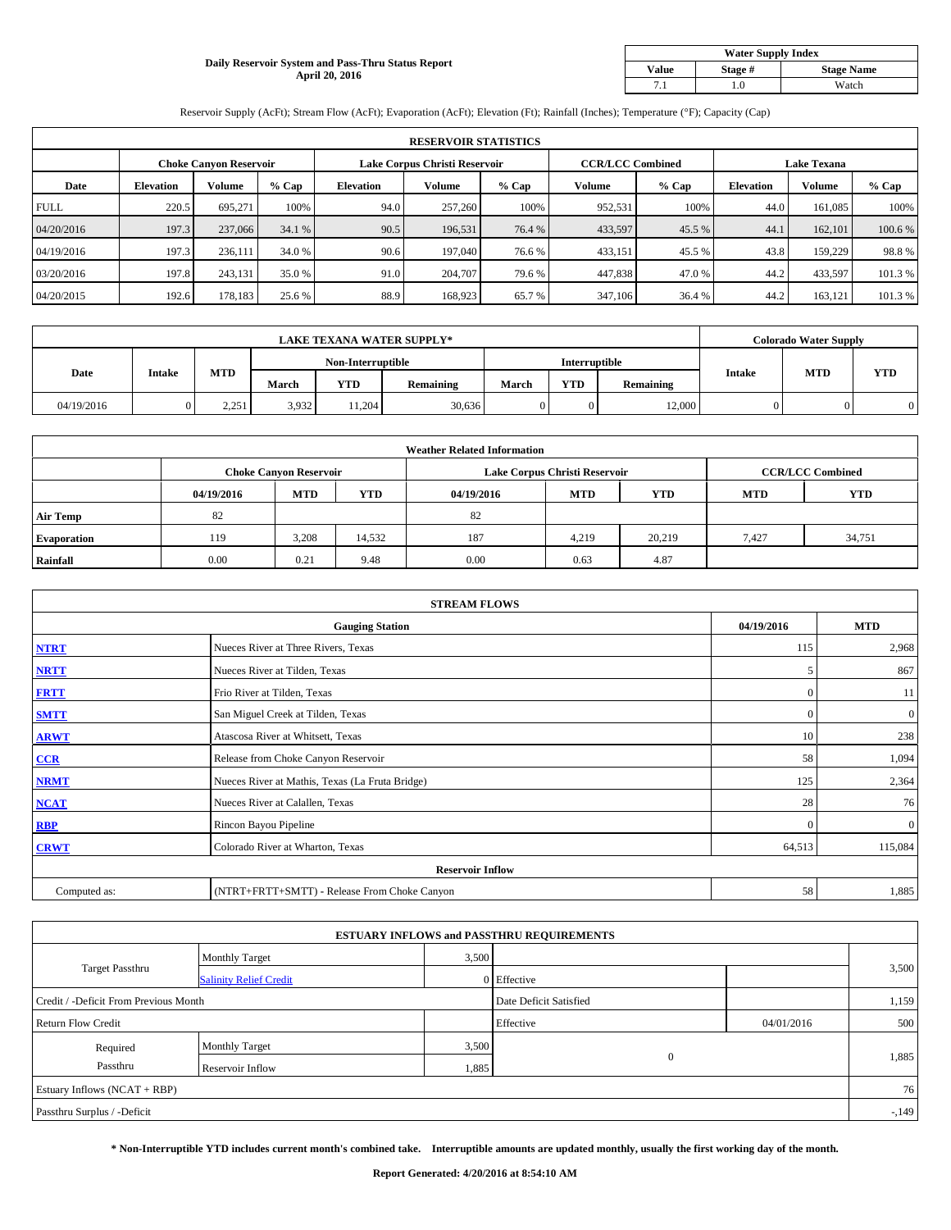## **Daily Reservoir System and Pass-Thru Status Report April 20, 2016**

| <b>Water Supply Index</b> |         |                   |  |  |  |  |  |  |
|---------------------------|---------|-------------------|--|--|--|--|--|--|
| <b>Value</b>              | Stage # | <b>Stage Name</b> |  |  |  |  |  |  |
|                           | .0      | Watch             |  |  |  |  |  |  |

Reservoir Supply (AcFt); Stream Flow (AcFt); Evaporation (AcFt); Elevation (Ft); Rainfall (Inches); Temperature (°F); Capacity (Cap)

|             | <b>RESERVOIR STATISTICS</b> |                        |         |                  |                               |         |                         |         |                    |               |         |  |
|-------------|-----------------------------|------------------------|---------|------------------|-------------------------------|---------|-------------------------|---------|--------------------|---------------|---------|--|
|             |                             | Choke Canvon Reservoir |         |                  | Lake Corpus Christi Reservoir |         | <b>CCR/LCC Combined</b> |         | <b>Lake Texana</b> |               |         |  |
| Date        | <b>Elevation</b>            | Volume                 | $%$ Cap | <b>Elevation</b> | <b>Volume</b>                 | $%$ Cap | Volume                  | $%$ Cap | <b>Elevation</b>   | <b>Volume</b> | % Cap   |  |
| <b>FULL</b> | 220.5                       | 695.271                | 100%    | 94.0             | 257,260                       | 100%    | 952,531                 | 100%    | 44.0               | 161.085       | 100%    |  |
| 04/20/2016  | 197.3                       | 237,066                | 34.1 %  | 90.5             | 196.531                       | 76.4 %  | 433,597                 | 45.5 %  | 44.                | 162,101       | 100.6%  |  |
| 04/19/2016  | 197.3                       | 236,111                | 34.0 %  | 90.6             | 197,040                       | 76.6%   | 433,151                 | 45.5 %  | 43.8               | 159,229       | 98.8%   |  |
| 03/20/2016  | 197.8                       | 243,131                | 35.0 %  | 91.0             | 204,707                       | 79.6 %  | 447,838                 | 47.0 %  | 44.2               | 433,597       | 101.3%  |  |
| 04/20/2015  | 192.6                       | 178,183                | 25.6 %  | 88.9             | 168,923                       | 65.7%   | 347,106                 | 36.4 %  | 44.2               | 163,121       | 101.3 % |  |

| <b>LAKE TEXANA WATER SUPPLY*</b> |               |            |                   |            |                  |                      |            | <b>Colorado Water Supply</b> |        |            |            |
|----------------------------------|---------------|------------|-------------------|------------|------------------|----------------------|------------|------------------------------|--------|------------|------------|
|                                  |               |            | Non-Interruptible |            |                  | <b>Interruptible</b> |            |                              |        |            |            |
| Date                             | <b>Intake</b> | <b>MTD</b> | March             | <b>YTD</b> | <b>Remaining</b> | <b>March</b>         | <b>YTD</b> | <b>Remaining</b>             | Intake | <b>MTD</b> | <b>YTD</b> |
| 04/19/2016                       |               | 2.251      | 3,932             | 11.204     | 30,636           |                      |            | 12,000                       |        |            |            |

|                    |            |                               |        | <b>Weather Related Information</b> |                               |                         |            |            |
|--------------------|------------|-------------------------------|--------|------------------------------------|-------------------------------|-------------------------|------------|------------|
|                    |            | <b>Choke Canyon Reservoir</b> |        |                                    | Lake Corpus Christi Reservoir | <b>CCR/LCC Combined</b> |            |            |
|                    | 04/19/2016 | <b>MTD</b>                    | YTD    | 04/19/2016                         | <b>MTD</b>                    | <b>YTD</b>              | <b>MTD</b> | <b>YTD</b> |
| <b>Air Temp</b>    | 82         |                               |        | 82                                 |                               |                         |            |            |
| <b>Evaporation</b> | 119        | 3,208                         | 14,532 | 187                                | 4.219                         | 20,219                  | 7.427      | 34,751     |
| Rainfall           | 0.00       | 0.21                          | 9.48   | 0.00                               | 0.63                          | 4.87                    |            |            |

| <b>STREAM FLOWS</b> |                                                 |              |                |  |  |  |  |  |  |
|---------------------|-------------------------------------------------|--------------|----------------|--|--|--|--|--|--|
|                     | <b>Gauging Station</b>                          | 04/19/2016   | <b>MTD</b>     |  |  |  |  |  |  |
| <b>NTRT</b>         | Nueces River at Three Rivers, Texas             | 115          | 2,968          |  |  |  |  |  |  |
| <b>NRTT</b>         | Nueces River at Tilden, Texas                   | 5            | 867            |  |  |  |  |  |  |
| <b>FRTT</b>         | Frio River at Tilden, Texas                     | $\mathbf{0}$ | <sup>11</sup>  |  |  |  |  |  |  |
| <b>SMTT</b>         | San Miguel Creek at Tilden, Texas               | $\mathbf{0}$ | $\overline{0}$ |  |  |  |  |  |  |
| <b>ARWT</b>         | Atascosa River at Whitsett, Texas               | 10           | 238            |  |  |  |  |  |  |
| CCR                 | Release from Choke Canyon Reservoir             | 58           | 1,094          |  |  |  |  |  |  |
| <b>NRMT</b>         | Nueces River at Mathis, Texas (La Fruta Bridge) | 125          | 2,364          |  |  |  |  |  |  |
| <b>NCAT</b>         | Nueces River at Calallen, Texas                 | 28           | 76             |  |  |  |  |  |  |
| <b>RBP</b>          | Rincon Bayou Pipeline                           | $\Omega$     | $\overline{0}$ |  |  |  |  |  |  |
| <b>CRWT</b>         | Colorado River at Wharton, Texas                | 64,513       | 115,084        |  |  |  |  |  |  |
|                     | <b>Reservoir Inflow</b>                         |              |                |  |  |  |  |  |  |
| Computed as:        | (NTRT+FRTT+SMTT) - Release From Choke Canyon    | 58           | 1,885          |  |  |  |  |  |  |

|                                       |                               |                        | <b>ESTUARY INFLOWS and PASSTHRU REQUIREMENTS</b> |            |        |  |
|---------------------------------------|-------------------------------|------------------------|--------------------------------------------------|------------|--------|--|
|                                       | <b>Monthly Target</b>         | 3,500                  |                                                  |            |        |  |
| <b>Target Passthru</b>                | <b>Salinity Relief Credit</b> |                        | 0 Effective                                      |            | 3,500  |  |
| Credit / -Deficit From Previous Month |                               | Date Deficit Satisfied |                                                  | 1,159      |        |  |
| <b>Return Flow Credit</b>             |                               |                        | Effective                                        | 04/01/2016 | 500    |  |
| Required                              | <b>Monthly Target</b>         |                        | 3,500                                            |            |        |  |
| Passthru                              | Reservoir Inflow              | 1,885                  | $\mathbf{0}$                                     |            | 1,885  |  |
| Estuary Inflows (NCAT + RBP)          |                               |                        |                                                  |            | 76     |  |
| Passthru Surplus / -Deficit           |                               |                        |                                                  |            | $-149$ |  |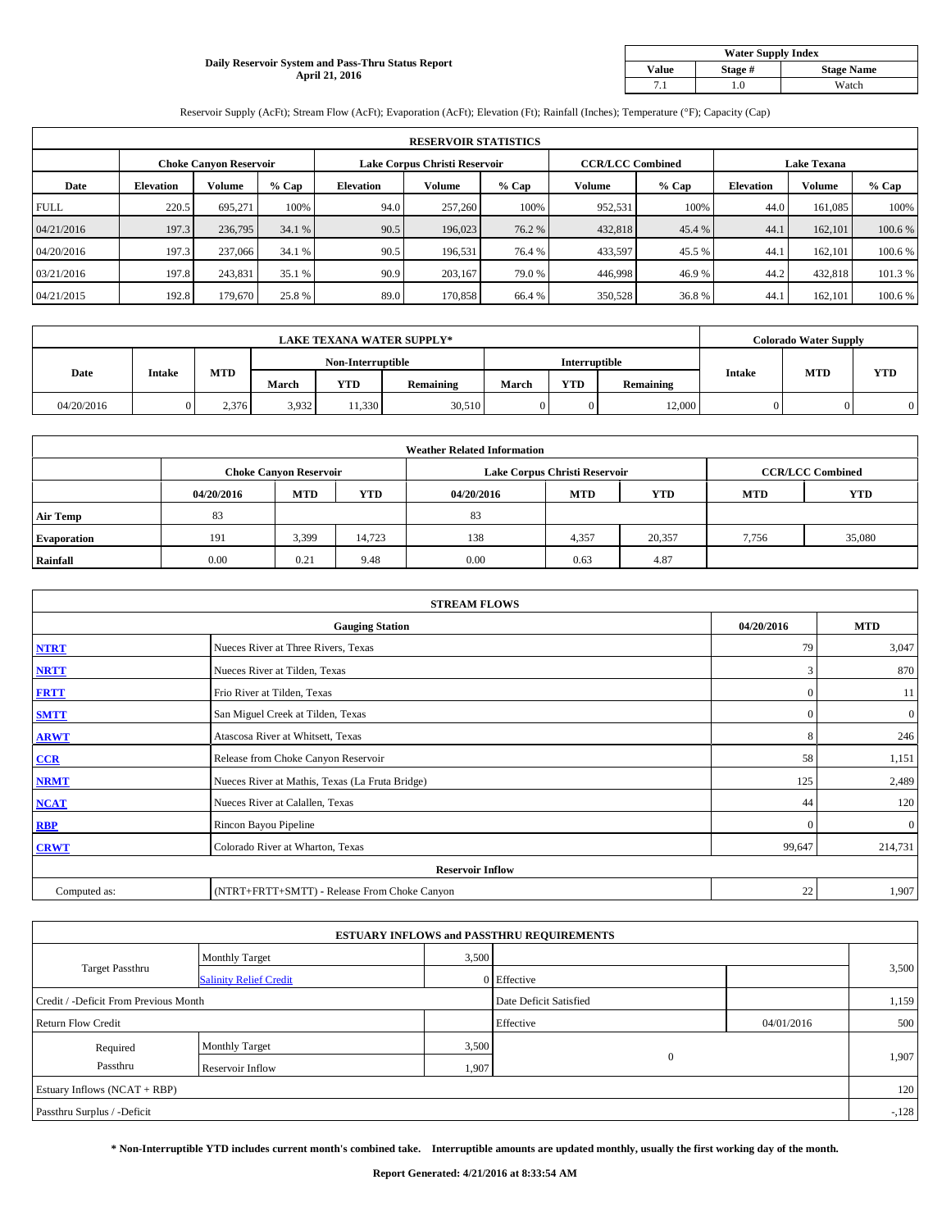## **Daily Reservoir System and Pass-Thru Status Report April 21, 2016**

| <b>Water Supply Index</b>             |       |       |  |  |  |  |  |  |
|---------------------------------------|-------|-------|--|--|--|--|--|--|
| <b>Stage Name</b><br>Value<br>Stage # |       |       |  |  |  |  |  |  |
|                                       | . . 0 | Watch |  |  |  |  |  |  |

Reservoir Supply (AcFt); Stream Flow (AcFt); Evaporation (AcFt); Elevation (Ft); Rainfall (Inches); Temperature (°F); Capacity (Cap)

|             | <b>RESERVOIR STATISTICS</b> |                        |         |                  |                               |         |                         |         |                    |               |         |  |
|-------------|-----------------------------|------------------------|---------|------------------|-------------------------------|---------|-------------------------|---------|--------------------|---------------|---------|--|
|             |                             | Choke Canvon Reservoir |         |                  | Lake Corpus Christi Reservoir |         | <b>CCR/LCC Combined</b> |         | <b>Lake Texana</b> |               |         |  |
| Date        | <b>Elevation</b>            | Volume                 | $%$ Cap | <b>Elevation</b> | <b>Volume</b>                 | $%$ Cap | Volume                  | $%$ Cap | <b>Elevation</b>   | <b>Volume</b> | % Cap   |  |
| <b>FULL</b> | 220.5                       | 695.271                | 100%    | 94.0             | 257,260                       | 100%    | 952,531                 | 100%    | 44.0               | 161.085       | 100%    |  |
| 04/21/2016  | 197.3                       | 236,795                | 34.1 %  | 90.5             | 196,023                       | 76.2 %  | 432,818                 | 45.4 %  | 44.                | 162,101       | 100.6%  |  |
| 04/20/2016  | 197.3                       | 237,066                | 34.1 %  | 90.5             | 196.531                       | 76.4 %  | 433,597                 | 45.5 %  | 44.                | 162,101       | 100.6%  |  |
| 03/21/2016  | 197.8                       | 243,831                | 35.1 %  | 90.9             | 203.167                       | 79.0%   | 446.998                 | 46.9%   | 44.2               | 432,818       | 101.3%  |  |
| 04/21/2015  | 192.8                       | 179,670                | 25.8 %  | 89.0             | 170,858                       | 66.4 %  | 350,528                 | 36.8%   | 44.                | 162,101       | 100.6 % |  |

| <b>LAKE TEXANA WATER SUPPLY*</b> |               |            |                   |            |                  |                      | <b>Colorado Water Supply</b> |                  |               |            |            |
|----------------------------------|---------------|------------|-------------------|------------|------------------|----------------------|------------------------------|------------------|---------------|------------|------------|
|                                  |               |            | Non-Interruptible |            |                  | <b>Interruptible</b> |                              |                  |               |            |            |
| Date                             | <b>Intake</b> | <b>MTD</b> | March             | <b>YTD</b> | <b>Remaining</b> | <b>March</b>         | <b>YTD</b>                   | <b>Remaining</b> | <b>Intake</b> | <b>MTD</b> | <b>YTD</b> |
| 04/20/2016                       |               | 2.376      | 3,932             | 11,330     | 30,510           |                      |                              | 12,000           |               |            |            |

|                    | <b>Weather Related Information</b> |                               |            |            |                               |                         |            |            |  |  |  |  |
|--------------------|------------------------------------|-------------------------------|------------|------------|-------------------------------|-------------------------|------------|------------|--|--|--|--|
|                    |                                    | <b>Choke Canyon Reservoir</b> |            |            | Lake Corpus Christi Reservoir | <b>CCR/LCC Combined</b> |            |            |  |  |  |  |
|                    | 04/20/2016                         | <b>MTD</b>                    | <b>YTD</b> | 04/20/2016 | <b>MTD</b>                    | <b>YTD</b>              | <b>MTD</b> | <b>YTD</b> |  |  |  |  |
| <b>Air Temp</b>    | 83                                 |                               |            | 83         |                               |                         |            |            |  |  |  |  |
| <b>Evaporation</b> | 191                                | 3,399                         | 14,723     | 138        | 4,357                         | 20,357                  | 7,756      | 35,080     |  |  |  |  |
| Rainfall           | 0.00                               | 0.21                          | 9.48       | 0.00       | 0.63                          | 4.87                    |            |            |  |  |  |  |

| <b>STREAM FLOWS</b> |                                                 |              |              |  |  |  |  |  |  |
|---------------------|-------------------------------------------------|--------------|--------------|--|--|--|--|--|--|
|                     | <b>Gauging Station</b>                          |              |              |  |  |  |  |  |  |
| <b>NTRT</b>         | Nueces River at Three Rivers, Texas             | 79           | 3,047        |  |  |  |  |  |  |
| <b>NRTT</b>         | Nueces River at Tilden, Texas                   | 3            | 870          |  |  |  |  |  |  |
| <b>FRTT</b>         | Frio River at Tilden, Texas                     | $\mathbf{0}$ | 11           |  |  |  |  |  |  |
| <b>SMTT</b>         | San Miguel Creek at Tilden, Texas               | $\mathbf{0}$ | $\mathbf{0}$ |  |  |  |  |  |  |
| <b>ARWT</b>         | Atascosa River at Whitsett, Texas               | 8            | 246          |  |  |  |  |  |  |
| CCR                 | Release from Choke Canyon Reservoir             | 58           | 1,151        |  |  |  |  |  |  |
| <b>NRMT</b>         | Nueces River at Mathis, Texas (La Fruta Bridge) | 125          | 2,489        |  |  |  |  |  |  |
| <b>NCAT</b>         | Nueces River at Calallen, Texas                 | 44           | 120          |  |  |  |  |  |  |
| <b>RBP</b>          | Rincon Bayou Pipeline                           | $\mathbf{0}$ | $\mathbf{0}$ |  |  |  |  |  |  |
| <b>CRWT</b>         | Colorado River at Wharton, Texas                | 99,647       | 214,731      |  |  |  |  |  |  |
|                     | <b>Reservoir Inflow</b>                         |              |              |  |  |  |  |  |  |
| Computed as:        | (NTRT+FRTT+SMTT) - Release From Choke Canyon    | 22           | 1,907        |  |  |  |  |  |  |

| <b>ESTUARY INFLOWS and PASSTHRU REQUIREMENTS</b> |                               |                        |              |            |        |  |  |  |  |  |
|--------------------------------------------------|-------------------------------|------------------------|--------------|------------|--------|--|--|--|--|--|
|                                                  | <b>Monthly Target</b>         | 3,500                  |              |            |        |  |  |  |  |  |
| <b>Target Passthru</b>                           | <b>Salinity Relief Credit</b> |                        | 0 Effective  |            | 3,500  |  |  |  |  |  |
| Credit / -Deficit From Previous Month            |                               | Date Deficit Satisfied |              | 1,159      |        |  |  |  |  |  |
| <b>Return Flow Credit</b>                        |                               |                        | Effective    | 04/01/2016 | 500    |  |  |  |  |  |
| Required                                         | Monthly Target                | 3,500                  |              |            |        |  |  |  |  |  |
| Passthru                                         | Reservoir Inflow              | 1,907                  | $\mathbf{0}$ |            | 1,907  |  |  |  |  |  |
| Estuary Inflows (NCAT + RBP)                     |                               |                        |              |            |        |  |  |  |  |  |
| Passthru Surplus / -Deficit                      |                               |                        |              |            | $-128$ |  |  |  |  |  |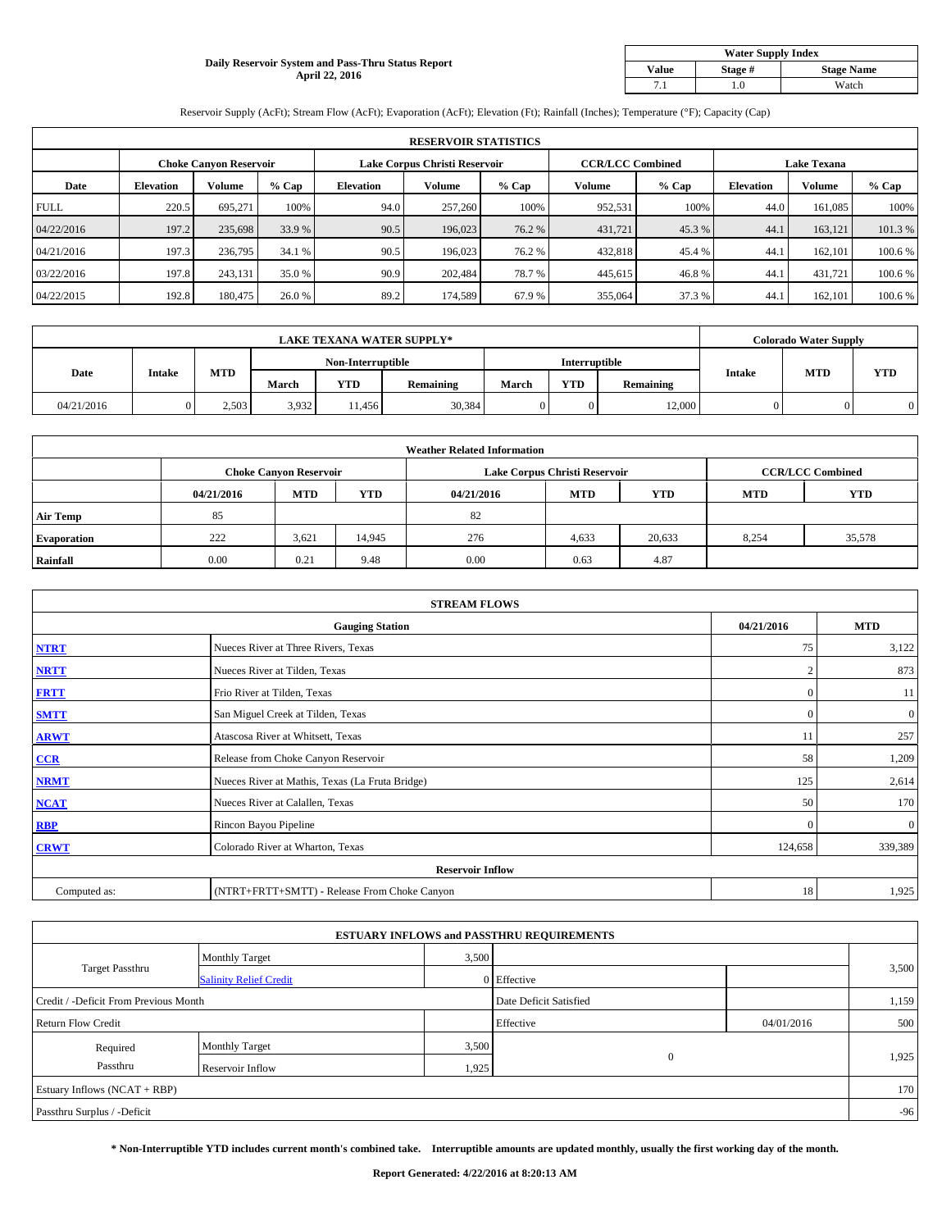### **Daily Reservoir System and Pass-Thru Status Report April 22, 2016**

| <b>Water Supply Index</b>             |       |       |  |  |  |  |  |  |
|---------------------------------------|-------|-------|--|--|--|--|--|--|
| <b>Stage Name</b><br>Value<br>Stage # |       |       |  |  |  |  |  |  |
|                                       | . . 0 | Watch |  |  |  |  |  |  |

Reservoir Supply (AcFt); Stream Flow (AcFt); Evaporation (AcFt); Elevation (Ft); Rainfall (Inches); Temperature (°F); Capacity (Cap)

|             | <b>RESERVOIR STATISTICS</b> |                        |         |                               |               |         |                         |         |                    |               |         |  |
|-------------|-----------------------------|------------------------|---------|-------------------------------|---------------|---------|-------------------------|---------|--------------------|---------------|---------|--|
|             |                             | Choke Canvon Reservoir |         | Lake Corpus Christi Reservoir |               |         | <b>CCR/LCC Combined</b> |         | <b>Lake Texana</b> |               |         |  |
| Date        | <b>Elevation</b>            | Volume                 | $%$ Cap | <b>Elevation</b>              | <b>Volume</b> | $%$ Cap | Volume                  | $%$ Cap | <b>Elevation</b>   | <b>Volume</b> | % Cap   |  |
| <b>FULL</b> | 220.5                       | 695.271                | 100%    | 94.0                          | 257,260       | 100%    | 952,531                 | 100%    | 44.0               | 161.085       | 100%    |  |
| 04/22/2016  | 197.2                       | 235,698                | 33.9 %  | 90.5                          | 196,023       | 76.2 %  | 431,721                 | 45.3 %  | 44.                | 163.121       | 101.3%  |  |
| 04/21/2016  | 197.3                       | 236,795                | 34.1 %  | 90.5                          | 196,023       | 76.2 %  | 432,818                 | 45.4 %  | 44.                | 162,101       | 100.6%  |  |
| 03/22/2016  | 197.8                       | 243,131                | 35.0 %  | 90.9                          | 202,484       | 78.7%   | 445,615                 | 46.8%   | 44.                | 431,721       | 100.6 % |  |
| 04/22/2015  | 192.8                       | 180,475                | 26.0 %  | 89.2                          | 174,589       | 67.9%   | 355,064                 | 37.3 %  | 44.                | 162,101       | 100.6 % |  |

| <b>LAKE TEXANA WATER SUPPLY*</b> |               |            |                   |            |                  |               |            | <b>Colorado Water Supply</b> |               |            |            |
|----------------------------------|---------------|------------|-------------------|------------|------------------|---------------|------------|------------------------------|---------------|------------|------------|
|                                  |               |            | Non-Interruptible |            |                  | Interruptible |            |                              |               |            |            |
| Date                             | <b>Intake</b> | <b>MTD</b> | March             | <b>YTD</b> | <b>Remaining</b> | <b>March</b>  | <b>YTD</b> | Remaining                    | <b>Intake</b> | <b>MTD</b> | <b>YTD</b> |
| 04/21/2016                       |               | 2.503      | 3,932             | 11.456     | 30,384           |               |            | 12,000                       |               |            |            |

|                    | <b>Weather Related Information</b> |                               |        |            |                               |                         |            |            |  |  |  |  |
|--------------------|------------------------------------|-------------------------------|--------|------------|-------------------------------|-------------------------|------------|------------|--|--|--|--|
|                    |                                    | <b>Choke Canyon Reservoir</b> |        |            | Lake Corpus Christi Reservoir | <b>CCR/LCC Combined</b> |            |            |  |  |  |  |
|                    | 04/21/2016                         | <b>MTD</b>                    | YTD    | 04/21/2016 | <b>MTD</b>                    | <b>YTD</b>              | <b>MTD</b> | <b>YTD</b> |  |  |  |  |
| <b>Air Temp</b>    | 85                                 |                               |        | 82         |                               |                         |            |            |  |  |  |  |
| <b>Evaporation</b> | 222                                | 3,621                         | 14,945 | 276        | 4,633                         | 20,633                  | 8,254      | 35,578     |  |  |  |  |
| Rainfall           | 0.00                               | 0.21                          | 9.48   | 0.00       | 0.63                          | 4.87                    |            |            |  |  |  |  |

| <b>STREAM FLOWS</b> |                                                 |               |              |  |  |  |  |  |  |
|---------------------|-------------------------------------------------|---------------|--------------|--|--|--|--|--|--|
|                     | <b>Gauging Station</b>                          | 04/21/2016    | <b>MTD</b>   |  |  |  |  |  |  |
| <b>NTRT</b>         | Nueces River at Three Rivers, Texas             | 75            | 3,122        |  |  |  |  |  |  |
| <b>NRTT</b>         | Nueces River at Tilden, Texas                   | $\mathcal{L}$ | 873          |  |  |  |  |  |  |
| <b>FRTT</b>         | Frio River at Tilden, Texas                     | $\mathbf{0}$  | 11           |  |  |  |  |  |  |
| <b>SMTT</b>         | San Miguel Creek at Tilden, Texas               | $\mathbf{0}$  | 0            |  |  |  |  |  |  |
| <b>ARWT</b>         | Atascosa River at Whitsett, Texas               | 11            | 257          |  |  |  |  |  |  |
| CCR                 | Release from Choke Canyon Reservoir             | 58            | 1,209        |  |  |  |  |  |  |
| <b>NRMT</b>         | Nueces River at Mathis, Texas (La Fruta Bridge) | 125           | 2,614        |  |  |  |  |  |  |
| <b>NCAT</b>         | Nueces River at Calallen, Texas                 | 50            | 170          |  |  |  |  |  |  |
| <b>RBP</b>          | Rincon Bayou Pipeline                           | $\Omega$      | $\mathbf{0}$ |  |  |  |  |  |  |
| <b>CRWT</b>         | Colorado River at Wharton, Texas                | 124,658       | 339,389      |  |  |  |  |  |  |
|                     | <b>Reservoir Inflow</b>                         |               |              |  |  |  |  |  |  |
| Computed as:        | (NTRT+FRTT+SMTT) - Release From Choke Canyon    | 18            | 1,925        |  |  |  |  |  |  |

| <b>ESTUARY INFLOWS and PASSTHRU REQUIREMENTS</b> |                               |                        |              |            |       |  |  |  |  |  |
|--------------------------------------------------|-------------------------------|------------------------|--------------|------------|-------|--|--|--|--|--|
|                                                  | <b>Monthly Target</b>         | 3,500                  |              |            |       |  |  |  |  |  |
| <b>Target Passthru</b>                           | <b>Salinity Relief Credit</b> |                        | 0 Effective  |            | 3,500 |  |  |  |  |  |
| Credit / -Deficit From Previous Month            |                               | Date Deficit Satisfied |              | 1,159      |       |  |  |  |  |  |
| <b>Return Flow Credit</b>                        |                               |                        | Effective    | 04/01/2016 | 500   |  |  |  |  |  |
| Required                                         | Monthly Target                | 3,500                  |              |            |       |  |  |  |  |  |
| Passthru                                         | Reservoir Inflow              | 1,925                  | $\mathbf{0}$ |            | 1,925 |  |  |  |  |  |
| Estuary Inflows (NCAT + RBP)                     |                               |                        |              |            |       |  |  |  |  |  |
| Passthru Surplus / -Deficit                      |                               |                        |              |            | $-96$ |  |  |  |  |  |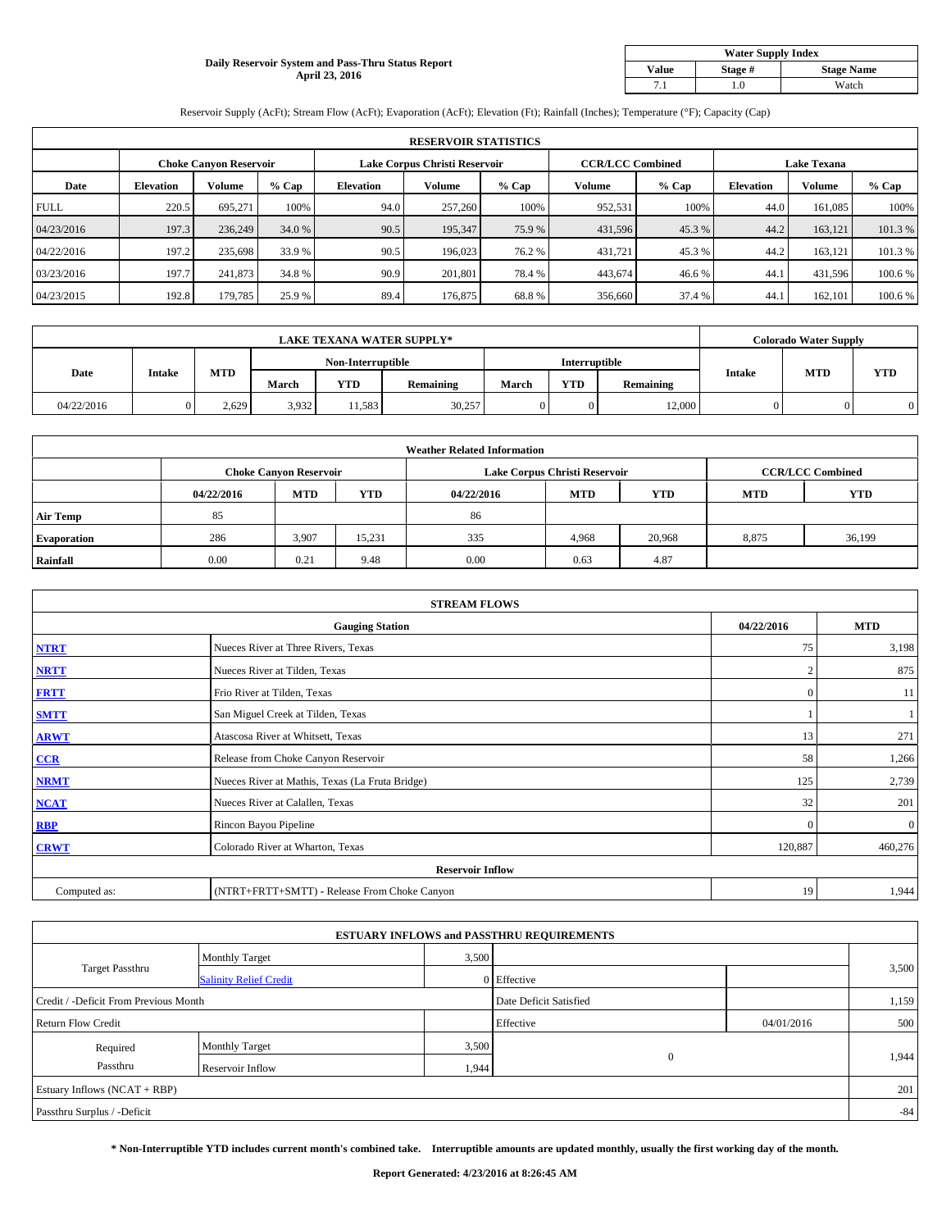## **Daily Reservoir System and Pass-Thru Status Report April 23, 2016**

| <b>Water Supply Index</b>             |       |       |  |  |  |  |  |  |
|---------------------------------------|-------|-------|--|--|--|--|--|--|
| <b>Stage Name</b><br>Value<br>Stage # |       |       |  |  |  |  |  |  |
|                                       | . . 0 | Watch |  |  |  |  |  |  |

Reservoir Supply (AcFt); Stream Flow (AcFt); Evaporation (AcFt); Elevation (Ft); Rainfall (Inches); Temperature (°F); Capacity (Cap)

|             | <b>RESERVOIR STATISTICS</b> |                        |         |                               |               |         |                         |         |                    |               |         |  |
|-------------|-----------------------------|------------------------|---------|-------------------------------|---------------|---------|-------------------------|---------|--------------------|---------------|---------|--|
|             |                             | Choke Canvon Reservoir |         | Lake Corpus Christi Reservoir |               |         | <b>CCR/LCC Combined</b> |         | <b>Lake Texana</b> |               |         |  |
| Date        | <b>Elevation</b>            | Volume                 | $%$ Cap | <b>Elevation</b>              | <b>Volume</b> | $%$ Cap | Volume                  | $%$ Cap | <b>Elevation</b>   | <b>Volume</b> | % Cap   |  |
| <b>FULL</b> | 220.5                       | 695.271                | 100%    | 94.0                          | 257,260       | 100%    | 952,531                 | 100%    | 44.0               | 161.085       | 100%    |  |
| 04/23/2016  | 197.3                       | 236,249                | 34.0 %  | 90.5                          | 195,347       | 75.9 %  | 431,596                 | 45.3 %  | 44.2               | 163.121       | 101.3%  |  |
| 04/22/2016  | 197.2                       | 235,698                | 33.9 %  | 90.5                          | 196,023       | 76.2 %  | 431,721                 | 45.3 %  | 44.2               | 163.121       | 101.3%  |  |
| 03/23/2016  | 197.7                       | 241,873                | 34.8 %  | 90.9                          | 201.801       | 78.4%   | 443,674                 | 46.6 %  | 44.                | 431,596       | 100.6 % |  |
| 04/23/2015  | 192.8                       | 179,785                | 25.9 %  | 89.4                          | 176,875       | 68.8%   | 356,660                 | 37.4 %  | 44.                | 162,101       | 100.6 % |  |

| <b>LAKE TEXANA WATER SUPPLY*</b> |               |            |                   |            |           |               |            | <b>Colorado Water Supply</b> |        |            |            |
|----------------------------------|---------------|------------|-------------------|------------|-----------|---------------|------------|------------------------------|--------|------------|------------|
|                                  |               |            | Non-Interruptible |            |           | Interruptible |            |                              |        |            |            |
| Date                             | <b>Intake</b> | <b>MTD</b> | March             | <b>YTD</b> | Remaining | March         | <b>YTD</b> | Remaining                    | Intake | <b>MTD</b> | <b>YTD</b> |
| 04/22/2016                       |               | 2,629      | 3,932             | 11.583     | 30,257    |               |            | 12,000                       |        |            |            |

|                    | <b>Weather Related Information</b> |                               |        |            |                               |                         |            |            |  |  |  |  |
|--------------------|------------------------------------|-------------------------------|--------|------------|-------------------------------|-------------------------|------------|------------|--|--|--|--|
|                    |                                    | <b>Choke Canyon Reservoir</b> |        |            | Lake Corpus Christi Reservoir | <b>CCR/LCC Combined</b> |            |            |  |  |  |  |
|                    | 04/22/2016                         | <b>MTD</b>                    | YTD    | 04/22/2016 | <b>MTD</b>                    | <b>YTD</b>              | <b>MTD</b> | <b>YTD</b> |  |  |  |  |
| <b>Air Temp</b>    | 85                                 |                               |        | 86         |                               |                         |            |            |  |  |  |  |
| <b>Evaporation</b> | 286                                | 3,907                         | 15,231 | 335        | 4,968                         | 20,968                  | 8,875      | 36,199     |  |  |  |  |
| Rainfall           | 0.00                               | 0.21                          | 9.48   | 0.00       | 0.63                          | 4.87                    |            |            |  |  |  |  |

| <b>STREAM FLOWS</b> |                                                 |               |              |  |  |  |  |  |  |
|---------------------|-------------------------------------------------|---------------|--------------|--|--|--|--|--|--|
|                     | <b>Gauging Station</b>                          | 04/22/2016    | <b>MTD</b>   |  |  |  |  |  |  |
| <b>NTRT</b>         | Nueces River at Three Rivers, Texas             | 75            | 3,198        |  |  |  |  |  |  |
| <b>NRTT</b>         | Nueces River at Tilden, Texas                   | $\mathcal{L}$ | 875          |  |  |  |  |  |  |
| <b>FRTT</b>         | Frio River at Tilden, Texas                     | $\mathbf{0}$  | 11           |  |  |  |  |  |  |
| <b>SMTT</b>         | San Miguel Creek at Tilden, Texas               |               |              |  |  |  |  |  |  |
| <b>ARWT</b>         | Atascosa River at Whitsett, Texas               | 13            | 271          |  |  |  |  |  |  |
| CCR                 | Release from Choke Canyon Reservoir             | 58            | 1,266        |  |  |  |  |  |  |
| <b>NRMT</b>         | Nueces River at Mathis, Texas (La Fruta Bridge) | 125           | 2,739        |  |  |  |  |  |  |
| <b>NCAT</b>         | Nueces River at Calallen, Texas                 | 32            | 201          |  |  |  |  |  |  |
| <b>RBP</b>          | Rincon Bayou Pipeline                           | $\Omega$      | $\mathbf{0}$ |  |  |  |  |  |  |
| <b>CRWT</b>         | Colorado River at Wharton, Texas                | 120,887       | 460,276      |  |  |  |  |  |  |
|                     | <b>Reservoir Inflow</b>                         |               |              |  |  |  |  |  |  |
| Computed as:        | (NTRT+FRTT+SMTT) - Release From Choke Canyon    | 19            | 1,944        |  |  |  |  |  |  |

| <b>ESTUARY INFLOWS and PASSTHRU REQUIREMENTS</b> |                               |                        |              |       |       |  |  |  |  |  |
|--------------------------------------------------|-------------------------------|------------------------|--------------|-------|-------|--|--|--|--|--|
|                                                  | <b>Monthly Target</b>         | 3,500                  |              |       |       |  |  |  |  |  |
| <b>Target Passthru</b>                           | <b>Salinity Relief Credit</b> |                        | 0 Effective  |       | 3,500 |  |  |  |  |  |
| Credit / -Deficit From Previous Month            |                               | Date Deficit Satisfied |              | 1,159 |       |  |  |  |  |  |
| <b>Return Flow Credit</b>                        |                               | Effective              | 04/01/2016   | 500   |       |  |  |  |  |  |
| Required                                         | <b>Monthly Target</b>         | 3,500                  |              |       |       |  |  |  |  |  |
| Passthru                                         | Reservoir Inflow              | 1,944                  | $\mathbf{0}$ |       | 1,944 |  |  |  |  |  |
| Estuary Inflows (NCAT + RBP)                     |                               |                        |              |       |       |  |  |  |  |  |
| Passthru Surplus / -Deficit                      |                               |                        |              |       | $-84$ |  |  |  |  |  |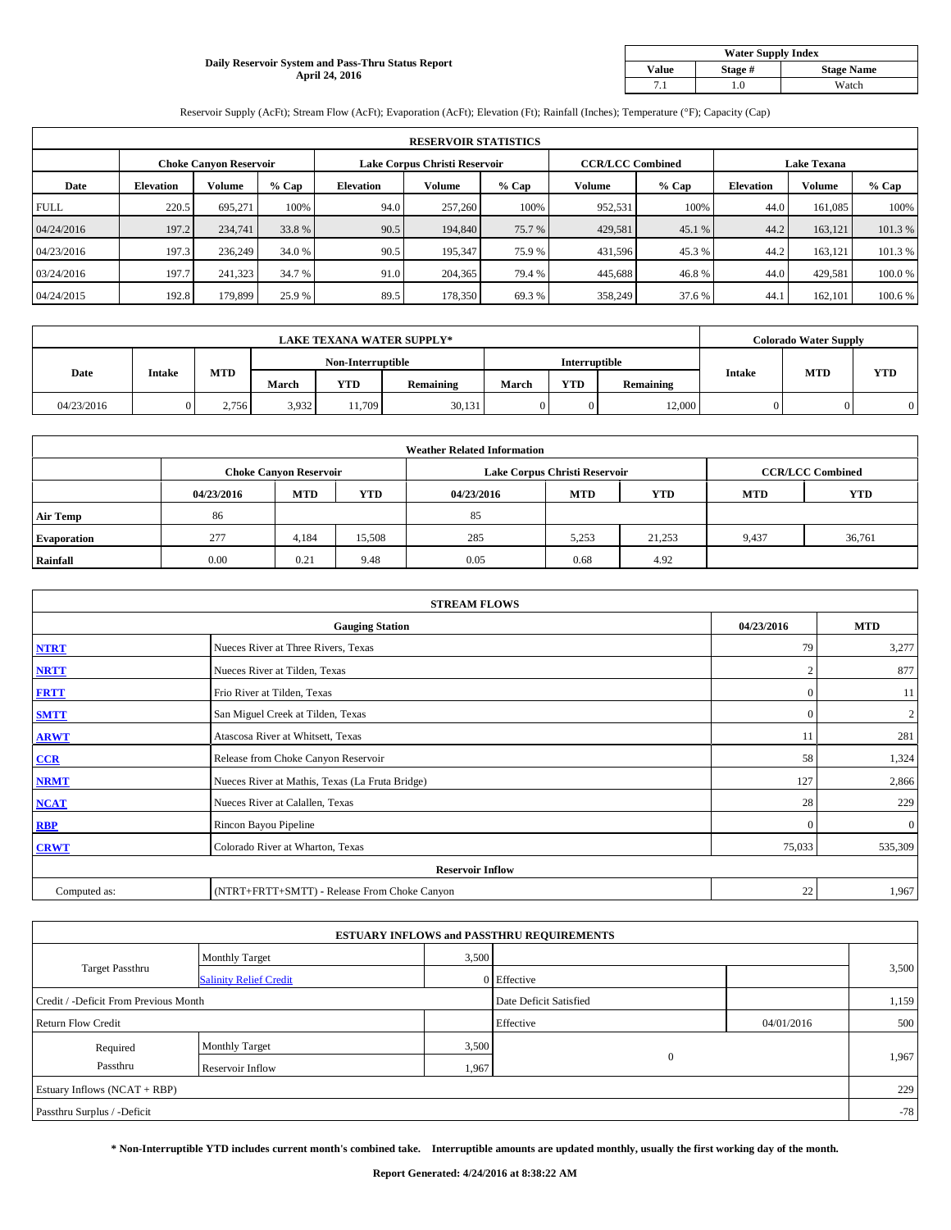## **Daily Reservoir System and Pass-Thru Status Report April 24, 2016**

| <b>Water Supply Index</b> |         |                   |  |  |  |  |  |  |
|---------------------------|---------|-------------------|--|--|--|--|--|--|
| <b>Value</b>              | Stage # | <b>Stage Name</b> |  |  |  |  |  |  |
|                           | .0      | Watch             |  |  |  |  |  |  |

Reservoir Supply (AcFt); Stream Flow (AcFt); Evaporation (AcFt); Elevation (Ft); Rainfall (Inches); Temperature (°F); Capacity (Cap)

|             | <b>RESERVOIR STATISTICS</b> |                               |         |                               |         |         |                         |         |                    |               |         |  |
|-------------|-----------------------------|-------------------------------|---------|-------------------------------|---------|---------|-------------------------|---------|--------------------|---------------|---------|--|
|             |                             | <b>Choke Canyon Reservoir</b> |         | Lake Corpus Christi Reservoir |         |         | <b>CCR/LCC Combined</b> |         | <b>Lake Texana</b> |               |         |  |
| Date        | <b>Elevation</b>            | Volume                        | $%$ Cap | <b>Elevation</b>              | Volume  | $%$ Cap | Volume                  | $%$ Cap | <b>Elevation</b>   | <b>Volume</b> | % Cap   |  |
| <b>FULL</b> | 220.5                       | 695.271                       | 100%    | 94.0                          | 257,260 | 100%    | 952,531                 | 100%    | 44.0               | 161,085       | 100%    |  |
| 04/24/2016  | 197.2                       | 234,741                       | 33.8 %  | 90.5                          | 194,840 | 75.7 %  | 429,581                 | 45.1 %  | 44.2               | 163,121       | 101.3%  |  |
| 04/23/2016  | 197.3                       | 236,249                       | 34.0 %  | 90.5                          | 195.347 | 75.9 %  | 431,596                 | 45.3 %  | 44.2               | 163,121       | 101.3 % |  |
| 03/24/2016  | 197.7                       | 241,323                       | 34.7 %  | 91.0                          | 204,365 | 79.4 %  | 445,688                 | 46.8%   | 44.0               | 429.581       | 100.0%  |  |
| 04/24/2015  | 192.8                       | 179,899                       | 25.9 %  | 89.5                          | 178,350 | 69.3%   | 358,249                 | 37.6 %  | 44.1               | 162,101       | 100.6%  |  |

| <b>LAKE TEXANA WATER SUPPLY*</b> |               |            |                   |            |                  |               |            | <b>Colorado Water Supply</b> |               |            |            |
|----------------------------------|---------------|------------|-------------------|------------|------------------|---------------|------------|------------------------------|---------------|------------|------------|
|                                  |               |            | Non-Interruptible |            |                  | Interruptible |            |                              |               |            |            |
| Date                             | <b>Intake</b> | <b>MTD</b> | March             | <b>YTD</b> | <b>Remaining</b> | <b>March</b>  | <b>YTD</b> | Remaining                    | <b>Intake</b> | <b>MTD</b> | <b>YTD</b> |
| 04/23/2016                       |               | 2.756      | 3,932             | 11.709     | 30,131           |               |            | 12,000                       |               |            |            |

|                    | <b>Weather Related Information</b> |                               |        |            |                               |                         |            |            |  |  |  |  |
|--------------------|------------------------------------|-------------------------------|--------|------------|-------------------------------|-------------------------|------------|------------|--|--|--|--|
|                    |                                    | <b>Choke Canyon Reservoir</b> |        |            | Lake Corpus Christi Reservoir | <b>CCR/LCC Combined</b> |            |            |  |  |  |  |
|                    | 04/23/2016                         | <b>MTD</b>                    | YTD    | 04/23/2016 | <b>MTD</b>                    | <b>YTD</b>              | <b>MTD</b> | <b>YTD</b> |  |  |  |  |
| <b>Air Temp</b>    | 86                                 |                               |        | 85         |                               |                         |            |            |  |  |  |  |
| <b>Evaporation</b> | 277                                | 4.184                         | 15,508 | 285        | 5,253                         | 21,253                  | 9,437      | 36,761     |  |  |  |  |
| Rainfall           | 0.00                               | 0.21                          | 9.48   | 0.05       | 0.68                          | 4.92                    |            |            |  |  |  |  |

| <b>STREAM FLOWS</b> |                                                 |               |              |  |  |  |  |  |  |
|---------------------|-------------------------------------------------|---------------|--------------|--|--|--|--|--|--|
|                     | <b>Gauging Station</b>                          | 04/23/2016    | <b>MTD</b>   |  |  |  |  |  |  |
| <b>NTRT</b>         | Nueces River at Three Rivers, Texas             | 79            | 3,277        |  |  |  |  |  |  |
| <b>NRTT</b>         | Nueces River at Tilden, Texas                   | $\mathcal{L}$ | 877          |  |  |  |  |  |  |
| <b>FRTT</b>         | Frio River at Tilden, Texas                     | $\mathbf{0}$  | 11           |  |  |  |  |  |  |
| <b>SMTT</b>         | San Miguel Creek at Tilden, Texas               | $\mathbf{0}$  | 2            |  |  |  |  |  |  |
| <b>ARWT</b>         | Atascosa River at Whitsett, Texas               | 11            | 281          |  |  |  |  |  |  |
| CCR                 | Release from Choke Canyon Reservoir             | 58            | 1,324        |  |  |  |  |  |  |
| <b>NRMT</b>         | Nueces River at Mathis, Texas (La Fruta Bridge) | 127           | 2,866        |  |  |  |  |  |  |
| <b>NCAT</b>         | Nueces River at Calallen, Texas                 | 28            | 229          |  |  |  |  |  |  |
| <b>RBP</b>          | Rincon Bayou Pipeline                           | $\mathbf{0}$  | $\mathbf{0}$ |  |  |  |  |  |  |
| <b>CRWT</b>         | Colorado River at Wharton, Texas                | 75,033        | 535,309      |  |  |  |  |  |  |
|                     | <b>Reservoir Inflow</b>                         |               |              |  |  |  |  |  |  |
| Computed as:        | (NTRT+FRTT+SMTT) - Release From Choke Canyon    | 22            | 1,967        |  |  |  |  |  |  |

| <b>ESTUARY INFLOWS and PASSTHRU REQUIREMENTS</b> |                               |                        |              |            |       |  |  |  |  |  |
|--------------------------------------------------|-------------------------------|------------------------|--------------|------------|-------|--|--|--|--|--|
|                                                  | <b>Monthly Target</b>         | 3,500                  |              |            |       |  |  |  |  |  |
| <b>Target Passthru</b>                           | <b>Salinity Relief Credit</b> |                        | 0 Effective  |            | 3,500 |  |  |  |  |  |
| Credit / -Deficit From Previous Month            |                               | Date Deficit Satisfied |              | 1,159      |       |  |  |  |  |  |
| <b>Return Flow Credit</b>                        |                               |                        | Effective    | 04/01/2016 | 500   |  |  |  |  |  |
| Required                                         | <b>Monthly Target</b>         | 3,500                  |              |            |       |  |  |  |  |  |
| Passthru                                         | Reservoir Inflow              | 1,967                  | $\mathbf{0}$ |            | 1,967 |  |  |  |  |  |
| Estuary Inflows (NCAT + RBP)                     |                               |                        |              |            |       |  |  |  |  |  |
| Passthru Surplus / -Deficit                      |                               |                        |              |            | $-78$ |  |  |  |  |  |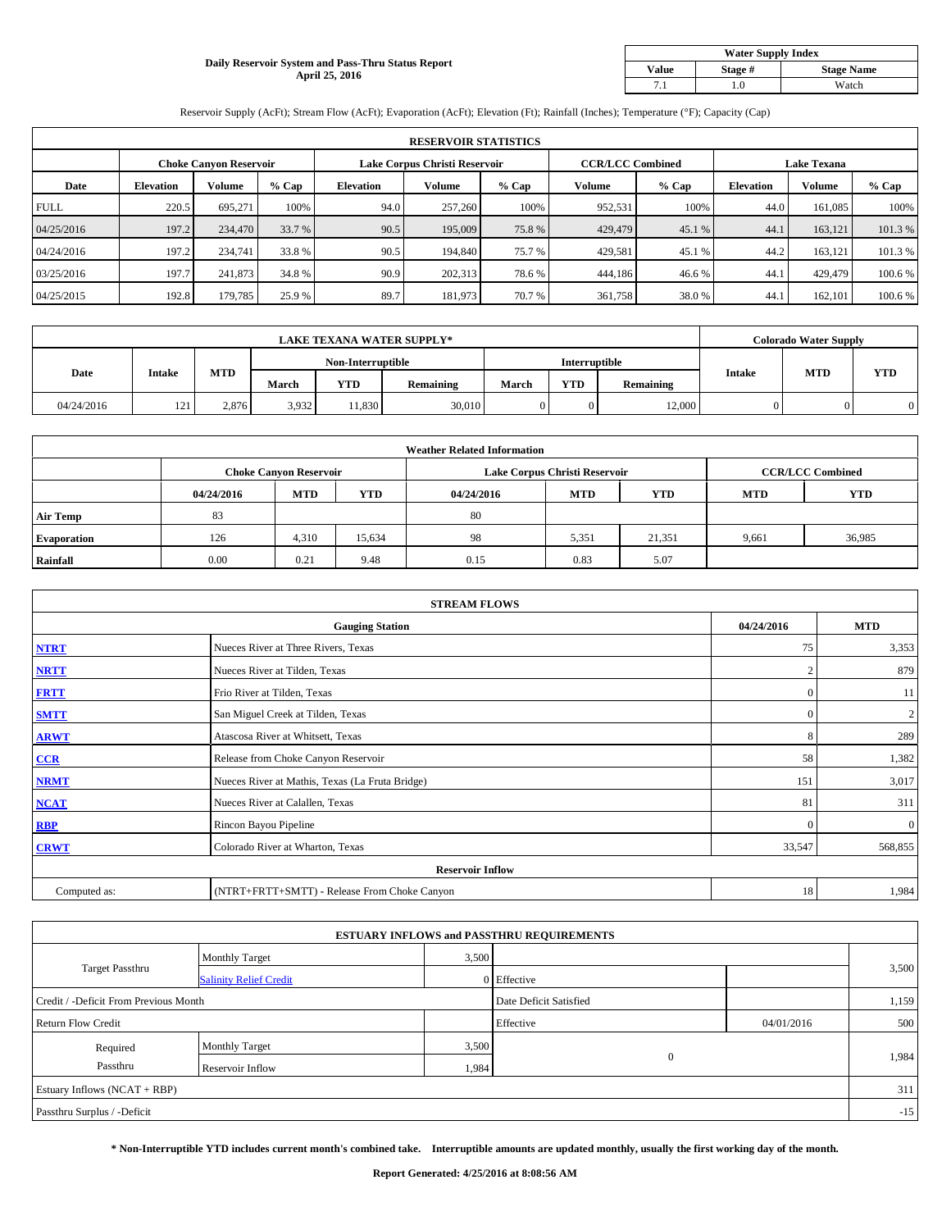## **Daily Reservoir System and Pass-Thru Status Report April 25, 2016**

|              | <b>Water Supply Index</b>    |       |  |  |  |  |  |  |  |  |
|--------------|------------------------------|-------|--|--|--|--|--|--|--|--|
| <b>Value</b> | <b>Stage Name</b><br>Stage # |       |  |  |  |  |  |  |  |  |
|              | .0                           | Watch |  |  |  |  |  |  |  |  |

Reservoir Supply (AcFt); Stream Flow (AcFt); Evaporation (AcFt); Elevation (Ft); Rainfall (Inches); Temperature (°F); Capacity (Cap)

|             | <b>RESERVOIR STATISTICS</b> |                               |         |                               |         |         |                         |         |                  |                    |         |  |
|-------------|-----------------------------|-------------------------------|---------|-------------------------------|---------|---------|-------------------------|---------|------------------|--------------------|---------|--|
|             |                             | <b>Choke Canyon Reservoir</b> |         | Lake Corpus Christi Reservoir |         |         | <b>CCR/LCC Combined</b> |         |                  | <b>Lake Texana</b> |         |  |
| Date        | <b>Elevation</b>            | Volume                        | $%$ Cap | <b>Elevation</b>              | Volume  | $%$ Cap | Volume                  | $%$ Cap | <b>Elevation</b> | <b>Volume</b>      | % Cap   |  |
| <b>FULL</b> | 220.5                       | 695.271                       | 100%    | 94.0                          | 257,260 | 100%    | 952,531                 | 100%    | 44.0             | 161,085            | 100%    |  |
| 04/25/2016  | 197.2                       | 234,470                       | 33.7 %  | 90.5                          | 195,009 | 75.8%   | 429,479                 | 45.1 %  | 44.1             | 163,121            | 101.3%  |  |
| 04/24/2016  | 197.2                       | 234,741                       | 33.8 %  | 90.5                          | 194,840 | 75.7 %  | 429,581                 | 45.1 %  | 44.2             | 163,121            | 101.3 % |  |
| 03/25/2016  | 197.7                       | 241,873                       | 34.8%   | 90.9                          | 202,313 | 78.6%   | 444,186                 | 46.6%   | 44.1             | 429,479            | 100.6 % |  |
| 04/25/2015  | 192.8                       | 179,785                       | 25.9 %  | 89.7                          | 181,973 | 70.7%   | 361,758                 | 38.0%   | 44.1             | 162,101            | 100.6%  |  |

|            |                          |            |                                                         |        | <b>LAKE TEXANA WATER SUPPLY*</b> |               |            |            |  | <b>Colorado Water Supply</b> |  |
|------------|--------------------------|------------|---------------------------------------------------------|--------|----------------------------------|---------------|------------|------------|--|------------------------------|--|
|            |                          |            | Non-Interruptible                                       |        |                                  | Interruptible |            |            |  |                              |  |
| Date       | <b>Intake</b>            | <b>MTD</b> | <b>YTD</b><br><b>YTD</b><br>March<br>March<br>Remaining |        | Remaining                        | <b>Intake</b> | <b>MTD</b> | <b>YTD</b> |  |                              |  |
| 04/24/2016 | $\mathbf{1} \cap$<br>14. | 2.876      | 3,932                                                   | 11.830 | 30,010                           |               |            | 12,000     |  |                              |  |

|                    | <b>Weather Related Information</b> |                               |        |            |                               |            |            |                         |  |  |  |  |  |
|--------------------|------------------------------------|-------------------------------|--------|------------|-------------------------------|------------|------------|-------------------------|--|--|--|--|--|
|                    |                                    | <b>Choke Canyon Reservoir</b> |        |            | Lake Corpus Christi Reservoir |            |            | <b>CCR/LCC Combined</b> |  |  |  |  |  |
|                    | 04/24/2016                         | <b>MTD</b>                    | YTD    | 04/24/2016 | <b>MTD</b>                    | <b>YTD</b> | <b>MTD</b> | <b>YTD</b>              |  |  |  |  |  |
| <b>Air Temp</b>    | 83                                 |                               |        | 80         |                               |            |            |                         |  |  |  |  |  |
| <b>Evaporation</b> | 126                                | 4,310                         | 15,634 | 98         | 5,351                         | 21,351     | 9,661      | 36,985                  |  |  |  |  |  |
| Rainfall           | 0.00                               | 0.21                          | 9.48   | 0.15       | 0.83                          | 5.07       |            |                         |  |  |  |  |  |

|              | <b>STREAM FLOWS</b>                             |                |                |  |  |  |  |  |  |  |
|--------------|-------------------------------------------------|----------------|----------------|--|--|--|--|--|--|--|
|              | <b>Gauging Station</b>                          | 04/24/2016     | <b>MTD</b>     |  |  |  |  |  |  |  |
| <b>NTRT</b>  | Nueces River at Three Rivers, Texas             | 75             | 3,353          |  |  |  |  |  |  |  |
| <b>NRTT</b>  | Nueces River at Tilden, Texas                   | $\overline{c}$ | 879            |  |  |  |  |  |  |  |
| <b>FRTT</b>  | Frio River at Tilden, Texas                     | $\mathbf{0}$   | 11             |  |  |  |  |  |  |  |
| <b>SMTT</b>  | San Miguel Creek at Tilden, Texas               | $\mathbf{0}$   | $\overline{c}$ |  |  |  |  |  |  |  |
| <b>ARWT</b>  | Atascosa River at Whitsett, Texas               | 8              | 289            |  |  |  |  |  |  |  |
| CCR          | Release from Choke Canyon Reservoir             | 58             | 1,382          |  |  |  |  |  |  |  |
| <b>NRMT</b>  | Nueces River at Mathis, Texas (La Fruta Bridge) | 151            | 3,017          |  |  |  |  |  |  |  |
| <b>NCAT</b>  | Nueces River at Calallen, Texas                 | 81             | 311            |  |  |  |  |  |  |  |
| <b>RBP</b>   | Rincon Bayou Pipeline                           | $\mathbf{0}$   | $\mathbf{0}$   |  |  |  |  |  |  |  |
| <b>CRWT</b>  | Colorado River at Wharton, Texas                | 33,547         | 568,855        |  |  |  |  |  |  |  |
|              | <b>Reservoir Inflow</b>                         |                |                |  |  |  |  |  |  |  |
| Computed as: | (NTRT+FRTT+SMTT) - Release From Choke Canyon    | 18             | 1,984          |  |  |  |  |  |  |  |

|                                       |                               |       | <b>ESTUARY INFLOWS and PASSTHRU REQUIREMENTS</b> |            |       |
|---------------------------------------|-------------------------------|-------|--------------------------------------------------|------------|-------|
|                                       | <b>Monthly Target</b>         | 3,500 |                                                  |            |       |
| <b>Target Passthru</b>                | <b>Salinity Relief Credit</b> |       | 0 Effective                                      |            | 3,500 |
| Credit / -Deficit From Previous Month |                               |       | Date Deficit Satisfied                           |            | 1,159 |
| <b>Return Flow Credit</b>             |                               |       | Effective                                        | 04/01/2016 | 500   |
| Required                              | <b>Monthly Target</b>         | 3,500 |                                                  |            |       |
| Passthru                              | Reservoir Inflow              | 1,984 | $\mathbf{0}$                                     |            | 1,984 |
| Estuary Inflows (NCAT + RBP)          |                               |       |                                                  |            | 311   |
| Passthru Surplus / -Deficit           |                               |       |                                                  |            | $-15$ |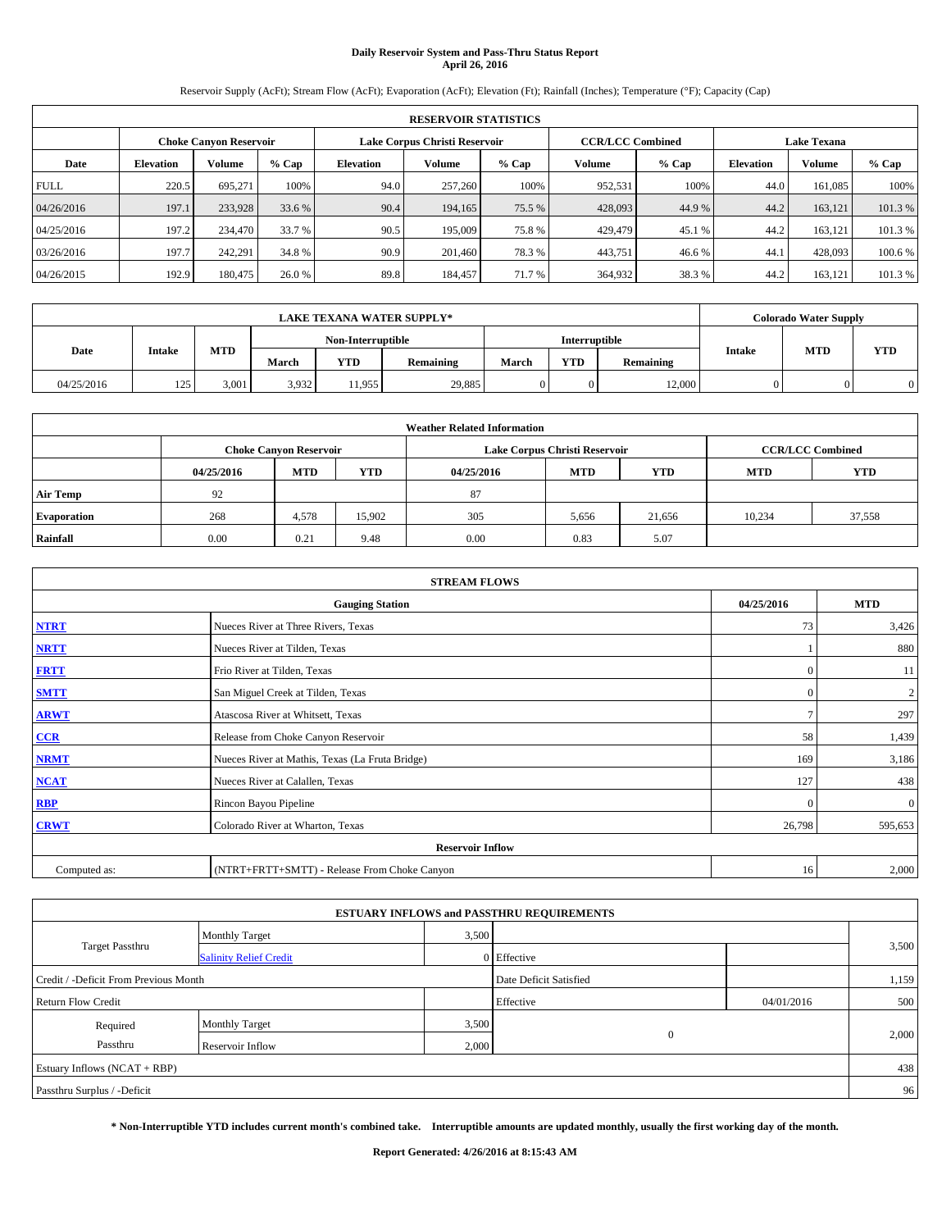# **Daily Reservoir System and Pass-Thru Status Report April 26, 2016**

Reservoir Supply (AcFt); Stream Flow (AcFt); Evaporation (AcFt); Elevation (Ft); Rainfall (Inches); Temperature (°F); Capacity (Cap)

|             | <b>RESERVOIR STATISTICS</b> |                        |         |                  |                               |         |                         |         |                  |                    |         |
|-------------|-----------------------------|------------------------|---------|------------------|-------------------------------|---------|-------------------------|---------|------------------|--------------------|---------|
|             |                             | Choke Canvon Reservoir |         |                  | Lake Corpus Christi Reservoir |         | <b>CCR/LCC Combined</b> |         |                  | <b>Lake Texana</b> |         |
| Date        | <b>Elevation</b>            | Volume                 | $%$ Cap | <b>Elevation</b> | Volume                        | $%$ Cap | <b>Volume</b>           | $%$ Cap | <b>Elevation</b> | <b>Volume</b>      | % Cap   |
| <b>FULL</b> | 220.5                       | 695.271                | 100%    | 94.0             | 257,260                       | 100%    | 952,531                 | 100%    | 44.0             | 161.085            | 100%    |
| 04/26/2016  | 197.1                       | 233,928                | 33.6 %  | 90.4             | 194,165                       | 75.5 %  | 428,093                 | 44.9%   | 44.2             | 163,121            | 101.3%  |
| 04/25/2016  | 197.2                       | 234,470                | 33.7 %  | 90.5             | 195,009                       | 75.8%   | 429,479                 | 45.1 %  | 44.2             | 163,121            | 101.3 % |
| 03/26/2016  | 197.7                       | 242,291                | 34.8 %  | 90.9             | 201.460                       | 78.3 %  | 443.751                 | 46.6%   | 44.1             | 428,093            | 100.6 % |
| 04/26/2015  | 192.9                       | 180,475                | 26.0 %  | 89.8             | 184,457                       | 71.7 %  | 364,932                 | 38.3%   | 44.2             | 163,121            | 101.3 % |

|            |               |            |       |                                    | <b>LAKE TEXANA WATER SUPPLY*</b>                               |  |            |            |  | <b>Colorado Water Supply</b> |  |
|------------|---------------|------------|-------|------------------------------------|----------------------------------------------------------------|--|------------|------------|--|------------------------------|--|
|            |               |            |       | Interruptible<br>Non-Interruptible |                                                                |  |            |            |  |                              |  |
| Date       | <b>Intake</b> | <b>MTD</b> | March | YTD                                | <b>Intake</b><br><b>YTD</b><br>Remaining<br>Remaining<br>March |  | <b>MTD</b> | <b>YTD</b> |  |                              |  |
| 04/25/2016 | 125<br>14J    | 3,001      | 3,932 | 1.955                              | 29,885                                                         |  |            | 12,000     |  |                              |  |

|                    | <b>Weather Related Information</b>                                                             |                               |        |      |                               |                         |        |        |  |  |  |  |
|--------------------|------------------------------------------------------------------------------------------------|-------------------------------|--------|------|-------------------------------|-------------------------|--------|--------|--|--|--|--|
|                    |                                                                                                | <b>Choke Canyon Reservoir</b> |        |      | Lake Corpus Christi Reservoir | <b>CCR/LCC Combined</b> |        |        |  |  |  |  |
|                    | <b>YTD</b><br><b>MTD</b><br><b>MTD</b><br><b>YTD</b><br><b>MTD</b><br>04/25/2016<br>04/25/2016 |                               |        |      |                               |                         |        |        |  |  |  |  |
| <b>Air Temp</b>    | 92                                                                                             |                               |        | 87   |                               |                         |        |        |  |  |  |  |
| <b>Evaporation</b> | 268                                                                                            | 4,578                         | 15,902 | 305  | 5,656                         | 21.656                  | 10,234 | 37,558 |  |  |  |  |
| Rainfall           | 0.00                                                                                           | 0.21                          | 9.48   | 0.00 | 0.83                          | 5.07                    |        |        |  |  |  |  |

|              | <b>STREAM FLOWS</b>                             |              |              |
|--------------|-------------------------------------------------|--------------|--------------|
|              | <b>Gauging Station</b>                          | 04/25/2016   | <b>MTD</b>   |
| <b>NTRT</b>  | Nueces River at Three Rivers, Texas             | 73           | 3,426        |
| <b>NRTT</b>  | Nueces River at Tilden, Texas                   |              | 880          |
| <b>FRTT</b>  | Frio River at Tilden, Texas                     | $\mathbf{0}$ | 11           |
| <b>SMTT</b>  | San Miguel Creek at Tilden, Texas               | $\mathbf{0}$ | 2            |
| <b>ARWT</b>  | Atascosa River at Whitsett, Texas               | $\tau$       | 297          |
| $CCR$        | Release from Choke Canyon Reservoir             | 58           | 1,439        |
| <b>NRMT</b>  | Nueces River at Mathis, Texas (La Fruta Bridge) | 169          | 3,186        |
| <b>NCAT</b>  | Nueces River at Calallen, Texas                 | 127          | 438          |
| RBP          | Rincon Bayou Pipeline                           | $\Omega$     | $\mathbf{0}$ |
| <b>CRWT</b>  | Colorado River at Wharton, Texas                | 26,798       | 595,653      |
|              | <b>Reservoir Inflow</b>                         |              |              |
| Computed as: | (NTRT+FRTT+SMTT) - Release From Choke Canyon    | 16           | 2,000        |

|                                       |                               |       | <b>ESTUARY INFLOWS and PASSTHRU REQUIREMENTS</b> |            |       |
|---------------------------------------|-------------------------------|-------|--------------------------------------------------|------------|-------|
|                                       | Monthly Target                | 3,500 |                                                  |            |       |
| <b>Target Passthru</b>                | <b>Salinity Relief Credit</b> |       | 0 Effective                                      |            | 3,500 |
| Credit / -Deficit From Previous Month |                               |       | Date Deficit Satisfied                           |            | 1,159 |
| <b>Return Flow Credit</b>             |                               |       | Effective                                        | 04/01/2016 | 500   |
| Required                              | <b>Monthly Target</b>         | 3,500 |                                                  |            |       |
| Passthru                              | Reservoir Inflow              | 2,000 | $\theta$                                         |            | 2,000 |
| Estuary Inflows (NCAT + RBP)          |                               |       |                                                  |            | 438   |
| Passthru Surplus / -Deficit           |                               |       |                                                  |            | 96    |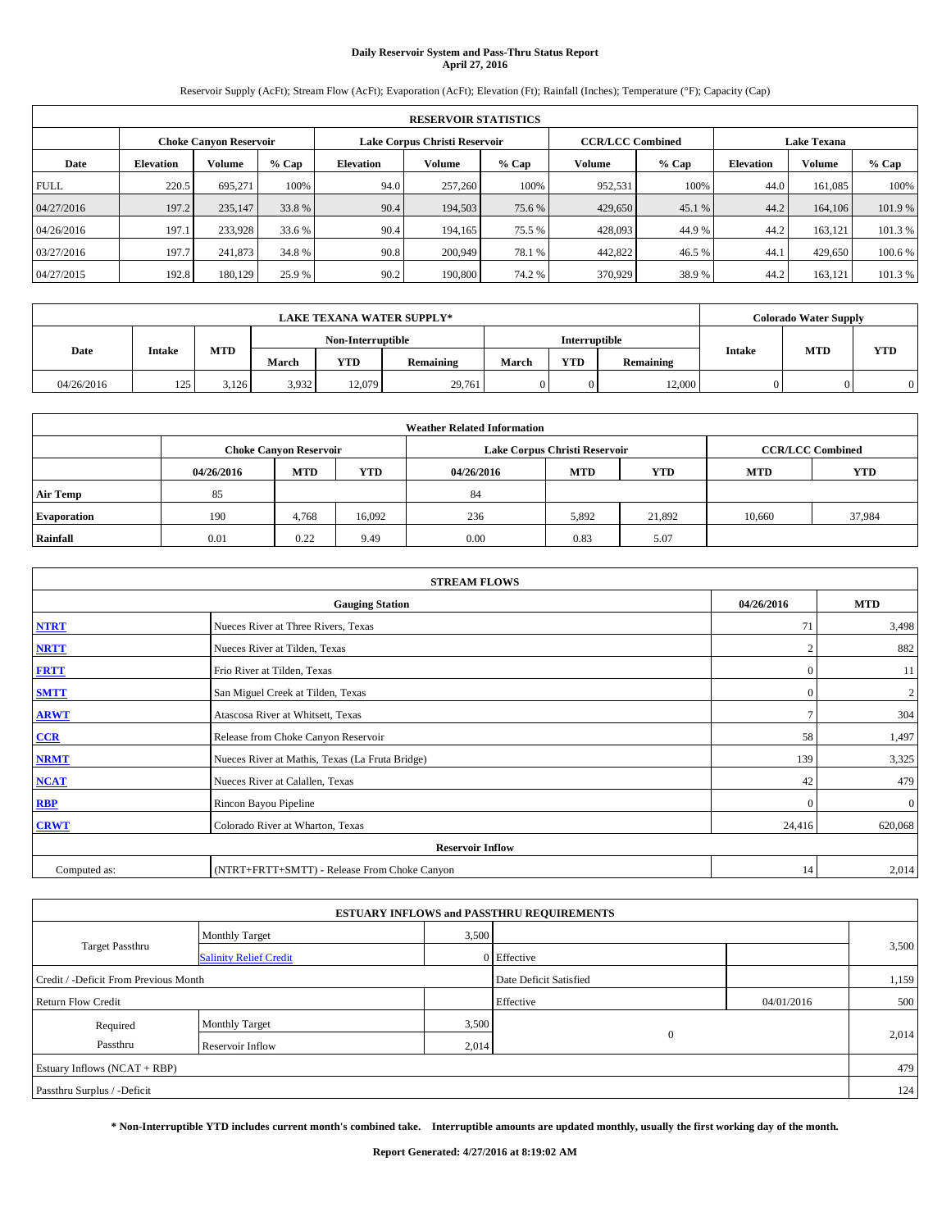# **Daily Reservoir System and Pass-Thru Status Report April 27, 2016**

Reservoir Supply (AcFt); Stream Flow (AcFt); Evaporation (AcFt); Elevation (Ft); Rainfall (Inches); Temperature (°F); Capacity (Cap)

|             | <b>RESERVOIR STATISTICS</b> |                               |         |                               |         |         |                         |         |                  |                    |         |  |
|-------------|-----------------------------|-------------------------------|---------|-------------------------------|---------|---------|-------------------------|---------|------------------|--------------------|---------|--|
|             |                             | <b>Choke Canyon Reservoir</b> |         | Lake Corpus Christi Reservoir |         |         | <b>CCR/LCC Combined</b> |         |                  | <b>Lake Texana</b> |         |  |
| Date        | <b>Elevation</b>            | Volume                        | $%$ Cap | <b>Elevation</b>              | Volume  | $%$ Cap | Volume                  | $%$ Cap | <b>Elevation</b> | <b>Volume</b>      | % Cap   |  |
| <b>FULL</b> | 220.5                       | 695.271                       | 100%    | 94.0                          | 257,260 | 100%    | 952,531                 | 100%    | 44.0             | 161.085            | 100%    |  |
| 04/27/2016  | 197.2                       | 235,147                       | 33.8 %  | 90.4                          | 194,503 | 75.6 %  | 429,650                 | 45.1 %  | 44.2             | 164,106            | 101.9%  |  |
| 04/26/2016  | 197.1                       | 233,928                       | 33.6 %  | 90.4                          | 194.165 | 75.5 %  | 428,093                 | 44.9%   | 44.2             | 163.121            | 101.3 % |  |
| 03/27/2016  | 197.7                       | 241,873                       | 34.8 %  | 90.8                          | 200,949 | 78.1 %  | 442,822                 | 46.5 %  | 44.1             | 429,650            | 100.6 % |  |
| 04/27/2015  | 192.8                       | 180,129                       | 25.9 %  | 90.2                          | 190,800 | 74.2 %  | 370,929                 | 38.9%   | 44.2             | 163.121            | 101.3 % |  |

|            | <b>LAKE TEXANA WATER SUPPLY*</b><br><b>Interruptible</b><br>Non-Interruptible |            |       |        |           |       |            |           |               | <b>Colorado Water Supply</b> |            |
|------------|-------------------------------------------------------------------------------|------------|-------|--------|-----------|-------|------------|-----------|---------------|------------------------------|------------|
|            |                                                                               |            |       |        |           |       |            |           |               | <b>MTD</b>                   |            |
| Date       | <b>Intake</b>                                                                 | <b>MTD</b> | March | YTD    | Remaining | March | <b>YTD</b> | Remaining | <b>Intake</b> |                              | <b>YTD</b> |
| 04/26/2016 | 125<br>12J                                                                    | 3,126      | 3,932 | 12.079 | 29,761    |       |            | 12,000    |               |                              |            |

|                    | <b>Weather Related Information</b> |                                                                                  |        |      |                               |                         |        |        |  |  |  |  |
|--------------------|------------------------------------|----------------------------------------------------------------------------------|--------|------|-------------------------------|-------------------------|--------|--------|--|--|--|--|
|                    |                                    | <b>Choke Canyon Reservoir</b>                                                    |        |      | Lake Corpus Christi Reservoir | <b>CCR/LCC Combined</b> |        |        |  |  |  |  |
|                    | 04/26/2016                         | <b>YTD</b><br><b>MTD</b><br><b>MTD</b><br><b>MTD</b><br><b>YTD</b><br>04/26/2016 |        |      |                               |                         |        |        |  |  |  |  |
| <b>Air Temp</b>    | 85                                 |                                                                                  |        | 84   |                               |                         |        |        |  |  |  |  |
| <b>Evaporation</b> | 190                                | 4,768                                                                            | 16,092 | 236  | 5,892                         | 21.892                  | 10,660 | 37,984 |  |  |  |  |
| Rainfall           | 0.01                               | 0.22                                                                             | 9.49   | 0.00 | 0.83                          | 5.07                    |        |        |  |  |  |  |

| <b>STREAM FLOWS</b> |                                                 |                |              |  |  |  |  |  |
|---------------------|-------------------------------------------------|----------------|--------------|--|--|--|--|--|
|                     | <b>Gauging Station</b>                          | 04/26/2016     | <b>MTD</b>   |  |  |  |  |  |
| <b>NTRT</b>         | Nueces River at Three Rivers, Texas             | 71             | 3,498        |  |  |  |  |  |
| <b>NRTT</b>         | Nueces River at Tilden, Texas                   | $\overline{2}$ | 882          |  |  |  |  |  |
| <b>FRTT</b>         | Frio River at Tilden, Texas                     | $\mathbf{0}$   | 11           |  |  |  |  |  |
| <b>SMTT</b>         | San Miguel Creek at Tilden, Texas               | $\mathbf{0}$   | 2            |  |  |  |  |  |
| <b>ARWT</b>         | Atascosa River at Whitsett, Texas               | $\tau$         | 304          |  |  |  |  |  |
| $CCR$               | Release from Choke Canyon Reservoir             | 58             | 1,497        |  |  |  |  |  |
| <b>NRMT</b>         | Nueces River at Mathis, Texas (La Fruta Bridge) | 139            | 3,325        |  |  |  |  |  |
| <b>NCAT</b>         | Nueces River at Calallen, Texas                 | 42             | 479          |  |  |  |  |  |
| RBP                 | Rincon Bayou Pipeline                           | $\Omega$       | $\mathbf{0}$ |  |  |  |  |  |
| <b>CRWT</b>         | Colorado River at Wharton, Texas                | 24,416         | 620,068      |  |  |  |  |  |
|                     | <b>Reservoir Inflow</b>                         |                |              |  |  |  |  |  |
| Computed as:        | (NTRT+FRTT+SMTT) - Release From Choke Canyon    | 14             | 2,014        |  |  |  |  |  |

|                                       |                               |       | <b>ESTUARY INFLOWS and PASSTHRU REQUIREMENTS</b> |            |       |
|---------------------------------------|-------------------------------|-------|--------------------------------------------------|------------|-------|
|                                       | Monthly Target                | 3,500 |                                                  |            |       |
| <b>Target Passthru</b>                | <b>Salinity Relief Credit</b> |       | 0 Effective                                      |            | 3,500 |
| Credit / -Deficit From Previous Month |                               |       | Date Deficit Satisfied                           |            | 1,159 |
| <b>Return Flow Credit</b>             |                               |       | Effective                                        | 04/01/2016 | 500   |
| Required                              | <b>Monthly Target</b>         | 3,500 |                                                  |            |       |
| Passthru                              | Reservoir Inflow              | 2,014 | $\theta$                                         |            | 2,014 |
| Estuary Inflows (NCAT + RBP)          |                               |       |                                                  |            | 479   |
| Passthru Surplus / -Deficit           |                               |       |                                                  |            | 124   |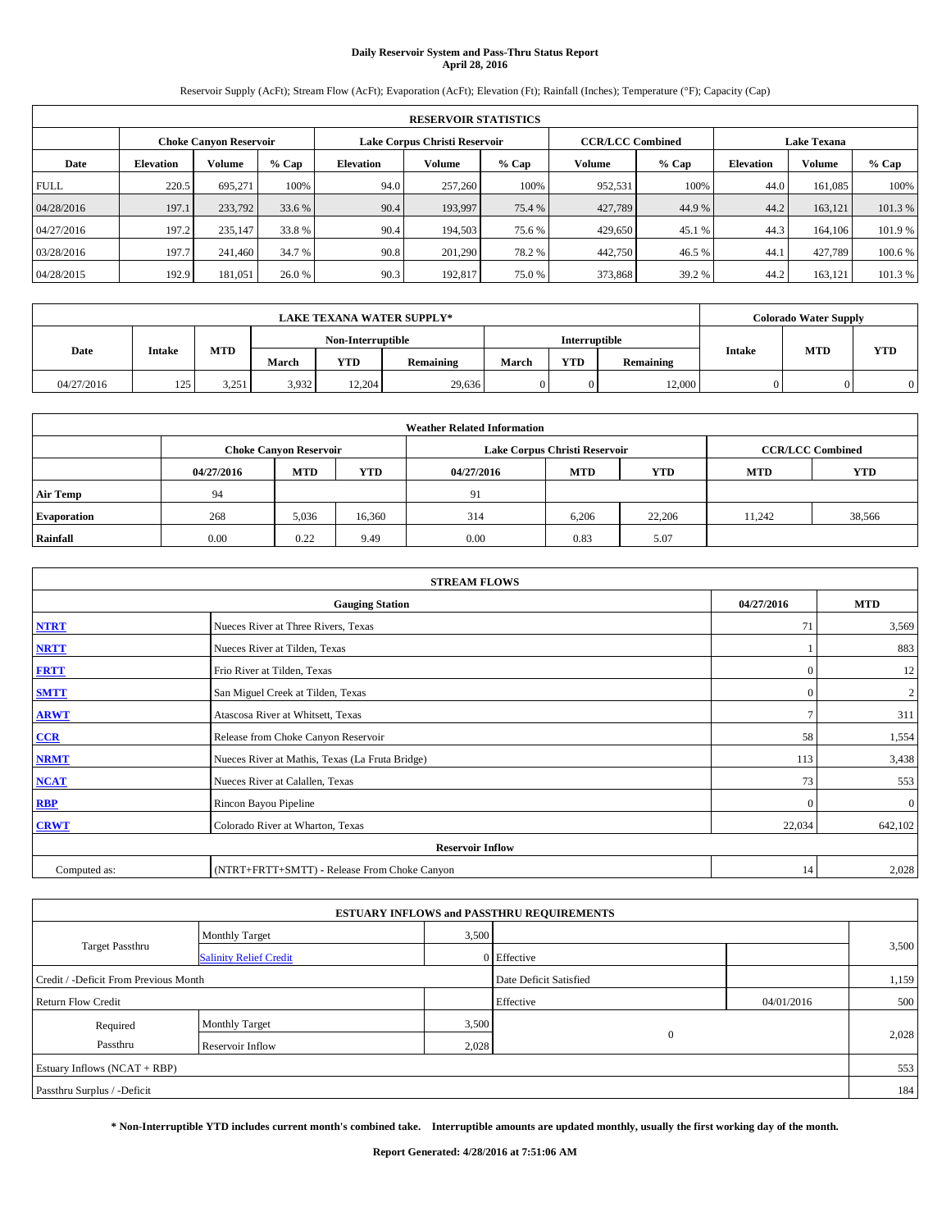# **Daily Reservoir System and Pass-Thru Status Report April 28, 2016**

Reservoir Supply (AcFt); Stream Flow (AcFt); Evaporation (AcFt); Elevation (Ft); Rainfall (Inches); Temperature (°F); Capacity (Cap)

|             | <b>RESERVOIR STATISTICS</b> |                        |         |                  |                               |         |               |                         |                  |                    |         |  |  |
|-------------|-----------------------------|------------------------|---------|------------------|-------------------------------|---------|---------------|-------------------------|------------------|--------------------|---------|--|--|
|             |                             | Choke Canvon Reservoir |         |                  | Lake Corpus Christi Reservoir |         |               | <b>CCR/LCC Combined</b> |                  | <b>Lake Texana</b> |         |  |  |
| Date        | <b>Elevation</b>            | Volume                 | $%$ Cap | <b>Elevation</b> | Volume                        | $%$ Cap | <b>Volume</b> | $%$ Cap                 | <b>Elevation</b> | <b>Volume</b>      | % Cap   |  |  |
| <b>FULL</b> | 220.5                       | 695.271                | 100%    | 94.0             | 257,260                       | 100%    | 952,531       | 100%                    | 44.0             | 161.085            | 100%    |  |  |
| 04/28/2016  | 197.1                       | 233,792                | 33.6 %  | 90.4             | 193,997                       | 75.4 %  | 427,789       | 44.9%                   | 44.2             | 163,121            | 101.3%  |  |  |
| 04/27/2016  | 197.2                       | 235,147                | 33.8 %  | 90.4             | 194,503                       | 75.6 %  | 429,650       | 45.1 %                  | 44.3             | 164,106            | 101.9%  |  |  |
| 03/28/2016  | 197.7                       | 241,460                | 34.7 %  | 90.8             | 201.290                       | 78.2 %  | 442,750       | 46.5 %                  | 44.1             | 427,789            | 100.6 % |  |  |
| 04/28/2015  | 192.9                       | 181,051                | 26.0 %  | 90.3             | 192.817                       | 75.0%   | 373,868       | 39.2 %                  | 44.2             | 163,121            | 101.3 % |  |  |

|            | <b>LAKE TEXANA WATER SUPPLY*</b><br>Interruptible<br>Non-Interruptible |            |       |        |           |       |            |           |               | <b>Colorado Water Supply</b> |            |
|------------|------------------------------------------------------------------------|------------|-------|--------|-----------|-------|------------|-----------|---------------|------------------------------|------------|
|            |                                                                        |            |       |        |           |       |            |           |               | <b>MTD</b>                   |            |
| Date       | <b>Intake</b>                                                          | <b>MTD</b> | March | YTD    | Remaining | March | <b>YTD</b> | Remaining | <b>Intake</b> |                              | <b>YTD</b> |
| 04/27/2016 | 125<br>12J                                                             | 3,251      | 3,932 | 12.204 | 29,636    |       |            | 12,000    |               |                              |            |

|                    | <b>Weather Related Information</b> |                                                                                  |        |      |                               |                         |        |        |  |  |  |  |
|--------------------|------------------------------------|----------------------------------------------------------------------------------|--------|------|-------------------------------|-------------------------|--------|--------|--|--|--|--|
|                    |                                    | <b>Choke Canyon Reservoir</b>                                                    |        |      | Lake Corpus Christi Reservoir | <b>CCR/LCC Combined</b> |        |        |  |  |  |  |
|                    | 04/27/2016                         | <b>YTD</b><br><b>MTD</b><br><b>MTD</b><br><b>MTD</b><br><b>YTD</b><br>04/27/2016 |        |      |                               |                         |        |        |  |  |  |  |
| <b>Air Temp</b>    | 94                                 |                                                                                  |        | 91   |                               |                         |        |        |  |  |  |  |
| <b>Evaporation</b> | 268                                | 5,036                                                                            | 16,360 | 314  | 6,206                         | 22,206                  | 11.242 | 38,566 |  |  |  |  |
| Rainfall           | 0.00                               | 0.22                                                                             | 9.49   | 0.00 | 0.83                          | 5.07                    |        |        |  |  |  |  |

| <b>STREAM FLOWS</b> |                                                 |               |                |  |  |  |  |  |
|---------------------|-------------------------------------------------|---------------|----------------|--|--|--|--|--|
|                     | <b>Gauging Station</b>                          | 04/27/2016    | <b>MTD</b>     |  |  |  |  |  |
| <b>NTRT</b>         | Nueces River at Three Rivers, Texas             | 71            | 3,569          |  |  |  |  |  |
| <b>NRTT</b>         | Nueces River at Tilden, Texas                   |               | 883            |  |  |  |  |  |
| <b>FRTT</b>         | Frio River at Tilden, Texas                     | $\mathbf{0}$  | 12             |  |  |  |  |  |
| <b>SMTT</b>         | San Miguel Creek at Tilden, Texas               | $\mathbf{0}$  | $\overline{c}$ |  |  |  |  |  |
| <b>ARWT</b>         | Atascosa River at Whitsett, Texas               | $\mathcal{I}$ | 311            |  |  |  |  |  |
| $CCR$               | Release from Choke Canyon Reservoir             | 58            | 1,554          |  |  |  |  |  |
| <b>NRMT</b>         | Nueces River at Mathis, Texas (La Fruta Bridge) | 113           | 3,438          |  |  |  |  |  |
| <b>NCAT</b>         | Nueces River at Calallen, Texas                 | 73            | 553            |  |  |  |  |  |
| <b>RBP</b>          | Rincon Bayou Pipeline                           | $\mathbf{0}$  | $\mathbf{0}$   |  |  |  |  |  |
| <b>CRWT</b>         | Colorado River at Wharton, Texas                | 22,034        | 642,102        |  |  |  |  |  |
|                     | <b>Reservoir Inflow</b>                         |               |                |  |  |  |  |  |
| Computed as:        | (NTRT+FRTT+SMTT) - Release From Choke Canyon    | 14            | 2,028          |  |  |  |  |  |

|                                       |                               |       | <b>ESTUARY INFLOWS and PASSTHRU REQUIREMENTS</b> |            |       |
|---------------------------------------|-------------------------------|-------|--------------------------------------------------|------------|-------|
|                                       | Monthly Target                | 3,500 |                                                  |            |       |
| <b>Target Passthru</b>                | <b>Salinity Relief Credit</b> |       | 0 Effective                                      |            | 3,500 |
| Credit / -Deficit From Previous Month |                               |       | Date Deficit Satisfied                           |            | 1,159 |
| <b>Return Flow Credit</b>             |                               |       | Effective                                        | 04/01/2016 | 500   |
| Required                              | <b>Monthly Target</b>         | 3,500 |                                                  |            |       |
| Passthru                              | Reservoir Inflow              | 2,028 | $\theta$                                         |            | 2,028 |
| Estuary Inflows (NCAT + RBP)          |                               |       |                                                  |            | 553   |
| Passthru Surplus / -Deficit           |                               |       |                                                  |            | 184   |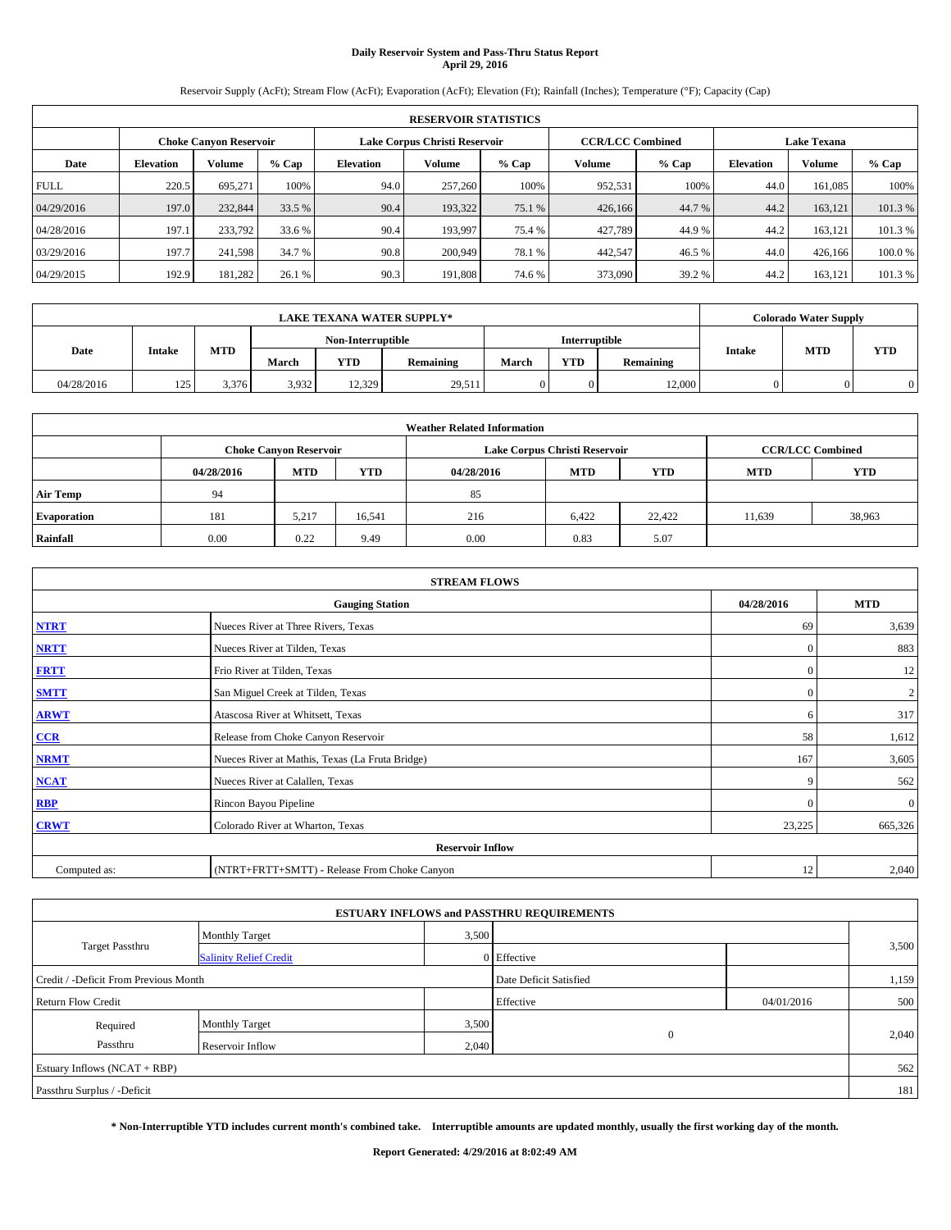# **Daily Reservoir System and Pass-Thru Status Report April 29, 2016**

Reservoir Supply (AcFt); Stream Flow (AcFt); Evaporation (AcFt); Elevation (Ft); Rainfall (Inches); Temperature (°F); Capacity (Cap)

|             | <b>RESERVOIR STATISTICS</b> |                        |         |                  |         |                                                          |               |         |                    |               |         |  |  |
|-------------|-----------------------------|------------------------|---------|------------------|---------|----------------------------------------------------------|---------------|---------|--------------------|---------------|---------|--|--|
|             |                             | Choke Canvon Reservoir |         |                  |         | <b>CCR/LCC Combined</b><br>Lake Corpus Christi Reservoir |               |         | <b>Lake Texana</b> |               |         |  |  |
| Date        | <b>Elevation</b>            | Volume                 | $%$ Cap | <b>Elevation</b> | Volume  | $%$ Cap                                                  | <b>Volume</b> | $%$ Cap | <b>Elevation</b>   | <b>Volume</b> | % Cap   |  |  |
| <b>FULL</b> | 220.5                       | 695.271                | 100%    | 94.0             | 257,260 | 100%                                                     | 952,531       | 100%    | 44.0               | 161.085       | 100%    |  |  |
| 04/29/2016  | 197.0                       | 232,844                | 33.5 %  | 90.4             | 193.322 | 75.1 %                                                   | 426,166       | 44.7 %  | 44.2               | 163,121       | 101.3%  |  |  |
| 04/28/2016  | 197.1                       | 233,792                | 33.6 %  | 90.4             | 193.997 | 75.4 %                                                   | 427,789       | 44.9%   | 44.2               | 163,121       | 101.3 % |  |  |
| 03/29/2016  | 197.7                       | 241.598                | 34.7 %  | 90.8             | 200,949 | 78.1 %                                                   | 442.547       | 46.5 %  | 44.0               | 426,166       | 100.0%  |  |  |
| 04/29/2015  | 192.9                       | 181,282                | 26.1 %  | 90.3             | 191.808 | 74.6 %                                                   | 373,090       | 39.2 %  | 44.2               | 163,121       | 101.3 % |  |  |

| <b>LAKE TEXANA WATER SUPPLY*</b><br>Interruptible<br>Non-Interruptible |               |            |       |        |           |       |            |           |               | <b>Colorado Water Supply</b> |            |
|------------------------------------------------------------------------|---------------|------------|-------|--------|-----------|-------|------------|-----------|---------------|------------------------------|------------|
|                                                                        |               |            |       |        |           |       |            |           |               | <b>MTD</b>                   |            |
| Date                                                                   | <b>Intake</b> | <b>MTD</b> | March | YTD    | Remaining | March | <b>YTD</b> | Remaining | <b>Intake</b> |                              | <b>YTD</b> |
| 04/28/2016                                                             | 125<br>12J    | 3,376      | 3,932 | 12.329 | 29,511    |       |            | 12,000    |               |                              |            |

|                    | <b>Weather Related Information</b> |                                                                                  |        |      |                               |                         |        |        |  |  |  |  |
|--------------------|------------------------------------|----------------------------------------------------------------------------------|--------|------|-------------------------------|-------------------------|--------|--------|--|--|--|--|
|                    |                                    | <b>Choke Canyon Reservoir</b>                                                    |        |      | Lake Corpus Christi Reservoir | <b>CCR/LCC Combined</b> |        |        |  |  |  |  |
|                    | 04/28/2016                         | <b>YTD</b><br><b>MTD</b><br><b>MTD</b><br><b>YTD</b><br><b>MTD</b><br>04/28/2016 |        |      |                               |                         |        |        |  |  |  |  |
| <b>Air Temp</b>    | 94                                 |                                                                                  |        | 85   |                               |                         |        |        |  |  |  |  |
| <b>Evaporation</b> | 181                                | 5,217                                                                            | 16,541 | 216  | 6,422                         | 22,422                  | 11,639 | 38,963 |  |  |  |  |
| Rainfall           | 0.00                               | 0.22                                                                             | 9.49   | 0.00 | 0.83                          | 5.07                    |        |        |  |  |  |  |

| <b>STREAM FLOWS</b> |                                                 |              |                  |  |  |  |  |
|---------------------|-------------------------------------------------|--------------|------------------|--|--|--|--|
|                     | <b>Gauging Station</b>                          |              |                  |  |  |  |  |
| <b>NTRT</b>         | Nueces River at Three Rivers, Texas             |              |                  |  |  |  |  |
| <b>NRTT</b>         | Nueces River at Tilden, Texas                   | $\Omega$     | 883              |  |  |  |  |
| <b>FRTT</b>         | Frio River at Tilden, Texas                     | $\mathbf{0}$ | 12               |  |  |  |  |
| <b>SMTT</b>         | San Miguel Creek at Tilden, Texas               | $\mathbf{0}$ | $\boldsymbol{2}$ |  |  |  |  |
| <b>ARWT</b>         | Atascosa River at Whitsett, Texas               | 6            | 317              |  |  |  |  |
| $CCR$               | Release from Choke Canyon Reservoir             | 58           | 1,612            |  |  |  |  |
| <b>NRMT</b>         | Nueces River at Mathis, Texas (La Fruta Bridge) | 167          | 3,605            |  |  |  |  |
| <b>NCAT</b>         | Nueces River at Calallen, Texas                 | 9            | 562              |  |  |  |  |
| RBP                 | Rincon Bayou Pipeline                           | $\mathbf{0}$ | $\mathbf{0}$     |  |  |  |  |
| <b>CRWT</b>         | Colorado River at Wharton, Texas                | 23,225       | 665,326          |  |  |  |  |
|                     |                                                 |              |                  |  |  |  |  |
| Computed as:        | (NTRT+FRTT+SMTT) - Release From Choke Canyon    | 12           | 2,040            |  |  |  |  |

| <b>ESTUARY INFLOWS and PASSTHRU REQUIREMENTS</b> |                               |       |                        |            |       |  |  |  |
|--------------------------------------------------|-------------------------------|-------|------------------------|------------|-------|--|--|--|
|                                                  | <b>Monthly Target</b>         | 3,500 |                        |            |       |  |  |  |
| <b>Target Passthru</b>                           | <b>Salinity Relief Credit</b> |       | 0 Effective            |            | 3,500 |  |  |  |
| Credit / -Deficit From Previous Month            |                               |       | Date Deficit Satisfied |            | 1,159 |  |  |  |
| <b>Return Flow Credit</b>                        |                               |       | Effective              | 04/01/2016 | 500   |  |  |  |
| Required                                         | <b>Monthly Target</b>         | 3,500 | $\theta$               |            | 2,040 |  |  |  |
| Passthru                                         | Reservoir Inflow              | 2,040 |                        |            |       |  |  |  |
| Estuary Inflows (NCAT + RBP)                     |                               |       |                        |            |       |  |  |  |
| Passthru Surplus / -Deficit                      |                               |       |                        |            | 181   |  |  |  |